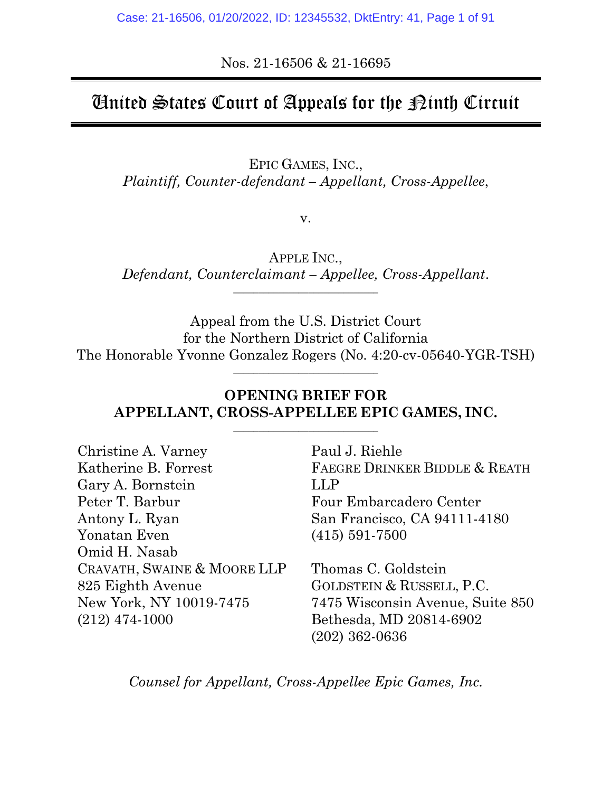Nos. 21-16506 & 21-16695

# United States Court of Appeals for the  $\mathcal D$ inth Circuit

EPIC GAMES, INC., *Plaintiff, Counter-defendant – Appellant, Cross-Appellee*,

v.

APPLE INC., *Defendant, Counterclaimant – Appellee, Cross-Appellant*. \_\_\_\_\_\_\_\_\_\_\_\_\_\_\_\_\_\_\_\_\_\_\_\_\_\_\_\_\_

Appeal from the U.S. District Court for the Northern District of California The Honorable Yvonne Gonzalez Rogers (No. 4:20-cv-05640-YGR-TSH)

\_\_\_\_\_\_\_\_\_\_\_\_\_\_\_\_\_\_\_\_\_\_\_\_\_\_\_\_\_

# **OPENING BRIEF FOR APPELLANT, CROSS-APPELLEE EPIC GAMES, INC.**

\_\_\_\_\_\_\_\_\_\_\_\_\_\_\_\_\_\_\_\_\_\_\_\_\_\_\_\_\_

| Christine A. Varney         | Paul J. Riel     |
|-----------------------------|------------------|
| Katherine B. Forrest        | <b>FAEGRE DR</b> |
| Gary A. Bornstein           | <b>LLP</b>       |
| Peter T. Barbur             | Four Emba        |
| Antony L. Ryan              | San Francis      |
| Yonatan Even                | $(415)$ 591-7    |
| Omid H. Nasab               |                  |
| CRAVATH, SWAINE & MOORE LLP | Thomas C.        |
| 825 Eighth Avenue           | <b>GOLDSTEIN</b> |
| New York, NY 10019-7475     | 7475 Wisco       |
| $(212)$ 474-1000            | Bethesda, N      |
|                             |                  |

hle INKER BIDDLE & REATH rcadero Center sco, CA 94111-4180  $500$ 

Goldstein & RUSSELL, P.C. nsin Avenue, Suite 850 Bethesda, MD 20814-6902 (202) 362-0636

*Counsel for Appellant, Cross-Appellee Epic Games, Inc.*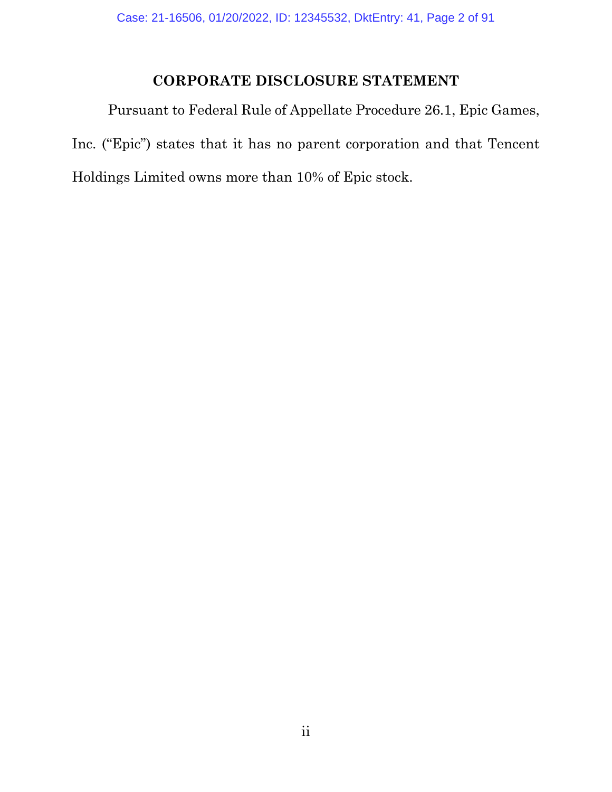# **CORPORATE DISCLOSURE STATEMENT**

Pursuant to Federal Rule of Appellate Procedure 26.1, Epic Games, Inc. ("Epic") states that it has no parent corporation and that Tencent Holdings Limited owns more than 10% of Epic stock.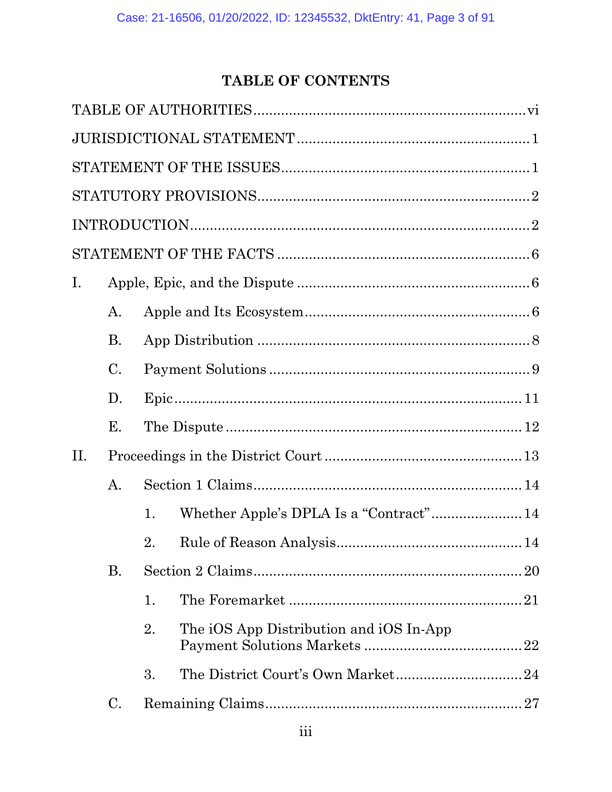# TABLE OF CONTENTS

| Ι.  |                 |    |                                         |
|-----|-----------------|----|-----------------------------------------|
|     | A.              |    |                                         |
|     | <b>B.</b>       |    |                                         |
|     | $\mathcal{C}$ . |    |                                         |
|     | D.              |    |                                         |
|     | Е.              |    |                                         |
| II. |                 |    |                                         |
|     | $\mathbf{A}$ .  |    |                                         |
|     |                 | 1. |                                         |
|     |                 | 2. |                                         |
|     | <b>B.</b>       |    | 20                                      |
|     |                 | 1. |                                         |
|     |                 | 2. | The iOS App Distribution and iOS In-App |
|     |                 | 3. |                                         |
|     | C.              |    | 27                                      |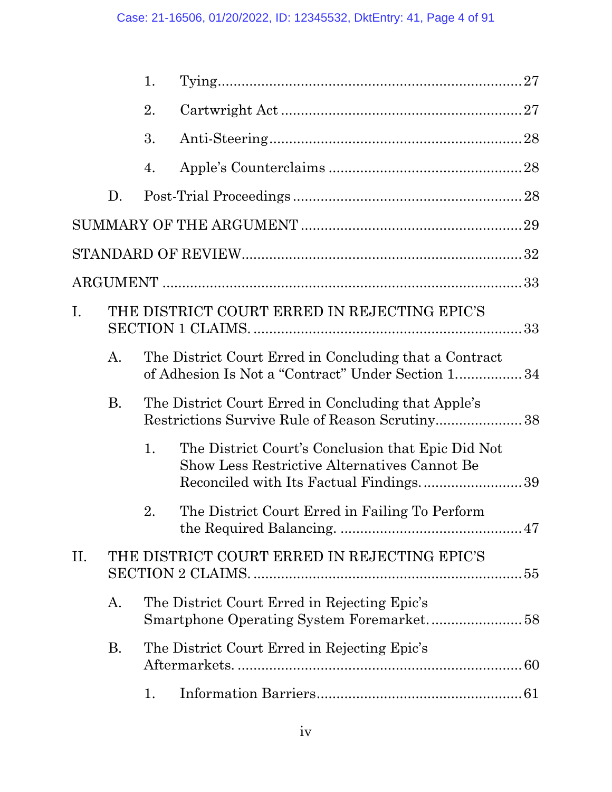|     |                | 1. |                                                                                                              |
|-----|----------------|----|--------------------------------------------------------------------------------------------------------------|
|     |                | 2. |                                                                                                              |
|     |                | 3. |                                                                                                              |
|     |                | 4. |                                                                                                              |
|     | D.             |    |                                                                                                              |
|     |                |    | 29                                                                                                           |
|     |                |    |                                                                                                              |
|     |                |    |                                                                                                              |
| I.  |                |    | THE DISTRICT COURT ERRED IN REJECTING EPIC'S                                                                 |
|     | $\mathbf{A}$ . |    | The District Court Erred in Concluding that a Contract<br>of Adhesion Is Not a "Contract" Under Section 1 34 |
|     | <b>B.</b>      |    | The District Court Erred in Concluding that Apple's<br>Restrictions Survive Rule of Reason Scrutiny 38       |
|     |                | 1. | The District Court's Conclusion that Epic Did Not<br><b>Show Less Restrictive Alternatives Cannot Be</b>     |
|     |                | 2. | The District Court Erred in Failing To Perform                                                               |
| II. |                |    | THE DISTRICT COURT ERRED IN REJECTING EPIC'S                                                                 |
|     | A.             |    | The District Court Erred in Rejecting Epic's                                                                 |
|     | <b>B.</b>      |    | The District Court Erred in Rejecting Epic's                                                                 |
|     |                | 1. |                                                                                                              |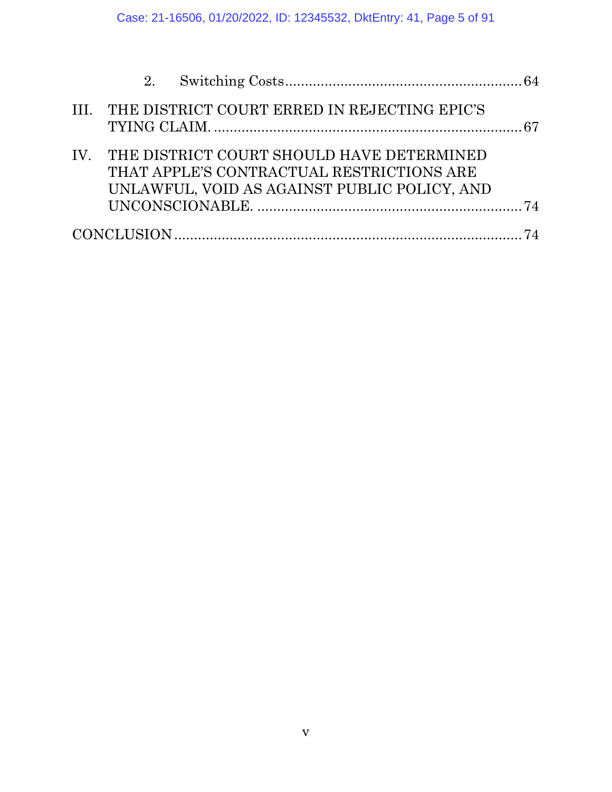| III. THE DISTRICT COURT ERRED IN REJECTING EPIC'S                                                                                          |  |
|--------------------------------------------------------------------------------------------------------------------------------------------|--|
| IV. THE DISTRICT COURT SHOULD HAVE DETERMINED<br>THAT APPLE'S CONTRACTUAL RESTRICTIONS ARE<br>UNLAWFUL, VOID AS AGAINST PUBLIC POLICY, AND |  |
|                                                                                                                                            |  |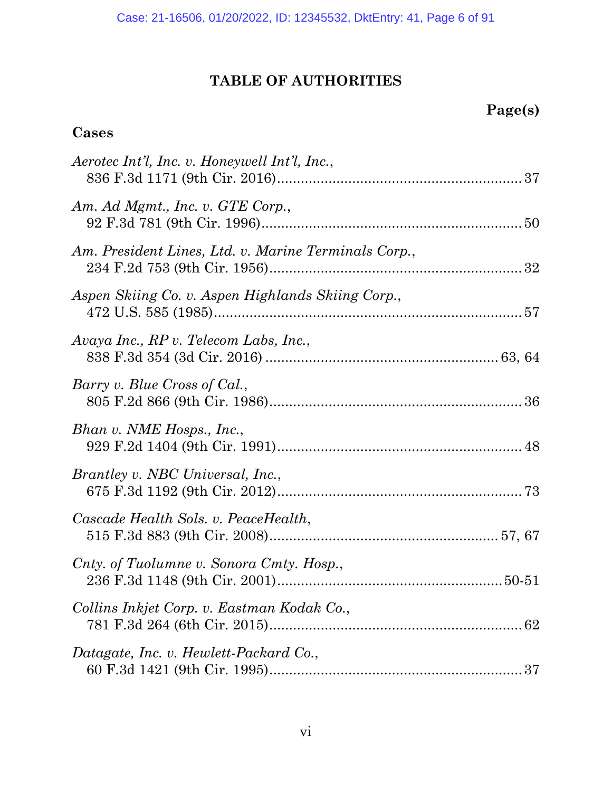# **TABLE OF AUTHORITIES**

# **Page(s)**

# **Cases**

| Aerotec Int'l, Inc. v. Honeywell Int'l, Inc.,        |  |
|------------------------------------------------------|--|
| Am. Ad Mgmt., Inc. v. GTE Corp.,                     |  |
| Am. President Lines, Ltd. v. Marine Terminals Corp., |  |
| Aspen Skiing Co. v. Aspen Highlands Skiing Corp.,    |  |
| Avaya Inc., RP v. Telecom Labs, Inc.,                |  |
| Barry v. Blue Cross of Cal.,                         |  |
| Bhan v. NME Hosps., Inc.,                            |  |
| <i>Brantley v. NBC Universal, Inc.,</i>              |  |
| Cascade Health Sols. v. PeaceHealth,                 |  |
| Cnty. of Tuolumne v. Sonora Cmty. Hosp.,             |  |
| Collins Inkjet Corp. v. Eastman Kodak Co.,           |  |
| Datagate, Inc. v. Hewlett-Packard Co.,               |  |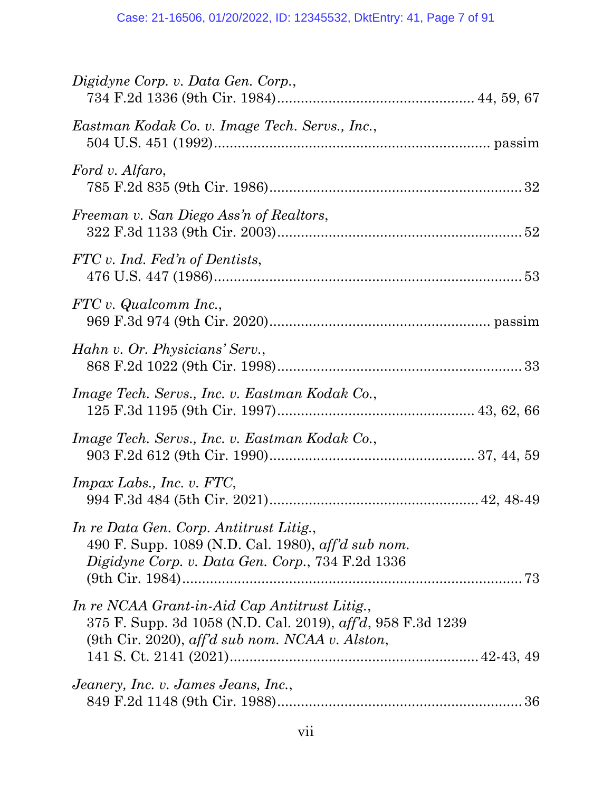| Digidyne Corp. v. Data Gen. Corp.,                                                                                                                                      |  |
|-------------------------------------------------------------------------------------------------------------------------------------------------------------------------|--|
| Eastman Kodak Co. v. Image Tech. Servs., Inc.,                                                                                                                          |  |
| Ford v. Alfaro,                                                                                                                                                         |  |
| Freeman v. San Diego Ass'n of Realtors,                                                                                                                                 |  |
| FTC v. Ind. Fed'n of Dentists,                                                                                                                                          |  |
| FTC v. Qualcomm Inc.,                                                                                                                                                   |  |
| Hahn v. Or. Physicians' Serv.,                                                                                                                                          |  |
| Image Tech. Servs., Inc. v. Eastman Kodak Co.,                                                                                                                          |  |
| Image Tech. Servs., Inc. v. Eastman Kodak Co.,                                                                                                                          |  |
| $Impax \, Labs., Inc. v. FTC,$                                                                                                                                          |  |
| In re Data Gen. Corp. Antitrust Litig.,<br>490 F. Supp. 1089 (N.D. Cal. 1980), aff'd sub nom.<br>Digidyne Corp. v. Data Gen. Corp., 734 F.2d 1336                       |  |
| In re NCAA Grant-in-Aid Cap Antitrust Litig.,<br>375 F. Supp. 3d 1058 (N.D. Cal. 2019), aff'd, 958 F.3d 1239<br>(9th Cir. 2020), $\alpha$ ff'd sub nom. NCAA v. Alston, |  |
| Jeanery, Inc. v. James Jeans, Inc.,                                                                                                                                     |  |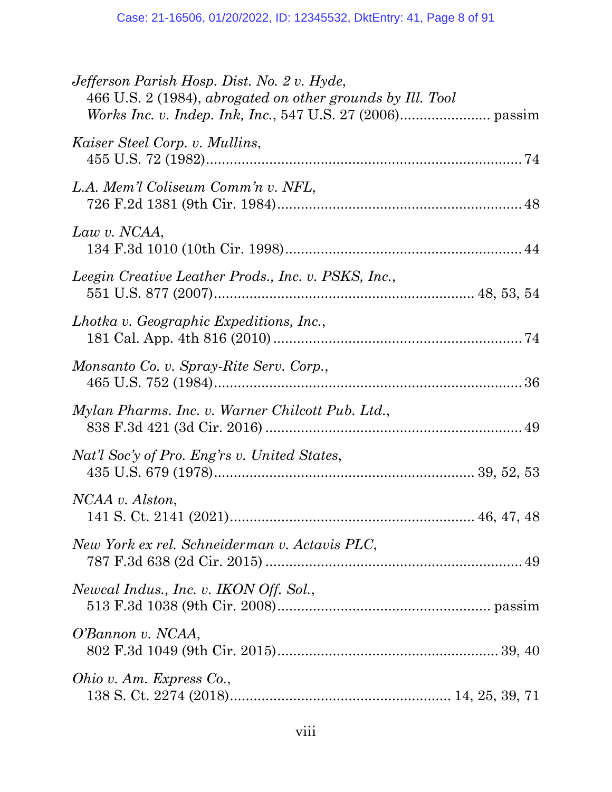| Jefferson Parish Hosp. Dist. No. 2 v. Hyde,<br>466 U.S. 2 (1984), abrogated on other grounds by Ill. Tool |  |
|-----------------------------------------------------------------------------------------------------------|--|
| Kaiser Steel Corp. v. Mullins,                                                                            |  |
| L.A. Mem'l Coliseum Comm'n v. NFL,                                                                        |  |
| Law v. NCAA,                                                                                              |  |
| Leegin Creative Leather Prods., Inc. v. PSKS, Inc.,                                                       |  |
| Lhotka v. Geographic Expeditions, Inc.,                                                                   |  |
| Monsanto Co. v. Spray-Rite Serv. Corp.,                                                                   |  |
| Mylan Pharms. Inc. v. Warner Chilcott Pub. Ltd.,                                                          |  |
| Nat'l Soc'y of Pro. Eng'rs v. United States,                                                              |  |
| NCAA v. Alston,<br>141 S. Ct. 2141 $(2021)$<br>46, 47, 48                                                 |  |
| New York ex rel. Schneiderman v. Actavis PLC,                                                             |  |
| Newcal Indus., Inc. v. IKON Off. Sol.,                                                                    |  |
| O'Bannon v. NCAA,                                                                                         |  |
| Ohio v. Am. Express Co.,                                                                                  |  |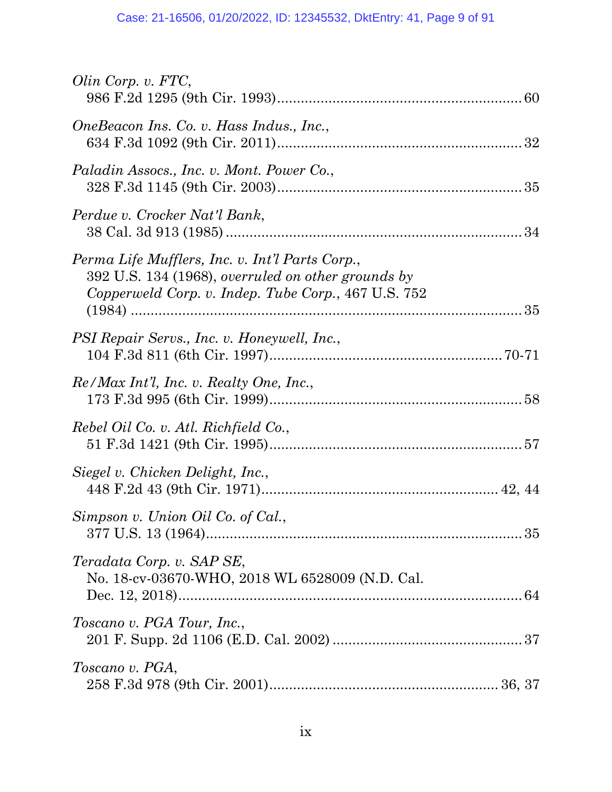| Olin Corp. v. FTC,                                                                                                                                           |  |
|--------------------------------------------------------------------------------------------------------------------------------------------------------------|--|
| OneBeacon Ins. Co. v. Hass Indus., Inc.,                                                                                                                     |  |
| Paladin Assocs., Inc. v. Mont. Power Co.,                                                                                                                    |  |
| Perdue v. Crocker Nat'l Bank,                                                                                                                                |  |
| Perma Life Mufflers, Inc. v. Int'l Parts Corp.,<br>392 U.S. 134 (1968), overruled on other grounds by<br>Copperweld Corp. v. Indep. Tube Corp., 467 U.S. 752 |  |
| PSI Repair Servs., Inc. v. Honeywell, Inc.,                                                                                                                  |  |
| Re/Max Int'l, Inc. v. Realty One, Inc.,                                                                                                                      |  |
| Rebel Oil Co. v. Atl. Richfield Co.,                                                                                                                         |  |
| Siegel v. Chicken Delight, Inc.,                                                                                                                             |  |
| Simpson v. Union Oil Co. of Cal.,                                                                                                                            |  |
| Teradata Corp. v. SAP SE,<br>No. 18-cv-03670-WHO, 2018 WL 6528009 (N.D. Cal.                                                                                 |  |
| Toscano v. PGA Tour, Inc.,                                                                                                                                   |  |
| Toscano v. PGA,                                                                                                                                              |  |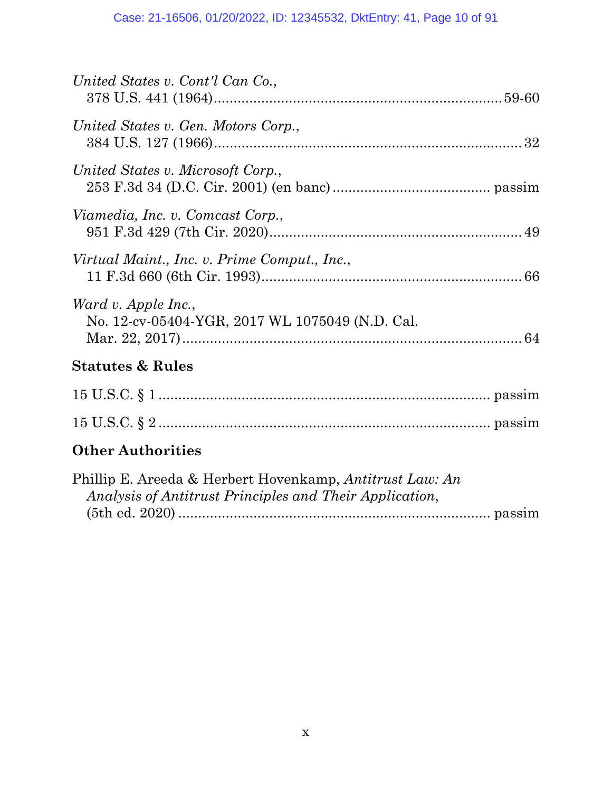| United States v. Cont'l Can Co.,                                                                                    |
|---------------------------------------------------------------------------------------------------------------------|
| United States v. Gen. Motors Corp.,                                                                                 |
| United States v. Microsoft Corp.,                                                                                   |
| Viamedia, Inc. v. Comcast Corp.,                                                                                    |
| Virtual Maint., Inc. v. Prime Comput., Inc.,                                                                        |
| Ward v. Apple Inc.,<br>No. 12-cv-05404-YGR, 2017 WL 1075049 (N.D. Cal.                                              |
| <b>Statutes &amp; Rules</b>                                                                                         |
|                                                                                                                     |
|                                                                                                                     |
| <b>Other Authorities</b>                                                                                            |
| Phillip E. Areeda & Herbert Hovenkamp, Antitrust Law: An<br>Analysis of Antitrust Principles and Their Application, |

(5th ed. 2020) ............................................................................... passim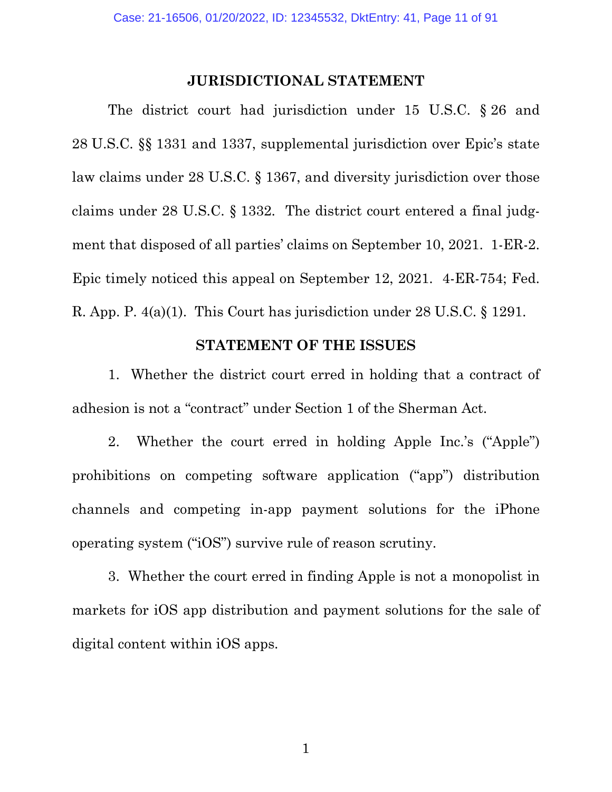#### **JURISDICTIONAL STATEMENT**

The district court had jurisdiction under 15 U.S.C. § 26 and 28 U.S.C. §§ 1331 and 1337, supplemental jurisdiction over Epic's state law claims under 28 U.S.C. § 1367, and diversity jurisdiction over those claims under 28 U.S.C. § 1332. The district court entered a final judgment that disposed of all parties' claims on September 10, 2021. 1-ER-2. Epic timely noticed this appeal on September 12, 2021. 4-ER-754; Fed. R. App. P. 4(a)(1). This Court has jurisdiction under 28 U.S.C. § 1291.

## <span id="page-10-0"></span>**STATEMENT OF THE ISSUES**

1. Whether the district court erred in holding that a contract of adhesion is not a "contract" under Section 1 of the Sherman Act.

2. Whether the court erred in holding Apple Inc.'s ("Apple") prohibitions on competing software application ("app") distribution channels and competing in-app payment solutions for the iPhone operating system ("iOS") survive rule of reason scrutiny.

3. Whether the court erred in finding Apple is not a monopolist in markets for iOS app distribution and payment solutions for the sale of digital content within iOS apps.

1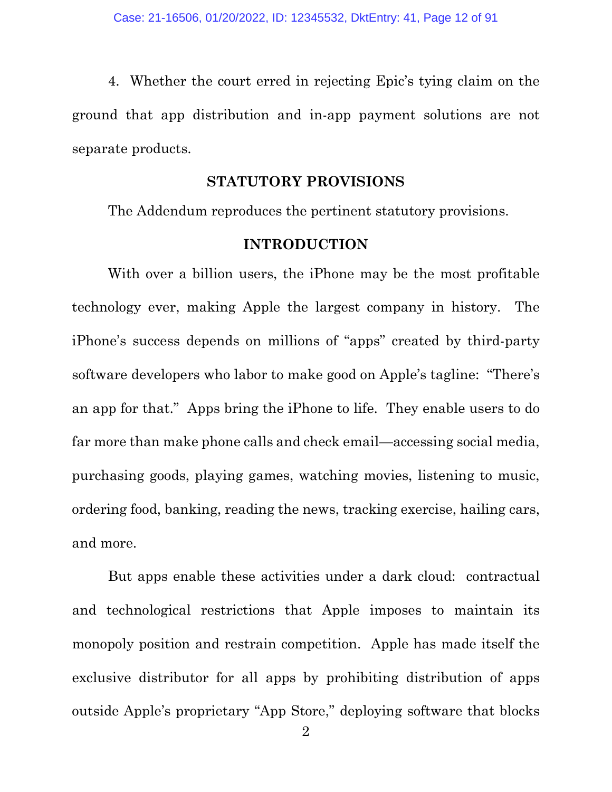4. Whether the court erred in rejecting Epic's tying claim on the ground that app distribution and in-app payment solutions are not separate products.

#### **STATUTORY PROVISIONS**

The Addendum reproduces the pertinent statutory provisions.

## **INTRODUCTION**

With over a billion users, the iPhone may be the most profitable technology ever, making Apple the largest company in history. The iPhone's success depends on millions of "apps" created by third-party software developers who labor to make good on Apple's tagline: "There's an app for that." Apps bring the iPhone to life. They enable users to do far more than make phone calls and check email—accessing social media, purchasing goods, playing games, watching movies, listening to music, ordering food, banking, reading the news, tracking exercise, hailing cars, and more.

But apps enable these activities under a dark cloud: contractual and technological restrictions that Apple imposes to maintain its monopoly position and restrain competition. Apple has made itself the exclusive distributor for all apps by prohibiting distribution of apps outside Apple's proprietary "App Store," deploying software that blocks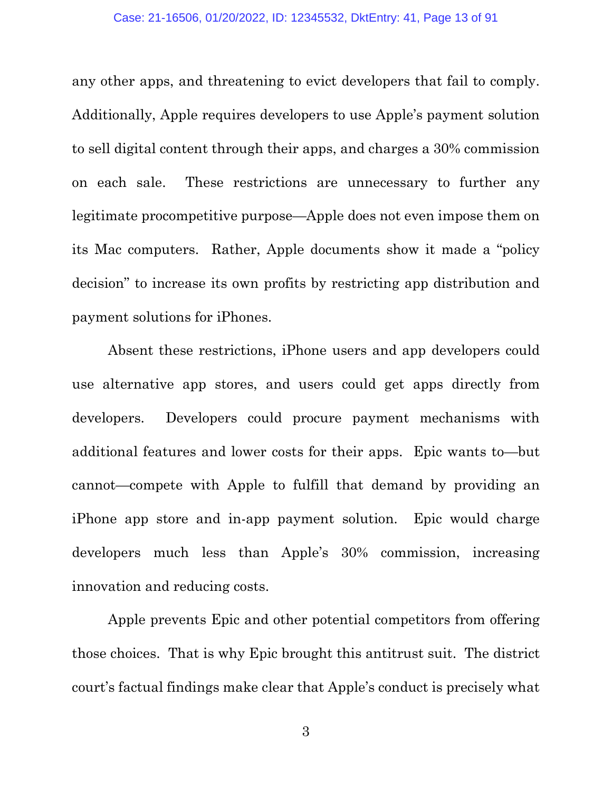any other apps, and threatening to evict developers that fail to comply. Additionally, Apple requires developers to use Apple's payment solution to sell digital content through their apps, and charges a 30% commission on each sale. These restrictions are unnecessary to further any legitimate procompetitive purpose—Apple does not even impose them on its Mac computers. Rather, Apple documents show it made a "policy decision" to increase its own profits by restricting app distribution and payment solutions for iPhones.

Absent these restrictions, iPhone users and app developers could use alternative app stores, and users could get apps directly from developers. Developers could procure payment mechanisms with additional features and lower costs for their apps. Epic wants to—but cannot—compete with Apple to fulfill that demand by providing an iPhone app store and in-app payment solution. Epic would charge developers much less than Apple's 30% commission, increasing innovation and reducing costs.

Apple prevents Epic and other potential competitors from offering those choices. That is why Epic brought this antitrust suit. The district court's factual findings make clear that Apple's conduct is precisely what

3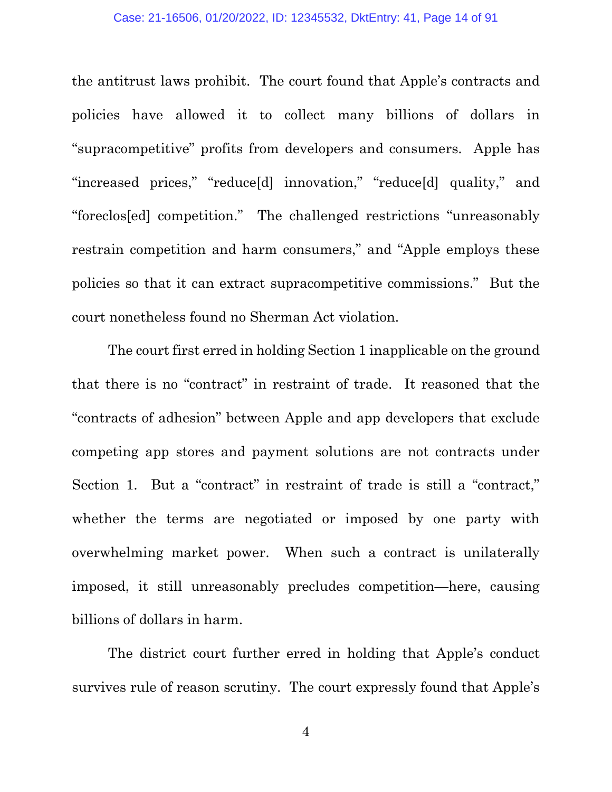the antitrust laws prohibit. The court found that Apple's contracts and policies have allowed it to collect many billions of dollars in "supracompetitive" profits from developers and consumers. Apple has "increased prices," "reduce[d] innovation," "reduce[d] quality," and "foreclos[ed] competition." The challenged restrictions "unreasonably restrain competition and harm consumers," and "Apple employs these policies so that it can extract supracompetitive commissions." But the court nonetheless found no Sherman Act violation.

The court first erred in holding Section 1 inapplicable on the ground that there is no "contract" in restraint of trade. It reasoned that the "contracts of adhesion" between Apple and app developers that exclude competing app stores and payment solutions are not contracts under Section 1. But a "contract" in restraint of trade is still a "contract," whether the terms are negotiated or imposed by one party with overwhelming market power. When such a contract is unilaterally imposed, it still unreasonably precludes competition—here, causing billions of dollars in harm.

The district court further erred in holding that Apple's conduct survives rule of reason scrutiny. The court expressly found that Apple's

4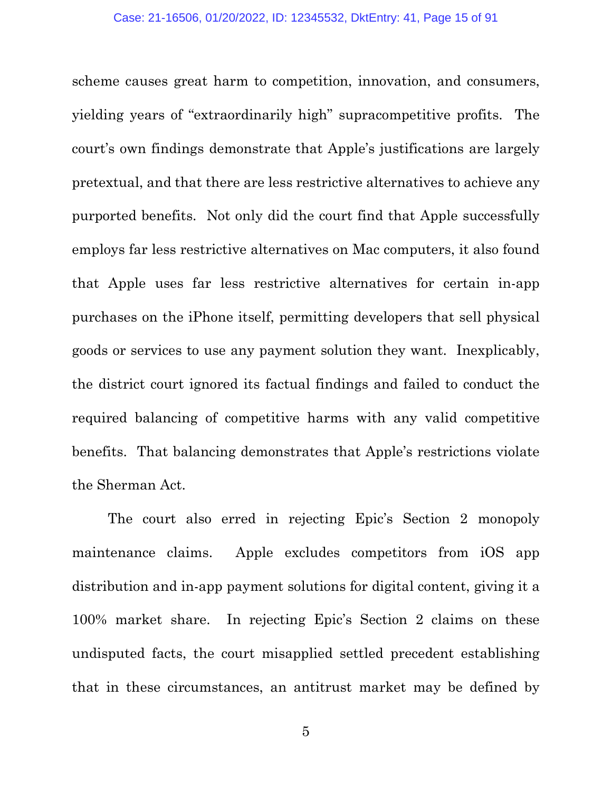scheme causes great harm to competition, innovation, and consumers, yielding years of "extraordinarily high" supracompetitive profits. The court's own findings demonstrate that Apple's justifications are largely pretextual, and that there are less restrictive alternatives to achieve any purported benefits. Not only did the court find that Apple successfully employs far less restrictive alternatives on Mac computers, it also found that Apple uses far less restrictive alternatives for certain in-app purchases on the iPhone itself, permitting developers that sell physical goods or services to use any payment solution they want. Inexplicably, the district court ignored its factual findings and failed to conduct the required balancing of competitive harms with any valid competitive benefits. That balancing demonstrates that Apple's restrictions violate the Sherman Act.

The court also erred in rejecting Epic's Section 2 monopoly maintenance claims. Apple excludes competitors from iOS app distribution and in-app payment solutions for digital content, giving it a 100% market share. In rejecting Epic's Section 2 claims on these undisputed facts, the court misapplied settled precedent establishing that in these circumstances, an antitrust market may be defined by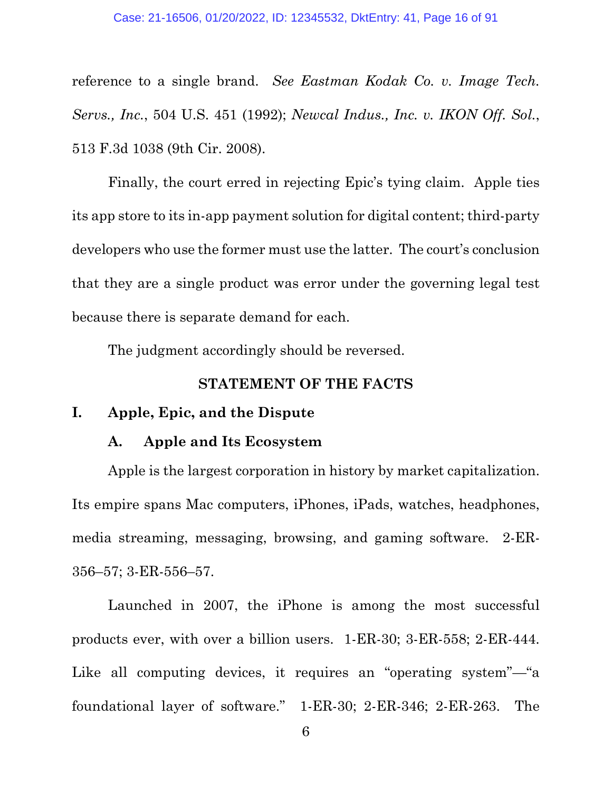reference to a single brand. *See Eastman Kodak Co. v. Image Tech. Servs., Inc.*, 504 U.S. 451 (1992); *Newcal Indus., Inc. v. IKON Off. Sol.*, 513 F.3d 1038 (9th Cir. 2008).

Finally, the court erred in rejecting Epic's tying claim. Apple ties its app store to its in-app payment solution for digital content; third-party developers who use the former must use the latter. The court's conclusion that they are a single product was error under the governing legal test because there is separate demand for each.

The judgment accordingly should be reversed.

#### **STATEMENT OF THE FACTS**

#### **I. Apple, Epic, and the Dispute**

#### **A. Apple and Its Ecosystem**

Apple is the largest corporation in history by market capitalization. Its empire spans Mac computers, iPhones, iPads, watches, headphones, media streaming, messaging, browsing, and gaming software. 2-ER-356–57; 3-ER-556–57.

Launched in 2007, the iPhone is among the most successful products ever, with over a billion users. 1-ER-30; 3-ER-558; 2-ER-444. Like all computing devices, it requires an "operating system"—"a foundational layer of software." 1-ER-30; 2-ER-346; 2-ER-263. The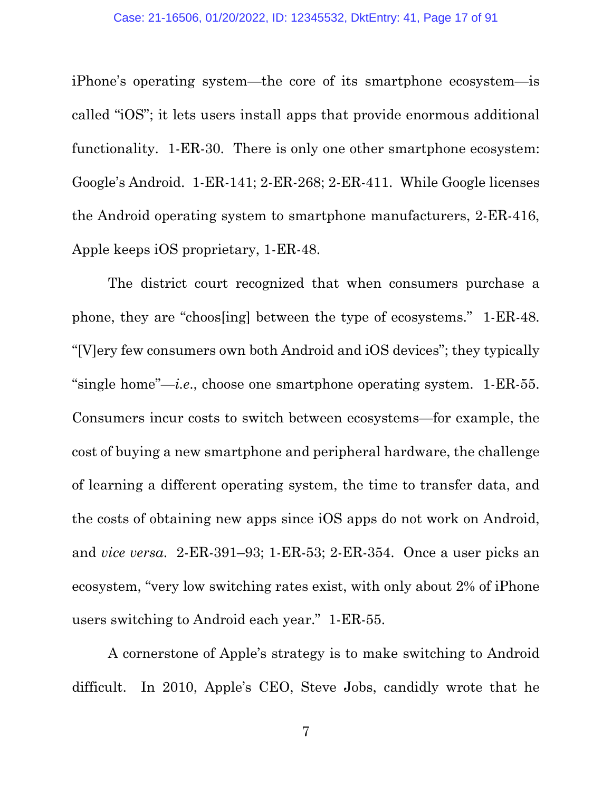iPhone's operating system—the core of its smartphone ecosystem—is called "iOS"; it lets users install apps that provide enormous additional functionality. 1-ER-30. There is only one other smartphone ecosystem: Google's Android. 1-ER-141; 2-ER-268; 2-ER-411. While Google licenses the Android operating system to smartphone manufacturers, 2-ER-416, Apple keeps iOS proprietary, 1-ER-48.

The district court recognized that when consumers purchase a phone, they are "choos[ing] between the type of ecosystems." 1-ER-48. "[V]ery few consumers own both Android and iOS devices"; they typically "single home"—*i.e*., choose one smartphone operating system. 1-ER-55. Consumers incur costs to switch between ecosystems—for example, the cost of buying a new smartphone and peripheral hardware, the challenge of learning a different operating system, the time to transfer data, and the costs of obtaining new apps since iOS apps do not work on Android, and *vice versa*. 2-ER-391–93; 1-ER-53; 2-ER-354. Once a user picks an ecosystem, "very low switching rates exist, with only about 2% of iPhone users switching to Android each year." 1-ER-55.

A cornerstone of Apple's strategy is to make switching to Android difficult. In 2010, Apple's CEO, Steve Jobs, candidly wrote that he

7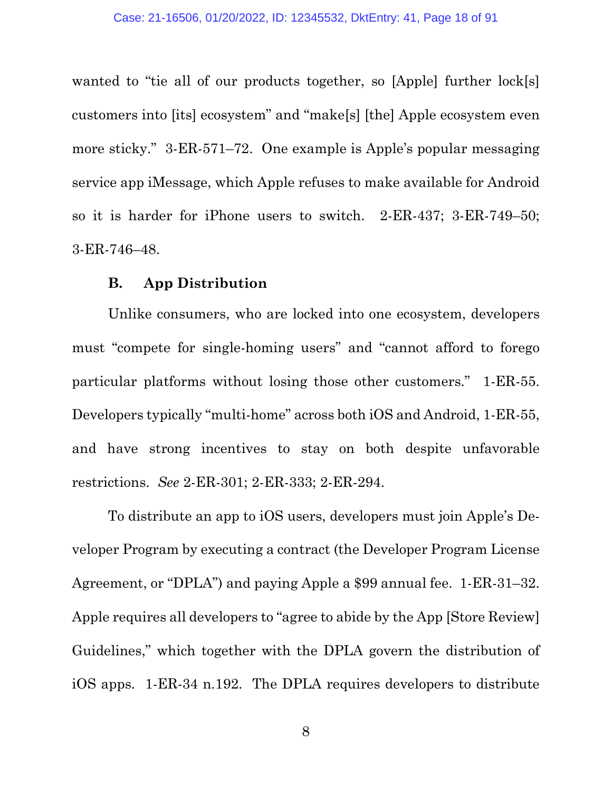wanted to "tie all of our products together, so [Apple] further  $lock[s]$ customers into [its] ecosystem" and "make[s] [the] Apple ecosystem even more sticky." 3-ER-571–72. One example is Apple's popular messaging service app iMessage, which Apple refuses to make available for Android so it is harder for iPhone users to switch. 2-ER-437; 3-ER-749–50; 3-ER-746–48.

### **B. App Distribution**

Unlike consumers, who are locked into one ecosystem, developers must "compete for single-homing users" and "cannot afford to forego particular platforms without losing those other customers." 1-ER-55. Developers typically "multi-home" across both iOS and Android, 1-ER-55, and have strong incentives to stay on both despite unfavorable restrictions. *See* 2-ER-301; 2-ER-333; 2-ER-294.

To distribute an app to iOS users, developers must join Apple's Developer Program by executing a contract (the Developer Program License Agreement, or "DPLA") and paying Apple a \$99 annual fee. 1-ER-31–32. Apple requires all developers to "agree to abide by the App [Store Review] Guidelines," which together with the DPLA govern the distribution of iOS apps. 1-ER-34 n.192. The DPLA requires developers to distribute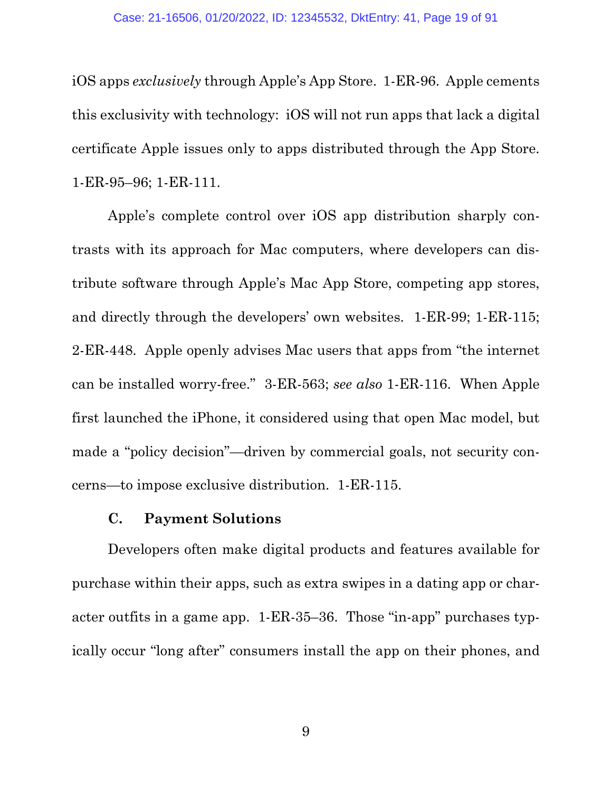iOS apps *exclusively* through Apple's App Store. 1-ER-96. Apple cements this exclusivity with technology: iOS will not run apps that lack a digital certificate Apple issues only to apps distributed through the App Store. 1-ER-95–96; 1-ER-111.

Apple's complete control over iOS app distribution sharply contrasts with its approach for Mac computers, where developers can distribute software through Apple's Mac App Store, competing app stores, and directly through the developers' own websites. 1-ER-99; 1-ER-115; 2-ER-448. Apple openly advises Mac users that apps from "the internet can be installed worry-free." 3-ER-563; *see also* 1-ER-116. When Apple first launched the iPhone, it considered using that open Mac model, but made a "policy decision"—driven by commercial goals, not security concerns—to impose exclusive distribution. 1-ER-115.

### **C. Payment Solutions**

Developers often make digital products and features available for purchase within their apps, such as extra swipes in a dating app or character outfits in a game app. 1-ER-35–36. Those "in-app" purchases typically occur "long after" consumers install the app on their phones, and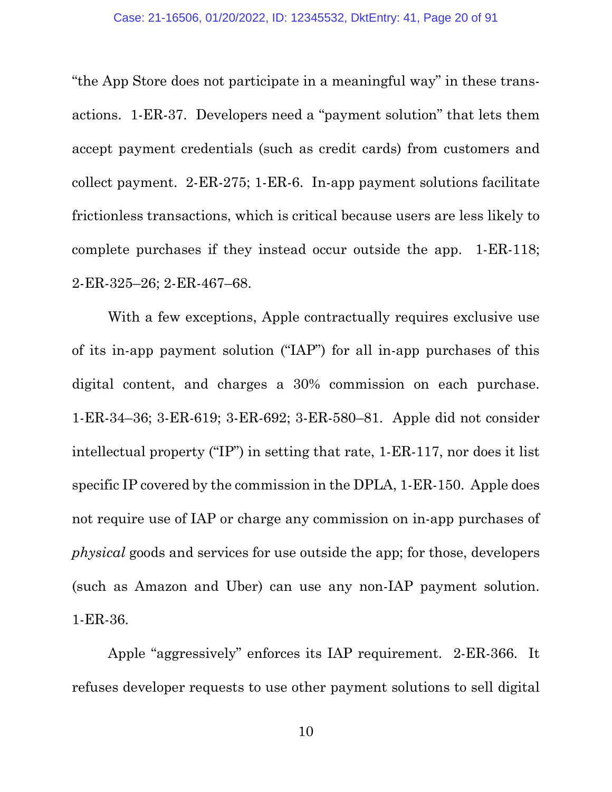"the App Store does not participate in a meaningful way" in these transactions. 1-ER-37. Developers need a "payment solution" that lets them accept payment credentials (such as credit cards) from customers and collect payment. 2-ER-275; 1-ER-6. In-app payment solutions facilitate frictionless transactions, which is critical because users are less likely to complete purchases if they instead occur outside the app. 1-ER-118; 2-ER-325–26; 2-ER-467–68.

With a few exceptions, Apple contractually requires exclusive use of its in-app payment solution ("IAP") for all in-app purchases of this digital content, and charges a 30% commission on each purchase. 1-ER-34–36; 3-ER-619; 3-ER-692; 3-ER-580–81. Apple did not consider intellectual property ("IP") in setting that rate, 1-ER-117, nor does it list specific IP covered by the commission in the DPLA, 1-ER-150. Apple does not require use of IAP or charge any commission on in-app purchases of *physical* goods and services for use outside the app; for those, developers (such as Amazon and Uber) can use any non-IAP payment solution. 1-ER-36.

Apple "aggressively" enforces its IAP requirement. 2-ER-366. It refuses developer requests to use other payment solutions to sell digital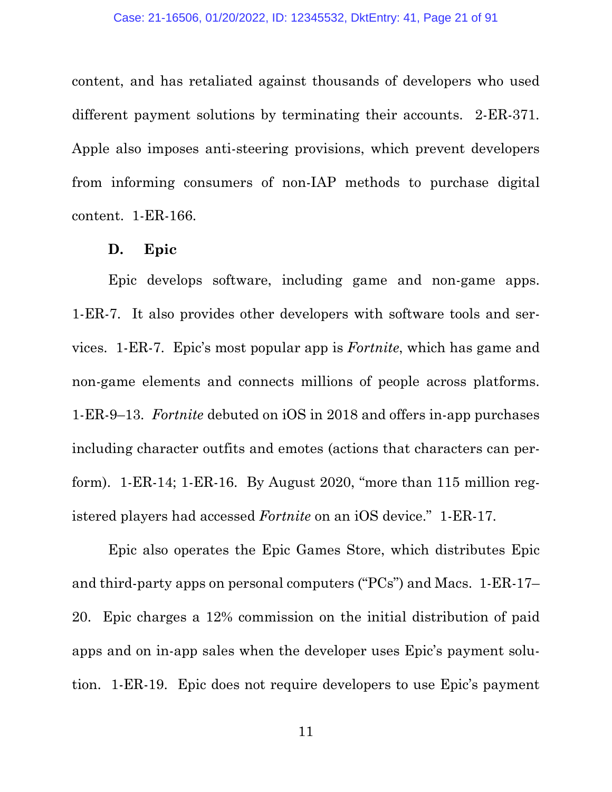content, and has retaliated against thousands of developers who used different payment solutions by terminating their accounts. 2-ER-371. Apple also imposes anti-steering provisions, which prevent developers from informing consumers of non-IAP methods to purchase digital content. 1-ER-166.

#### **D. Epic**

Epic develops software, including game and non-game apps. 1-ER-7. It also provides other developers with software tools and services. 1-ER-7. Epic's most popular app is *Fortnite*, which has game and non-game elements and connects millions of people across platforms. 1-ER-9–13. *Fortnite* debuted on iOS in 2018 and offers in-app purchases including character outfits and emotes (actions that characters can perform). 1-ER-14; 1-ER-16. By August 2020, "more than 115 million registered players had accessed *Fortnite* on an iOS device." 1-ER-17.

Epic also operates the Epic Games Store, which distributes Epic and third-party apps on personal computers ("PCs") and Macs. 1-ER-17– 20. Epic charges a 12% commission on the initial distribution of paid apps and on in-app sales when the developer uses Epic's payment solution. 1-ER-19. Epic does not require developers to use Epic's payment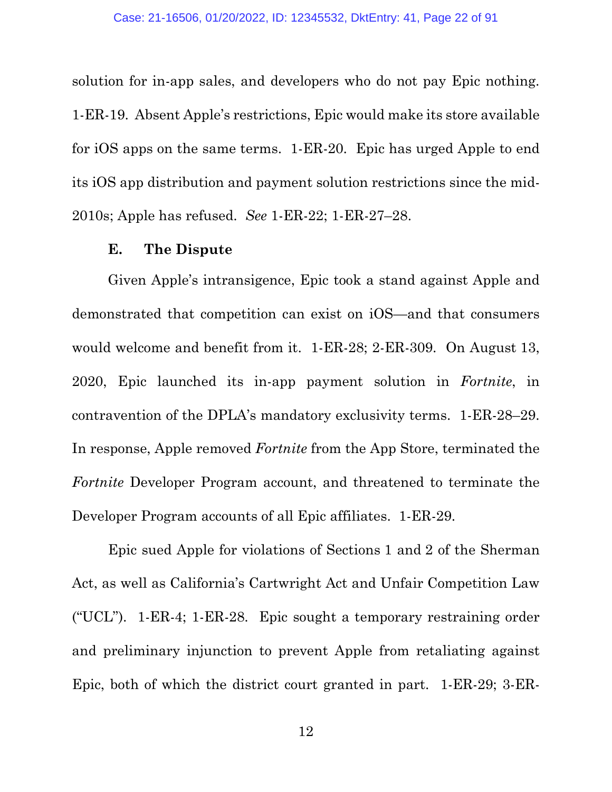solution for in-app sales, and developers who do not pay Epic nothing. 1-ER-19. Absent Apple's restrictions, Epic would make its store available for iOS apps on the same terms. 1-ER-20. Epic has urged Apple to end its iOS app distribution and payment solution restrictions since the mid-2010s; Apple has refused. *See* 1-ER-22; 1-ER-27–28.

#### **E. The Dispute**

Given Apple's intransigence, Epic took a stand against Apple and demonstrated that competition can exist on iOS—and that consumers would welcome and benefit from it. 1-ER-28; 2-ER-309. On August 13, 2020, Epic launched its in-app payment solution in *Fortnite*, in contravention of the DPLA's mandatory exclusivity terms. 1-ER-28–29. In response, Apple removed *Fortnite* from the App Store, terminated the *Fortnite* Developer Program account, and threatened to terminate the Developer Program accounts of all Epic affiliates. 1-ER-29.

Epic sued Apple for violations of Sections 1 and 2 of the Sherman Act, as well as California's Cartwright Act and Unfair Competition Law ("UCL").  $1$ -ER-4;  $1$ -ER-28. Epic sought a temporary restraining order and preliminary injunction to prevent Apple from retaliating against Epic, both of which the district court granted in part. 1-ER-29; 3-ER-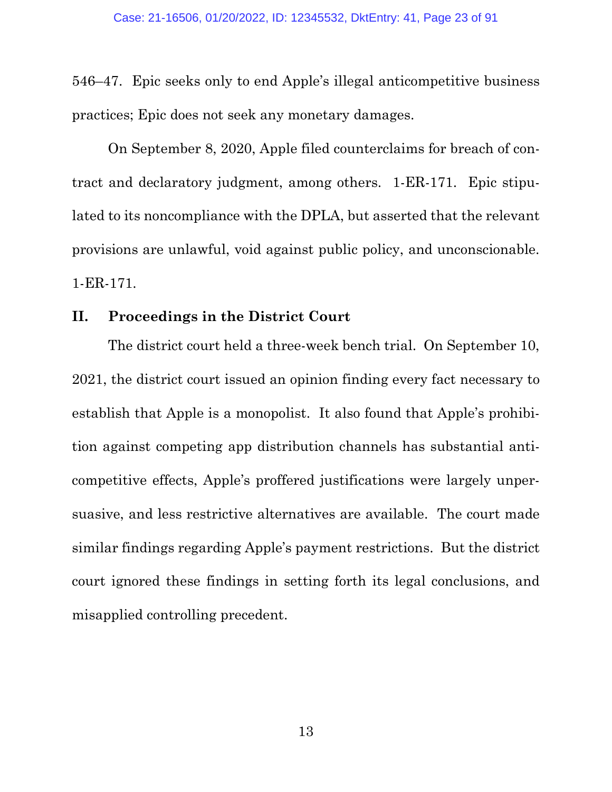546–47. Epic seeks only to end Apple's illegal anticompetitive business practices; Epic does not seek any monetary damages.

On September 8, 2020, Apple filed counterclaims for breach of contract and declaratory judgment, among others. 1-ER-171. Epic stipulated to its noncompliance with the DPLA, but asserted that the relevant provisions are unlawful, void against public policy, and unconscionable. 1-ER-171.

### **II. Proceedings in the District Court**

The district court held a three-week bench trial. On September 10, 2021, the district court issued an opinion finding every fact necessary to establish that Apple is a monopolist. It also found that Apple's prohibition against competing app distribution channels has substantial anticompetitive effects, Apple's proffered justifications were largely unpersuasive, and less restrictive alternatives are available. The court made similar findings regarding Apple's payment restrictions. But the district court ignored these findings in setting forth its legal conclusions, and misapplied controlling precedent.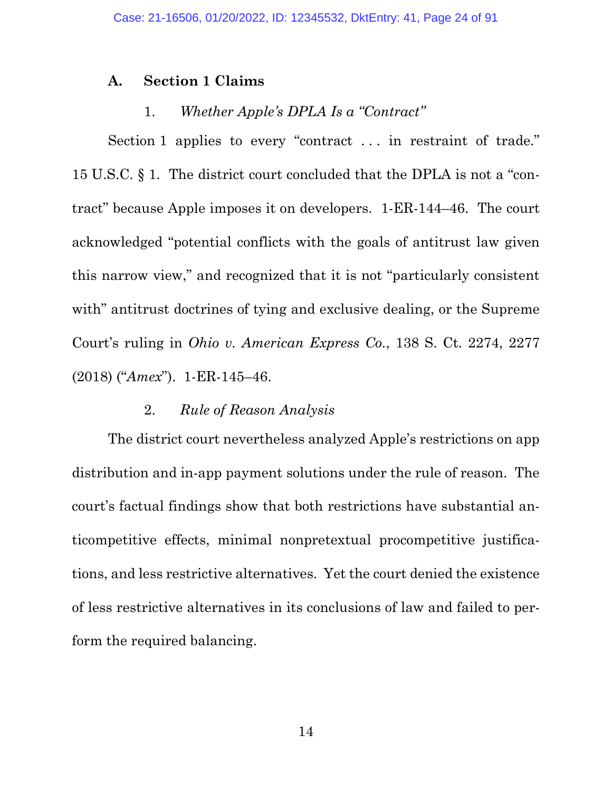### **A. Section 1 Claims**

### 1. *Whether Apple's DPLA Is a "Contract"*

Section 1 applies to every "contract ... in restraint of trade." 15 U.S.C. § 1. The district court concluded that the DPLA is not a "contract" because Apple imposes it on developers. 1-ER-144–46. The court acknowledged "potential conflicts with the goals of antitrust law given this narrow view," and recognized that it is not "particularly consistent with" antitrust doctrines of tying and exclusive dealing, or the Supreme Court's ruling in *Ohio v. American Express Co.*, 138 S. Ct. 2274, 2277 (2018) ("*Amex*"). 1-ER-145–46.

#### 2. *Rule of Reason Analysis*

The district court nevertheless analyzed Apple's restrictions on app distribution and in-app payment solutions under the rule of reason. The court's factual findings show that both restrictions have substantial anticompetitive effects, minimal nonpretextual procompetitive justifications, and less restrictive alternatives. Yet the court denied the existence of less restrictive alternatives in its conclusions of law and failed to perform the required balancing.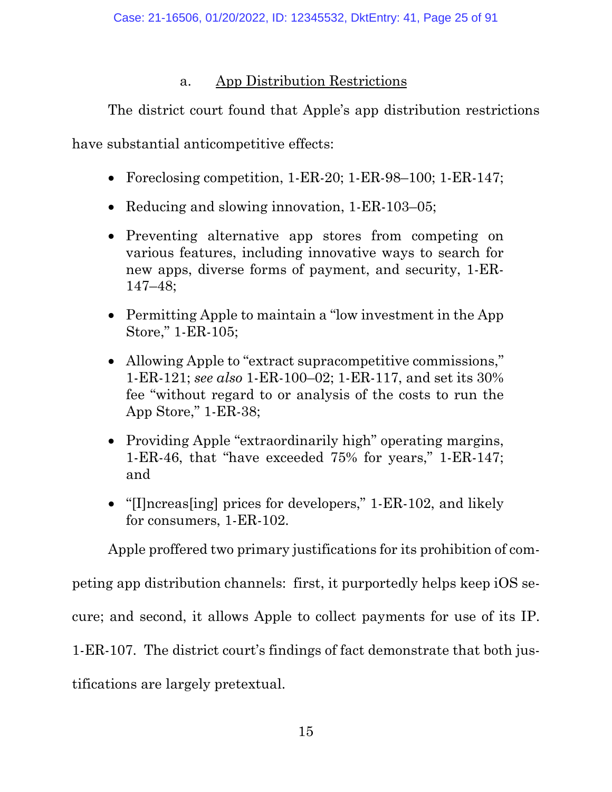# a. App Distribution Restrictions

The district court found that Apple's app distribution restrictions

have substantial anticompetitive effects:

- Foreclosing competition, 1-ER-20; 1-ER-98–100; 1-ER-147;
- Reducing and slowing innovation, 1-ER-103-05;
- Preventing alternative app stores from competing on various features, including innovative ways to search for new apps, diverse forms of payment, and security, 1-ER-147–48;
- Permitting Apple to maintain a "low investment in the App Store," 1-ER-105;
- Allowing Apple to "extract supracompetitive commissions," 1-ER-121; *see also* 1-ER-100–02; 1-ER-117, and set its 30% fee "without regard to or analysis of the costs to run the App Store," 1-ER-38;
- Providing Apple "extraordinarily high" operating margins, 1-ER-46, that "have exceeded 75% for years," 1-ER-147; and
- "[I]ncreas[ing] prices for developers," 1-ER-102, and likely for consumers, 1-ER-102.

Apple proffered two primary justifications for its prohibition of com-

peting app distribution channels: first, it purportedly helps keep iOS se-

cure; and second, it allows Apple to collect payments for use of its IP.

1-ER-107. The district court's findings of fact demonstrate that both jus-

tifications are largely pretextual.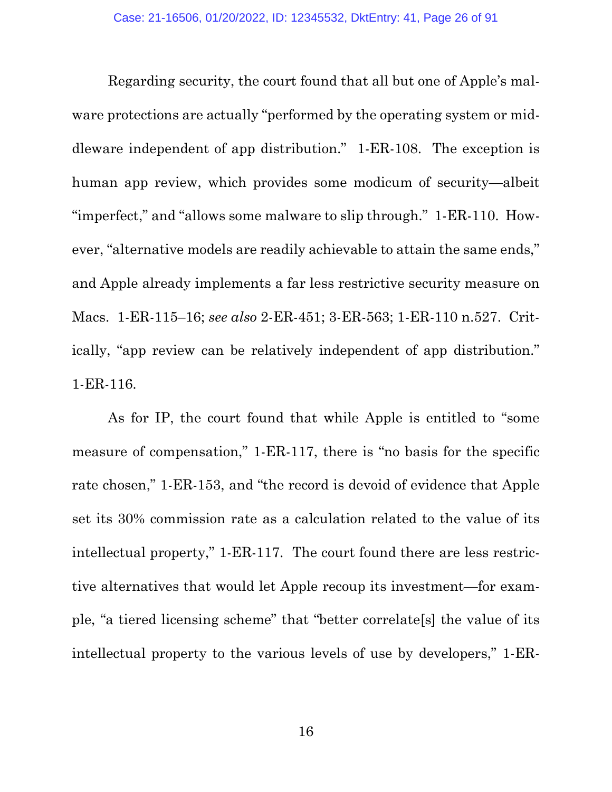Regarding security, the court found that all but one of Apple's malware protections are actually "performed by the operating system or middleware independent of app distribution." 1-ER-108. The exception is human app review, which provides some modicum of security—albeit "imperfect," and "allows some malware to slip through." 1-ER-110. However, "alternative models are readily achievable to attain the same ends," and Apple already implements a far less restrictive security measure on Macs. 1-ER-115–16; *see also* 2-ER-451; 3-ER-563; 1-ER-110 n.527. Critically, "app review can be relatively independent of app distribution." 1-ER-116.

As for IP, the court found that while Apple is entitled to "some measure of compensation," 1-ER-117, there is "no basis for the specific rate chosen," 1-ER-153, and "the record is devoid of evidence that Apple set its 30% commission rate as a calculation related to the value of its intellectual property," 1-ER-117. The court found there are less restrictive alternatives that would let Apple recoup its investment—for example, "a tiered licensing scheme" that "better correlate[s] the value of its intellectual property to the various levels of use by developers," 1-ER-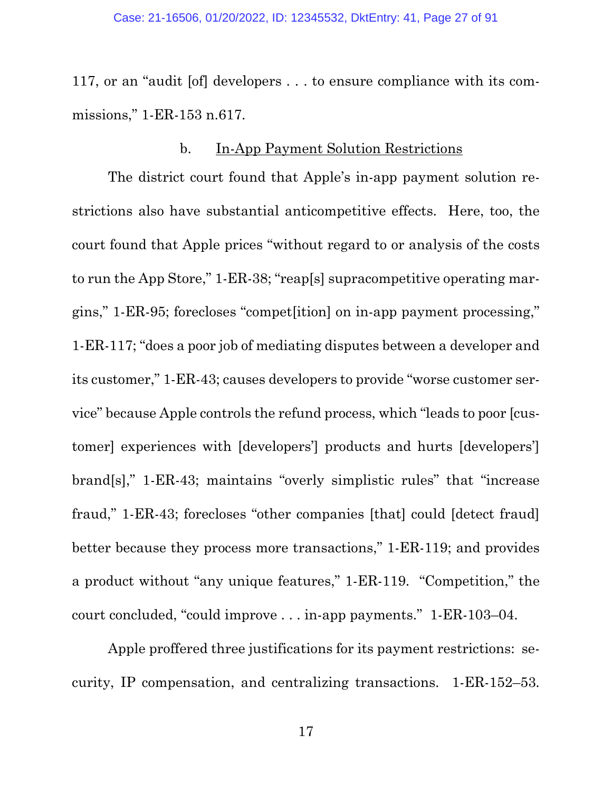117, or an "audit [of] developers . . . to ensure compliance with its commissions," 1-ER-153 n.617.

#### b. In-App Payment Solution Restrictions

The district court found that Apple's in-app payment solution restrictions also have substantial anticompetitive effects. Here, too, the court found that Apple prices "without regard to or analysis of the costs to run the App Store," 1-ER-38; "reap[s] supracompetitive operating margins," 1-ER-95; forecloses "compet[ition] on in-app payment processing," 1-ER-117; "does a poor job of mediating disputes between a developer and its customer," 1-ER-43; causes developers to provide "worse customer service" because Apple controls the refund process, which "leads to poor [customer] experiences with [developers'] products and hurts [developers'] brand[s]," 1-ER-43; maintains "overly simplistic rules" that "increase fraud," 1-ER-43; forecloses "other companies [that] could [detect fraud] better because they process more transactions," 1-ER-119; and provides a product without "any unique features," 1-ER-119. "Competition," the court concluded, "could improve . . . in-app payments." 1-ER-103–04.

Apple proffered three justifications for its payment restrictions: security, IP compensation, and centralizing transactions. 1-ER-152–53.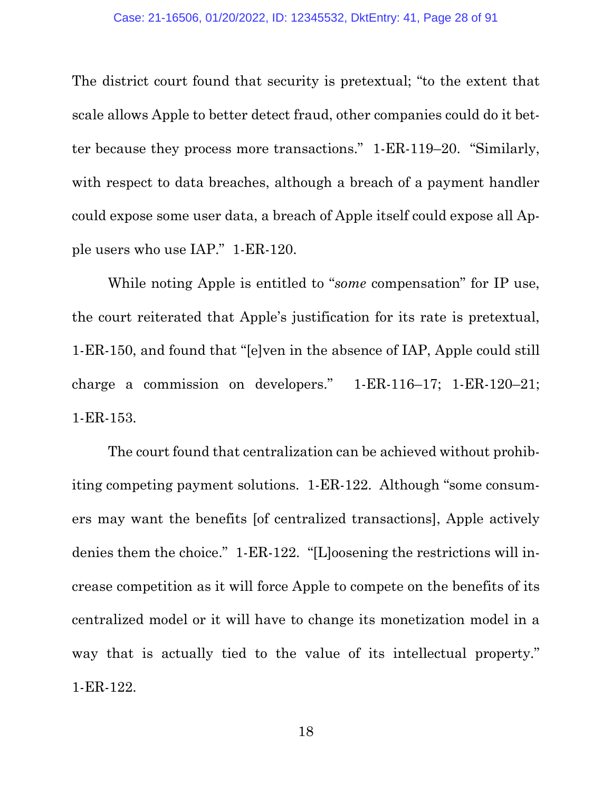The district court found that security is pretextual; "to the extent that scale allows Apple to better detect fraud, other companies could do it better because they process more transactions." 1-ER-119–20. "Similarly, with respect to data breaches, although a breach of a payment handler could expose some user data, a breach of Apple itself could expose all Apple users who use IAP." 1-ER-120.

While noting Apple is entitled to "*some* compensation" for IP use, the court reiterated that Apple's justification for its rate is pretextual, 1-ER-150, and found that "[e]ven in the absence of IAP, Apple could still charge a commission on developers." 1-ER-116–17; 1-ER-120–21; 1-ER-153.

The court found that centralization can be achieved without prohibiting competing payment solutions. 1-ER-122. Although "some consumers may want the benefits [of centralized transactions], Apple actively denies them the choice." 1-ER-122. "[L]oosening the restrictions will increase competition as it will force Apple to compete on the benefits of its centralized model or it will have to change its monetization model in a way that is actually tied to the value of its intellectual property." 1-ER-122.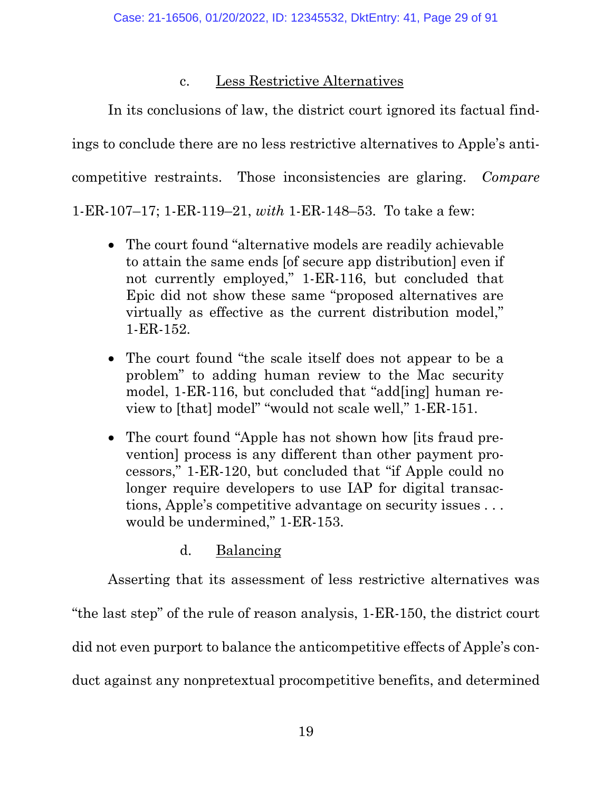# c. Less Restrictive Alternatives

In its conclusions of law, the district court ignored its factual findings to conclude there are no less restrictive alternatives to Apple's anticompetitive restraints. Those inconsistencies are glaring. *Compare* 1-ER-107–17; 1-ER-119–21, *with* 1-ER-148–53. To take a few:

- The court found "alternative models are readily achievable to attain the same ends [of secure app distribution] even if not currently employed," 1-ER-116, but concluded that Epic did not show these same "proposed alternatives are virtually as effective as the current distribution model," 1-ER-152.
- The court found "the scale itself does not appear to be a problem" to adding human review to the Mac security model, 1-ER-116, but concluded that "add[ing] human review to [that] model" "would not scale well," 1-ER-151.
- The court found "Apple has not shown how [its fraud prevention] process is any different than other payment processors," 1-ER-120, but concluded that "if Apple could no longer require developers to use IAP for digital transactions, Apple's competitive advantage on security issues . . . would be undermined," 1-ER-153.
	- d. Balancing

Asserting that its assessment of less restrictive alternatives was "the last step" of the rule of reason analysis, 1-ER-150, the district court did not even purport to balance the anticompetitive effects of Apple's conduct against any nonpretextual procompetitive benefits, and determined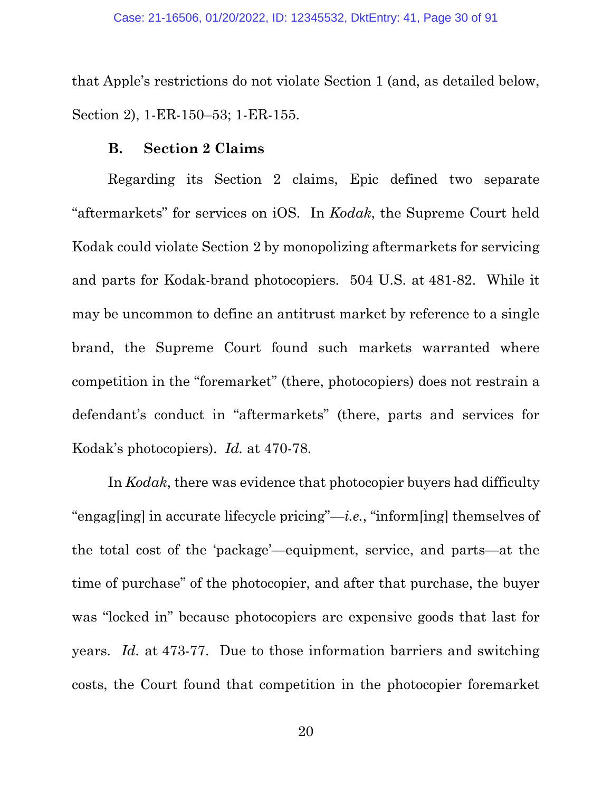that Apple's restrictions do not violate Section 1 (and, as detailed below, Section 2), 1-ER-150–53; 1-ER-155.

#### **B. Section 2 Claims**

Regarding its Section 2 claims, Epic defined two separate "aftermarkets" for services on iOS. In *Kodak*, the Supreme Court held Kodak could violate Section 2 by monopolizing aftermarkets for servicing and parts for Kodak-brand photocopiers. 504 U.S. at 481-82. While it may be uncommon to define an antitrust market by reference to a single brand, the Supreme Court found such markets warranted where competition in the "foremarket" (there, photocopiers) does not restrain a defendant's conduct in "aftermarkets" (there, parts and services for Kodak's photocopiers). *Id.* at 470-78.

In *Kodak*, there was evidence that photocopier buyers had difficulty "engag[ing] in accurate lifecycle pricing"—*i.e.*, "inform[ing] themselves of the total cost of the 'package'—equipment, service, and parts—at the time of purchase" of the photocopier, and after that purchase, the buyer was "locked in" because photocopiers are expensive goods that last for years. *Id.* at 473-77. Due to those information barriers and switching costs, the Court found that competition in the photocopier foremarket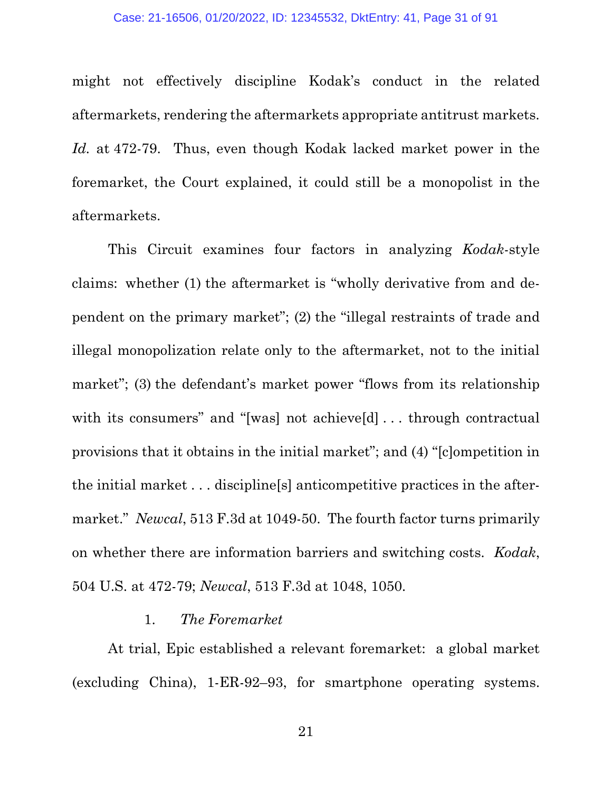might not effectively discipline Kodak's conduct in the related aftermarkets, rendering the aftermarkets appropriate antitrust markets. *Id.* at 472-79. Thus, even though Kodak lacked market power in the foremarket, the Court explained, it could still be a monopolist in the aftermarkets.

This Circuit examines four factors in analyzing *Kodak*-style claims: whether (1) the aftermarket is "wholly derivative from and dependent on the primary market"; (2) the "illegal restraints of trade and illegal monopolization relate only to the aftermarket, not to the initial market"; (3) the defendant's market power "flows from its relationship with its consumers" and "[was] not achieve[d] ... through contractual provisions that it obtains in the initial market"; and (4) "[c]ompetition in the initial market . . . discipline[s] anticompetitive practices in the aftermarket." *Newcal*, 513 F.3d at 1049-50. The fourth factor turns primarily on whether there are information barriers and switching costs. *Kodak*, 504 U.S. at 472-79; *Newcal*, 513 F.3d at 1048, 1050.

#### 1. *The Foremarket*

At trial, Epic established a relevant foremarket: a global market (excluding China), 1-ER-92–93, for smartphone operating systems.

21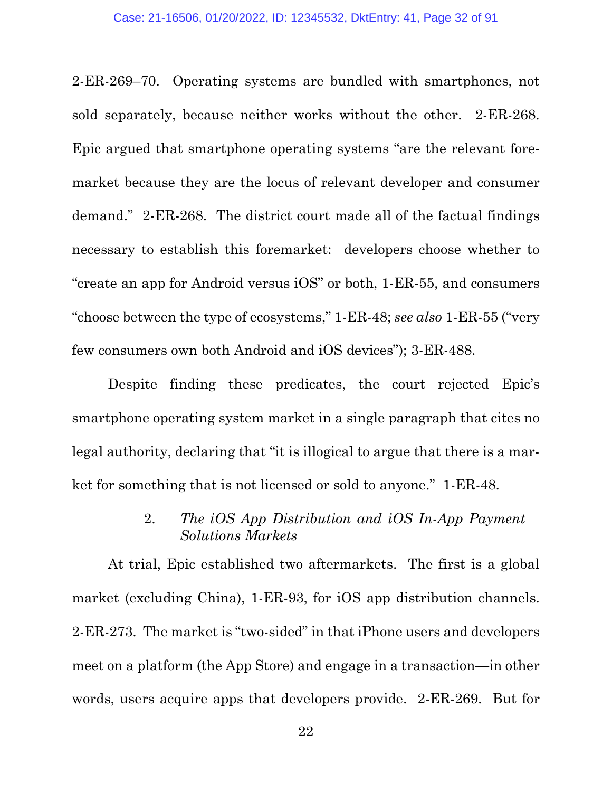2-ER-269–70. Operating systems are bundled with smartphones, not sold separately, because neither works without the other. 2-ER-268. Epic argued that smartphone operating systems "are the relevant foremarket because they are the locus of relevant developer and consumer demand." 2-ER-268. The district court made all of the factual findings necessary to establish this foremarket: developers choose whether to "create an app for Android versus iOS" or both, 1-ER-55, and consumers "choose between the type of ecosystems," 1-ER-48; *see also* 1-ER-55 ("very few consumers own both Android and iOS devices"); 3-ER-488.

Despite finding these predicates, the court rejected Epic's smartphone operating system market in a single paragraph that cites no legal authority, declaring that "it is illogical to argue that there is a market for something that is not licensed or sold to anyone." 1-ER-48.

## 2. *The iOS App Distribution and iOS In-App Payment Solutions Markets*

At trial, Epic established two aftermarkets. The first is a global market (excluding China), 1-ER-93, for iOS app distribution channels. 2-ER-273. The market is "two-sided" in that iPhone users and developers meet on a platform (the App Store) and engage in a transaction—in other words, users acquire apps that developers provide. 2-ER-269. But for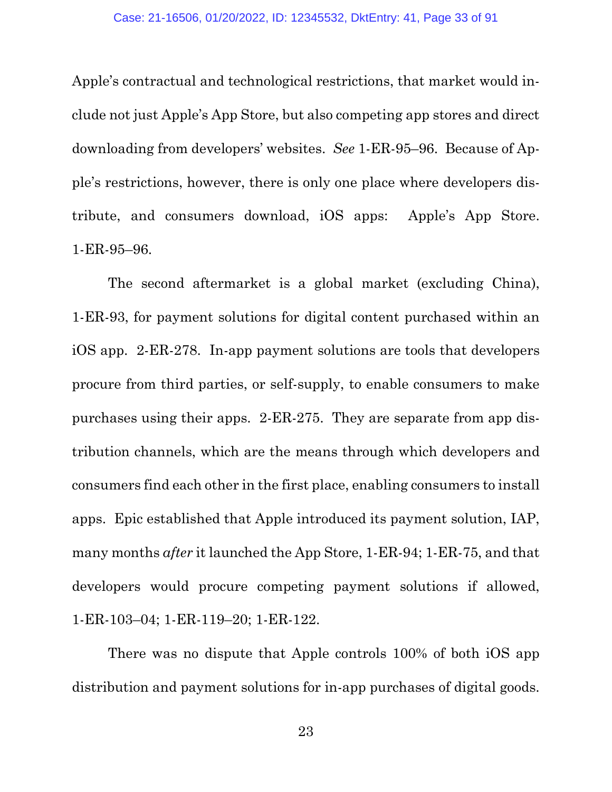Apple's contractual and technological restrictions, that market would include not just Apple's App Store, but also competing app stores and direct downloading from developers' websites. *See* 1-ER-95–96. Because of Apple's restrictions, however, there is only one place where developers distribute, and consumers download, iOS apps: Apple's App Store. 1-ER-95–96.

The second aftermarket is a global market (excluding China), 1-ER-93, for payment solutions for digital content purchased within an iOS app. 2-ER-278. In-app payment solutions are tools that developers procure from third parties, or self-supply, to enable consumers to make purchases using their apps. 2-ER-275. They are separate from app distribution channels, which are the means through which developers and consumers find each other in the first place, enabling consumers to install apps. Epic established that Apple introduced its payment solution, IAP, many months *after* it launched the App Store, 1-ER-94; 1-ER-75, and that developers would procure competing payment solutions if allowed, 1-ER-103–04; 1-ER-119–20; 1-ER-122.

There was no dispute that Apple controls 100% of both iOS app distribution and payment solutions for in-app purchases of digital goods.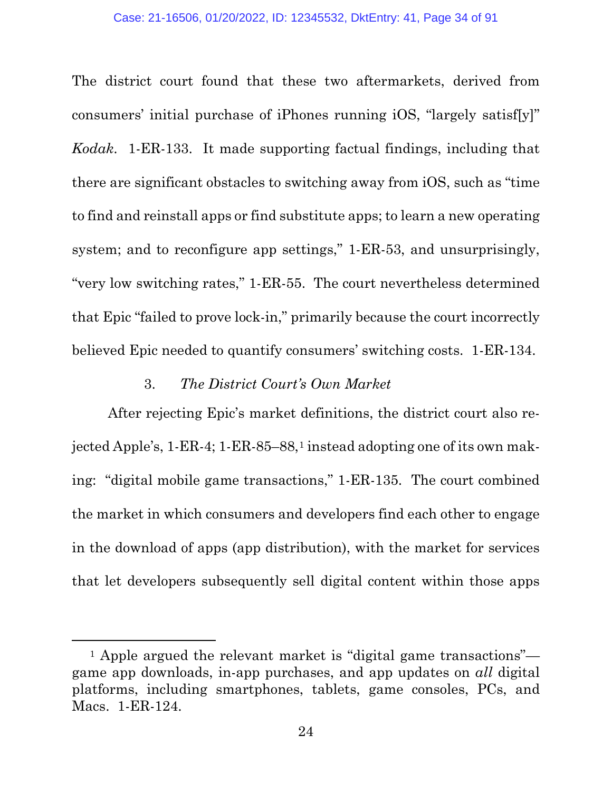The district court found that these two aftermarkets, derived from consumers' initial purchase of iPhones running iOS, "largely satisf[y]" *Kodak*. 1-ER-133. It made supporting factual findings, including that there are significant obstacles to switching away from iOS, such as "time to find and reinstall apps or find substitute apps; to learn a new operating system; and to reconfigure app settings," 1-ER-53, and unsurprisingly, "very low switching rates," 1-ER-55. The court nevertheless determined that Epic "failed to prove lock-in," primarily because the court incorrectly believed Epic needed to quantify consumers' switching costs. 1-ER-134.

### 3. *The District Court's Own Market*

After rejecting Epic's market definitions, the district court also re-jected Apple's, [1](#page-33-0)-ER-4; 1-ER-85–88,<sup>1</sup> instead adopting one of its own making: "digital mobile game transactions," 1-ER-135. The court combined the market in which consumers and developers find each other to engage in the download of apps (app distribution), with the market for services that let developers subsequently sell digital content within those apps

<span id="page-33-0"></span><sup>1</sup> Apple argued the relevant market is "digital game transactions" game app downloads, in-app purchases, and app updates on *all* digital platforms, including smartphones, tablets, game consoles, PCs, and Macs. 1-ER-124.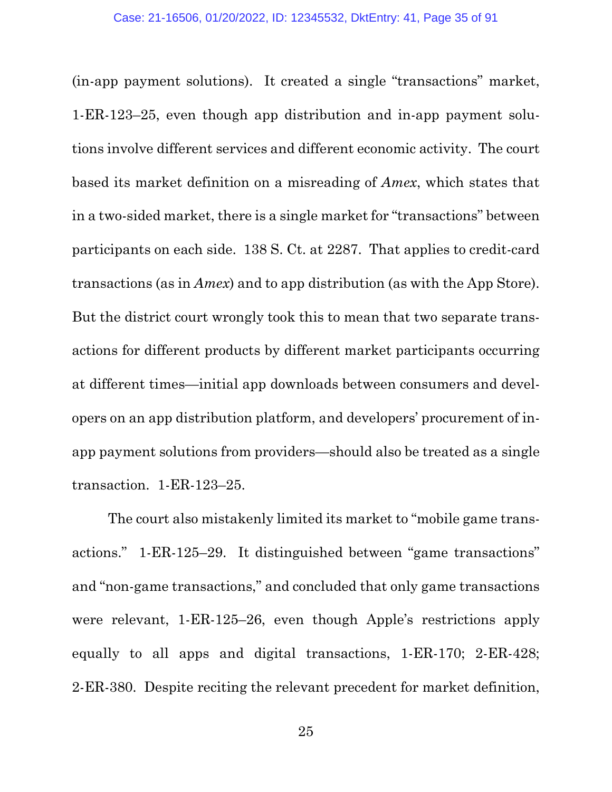(in-app payment solutions). It created a single "transactions" market, 1-ER-123–25, even though app distribution and in-app payment solutions involve different services and different economic activity. The court based its market definition on a misreading of *Amex*, which states that in a two-sided market, there is a single market for "transactions" between participants on each side. 138 S. Ct. at 2287. That applies to credit-card transactions (as in *Amex*) and to app distribution (as with the App Store). But the district court wrongly took this to mean that two separate transactions for different products by different market participants occurring at different times—initial app downloads between consumers and developers on an app distribution platform, and developers' procurement of inapp payment solutions from providers—should also be treated as a single transaction. 1-ER-123–25.

The court also mistakenly limited its market to "mobile game transactions." 1-ER-125–29. It distinguished between "game transactions" and "non-game transactions," and concluded that only game transactions were relevant, 1-ER-125–26, even though Apple's restrictions apply equally to all apps and digital transactions, 1-ER-170; 2-ER-428; 2-ER-380. Despite reciting the relevant precedent for market definition,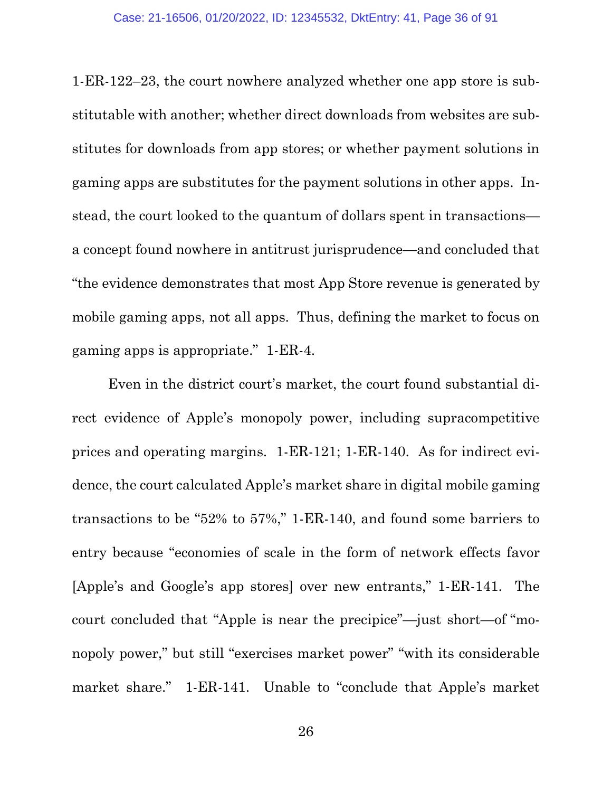1-ER-122–23, the court nowhere analyzed whether one app store is substitutable with another; whether direct downloads from websites are substitutes for downloads from app stores; or whether payment solutions in gaming apps are substitutes for the payment solutions in other apps. Instead, the court looked to the quantum of dollars spent in transactions a concept found nowhere in antitrust jurisprudence—and concluded that "the evidence demonstrates that most App Store revenue is generated by mobile gaming apps, not all apps. Thus, defining the market to focus on gaming apps is appropriate." 1-ER-4.

Even in the district court's market, the court found substantial direct evidence of Apple's monopoly power, including supracompetitive prices and operating margins. 1-ER-121; 1-ER-140. As for indirect evidence, the court calculated Apple's market share in digital mobile gaming transactions to be "52% to 57%," 1-ER-140, and found some barriers to entry because "economies of scale in the form of network effects favor [Apple's and Google's app stores] over new entrants," 1-ER-141. The court concluded that "Apple is near the precipice"—just short—of "monopoly power," but still "exercises market power" "with its considerable market share." 1-ER-141. Unable to "conclude that Apple's market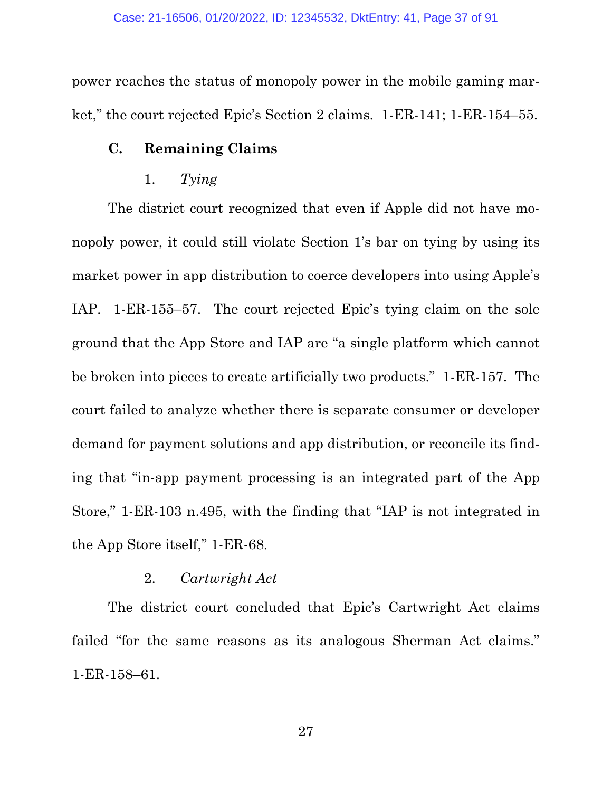power reaches the status of monopoly power in the mobile gaming market," the court rejected Epic's Section 2 claims. 1-ER-141; 1-ER-154–55.

## **C. Remaining Claims**

## 1. *Tying*

The district court recognized that even if Apple did not have monopoly power, it could still violate Section 1's bar on tying by using its market power in app distribution to coerce developers into using Apple's IAP. 1-ER-155–57. The court rejected Epic's tying claim on the sole ground that the App Store and IAP are "a single platform which cannot be broken into pieces to create artificially two products." 1-ER-157. The court failed to analyze whether there is separate consumer or developer demand for payment solutions and app distribution, or reconcile its finding that "in-app payment processing is an integrated part of the App Store," 1-ER-103 n.495, with the finding that "IAP is not integrated in the App Store itself," 1-ER-68.

## 2. *Cartwright Act*

The district court concluded that Epic's Cartwright Act claims failed "for the same reasons as its analogous Sherman Act claims." 1-ER-158–61.

27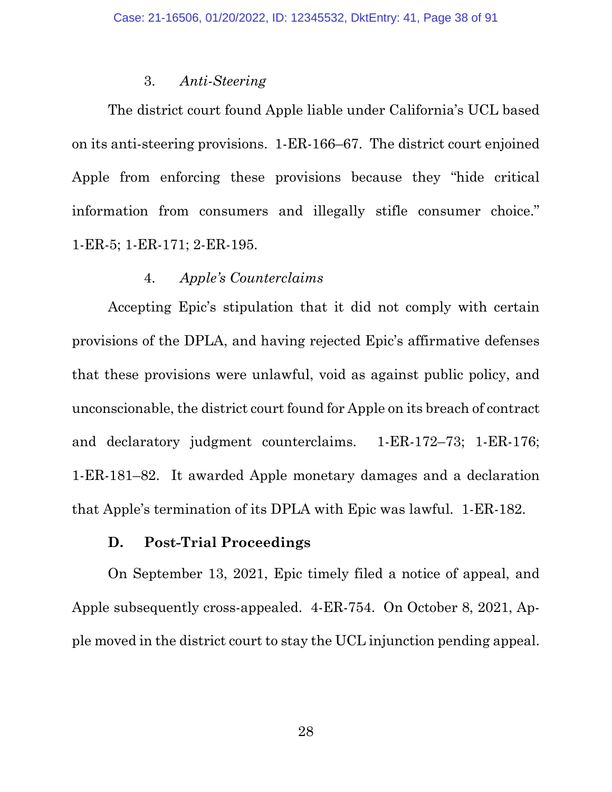### 3. *Anti-Steering*

The district court found Apple liable under California's UCL based on its anti-steering provisions. 1-ER-166–67. The district court enjoined Apple from enforcing these provisions because they "hide critical information from consumers and illegally stifle consumer choice." 1-ER-5; 1-ER-171; 2-ER-195.

### 4. *Apple's Counterclaims*

Accepting Epic's stipulation that it did not comply with certain provisions of the DPLA, and having rejected Epic's affirmative defenses that these provisions were unlawful, void as against public policy, and unconscionable, the district court found for Apple on its breach of contract and declaratory judgment counterclaims. 1-ER-172–73; 1-ER-176; 1-ER-181–82. It awarded Apple monetary damages and a declaration that Apple's termination of its DPLA with Epic was lawful. 1-ER-182.

## **D. Post-Trial Proceedings**

On September 13, 2021, Epic timely filed a notice of appeal, and Apple subsequently cross-appealed. 4-ER-754. On October 8, 2021, Apple moved in the district court to stay the UCL injunction pending appeal.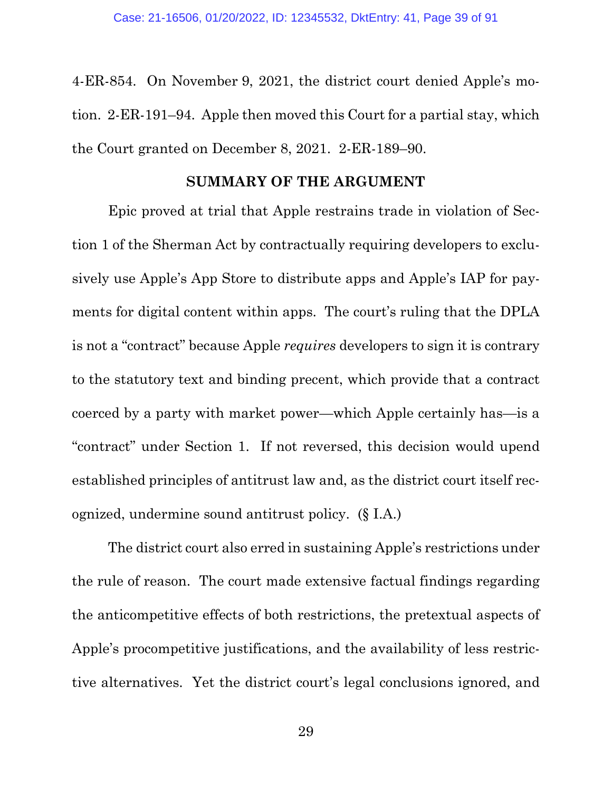4-ER-854. On November 9, 2021, the district court denied Apple's motion. 2-ER-191–94. Apple then moved this Court for a partial stay, which the Court granted on December 8, 2021. 2-ER-189–90.

## **SUMMARY OF THE ARGUMENT**

Epic proved at trial that Apple restrains trade in violation of Section 1 of the Sherman Act by contractually requiring developers to exclusively use Apple's App Store to distribute apps and Apple's IAP for payments for digital content within apps. The court's ruling that the DPLA is not a "contract" because Apple *requires* developers to sign it is contrary to the statutory text and binding precent, which provide that a contract coerced by a party with market power—which Apple certainly has—is a "contract" under Section 1. If not reversed, this decision would upend established principles of antitrust law and, as the district court itself recognized, undermine sound antitrust policy. (§ I.A.)

The district court also erred in sustaining Apple's restrictions under the rule of reason. The court made extensive factual findings regarding the anticompetitive effects of both restrictions, the pretextual aspects of Apple's procompetitive justifications, and the availability of less restrictive alternatives. Yet the district court's legal conclusions ignored, and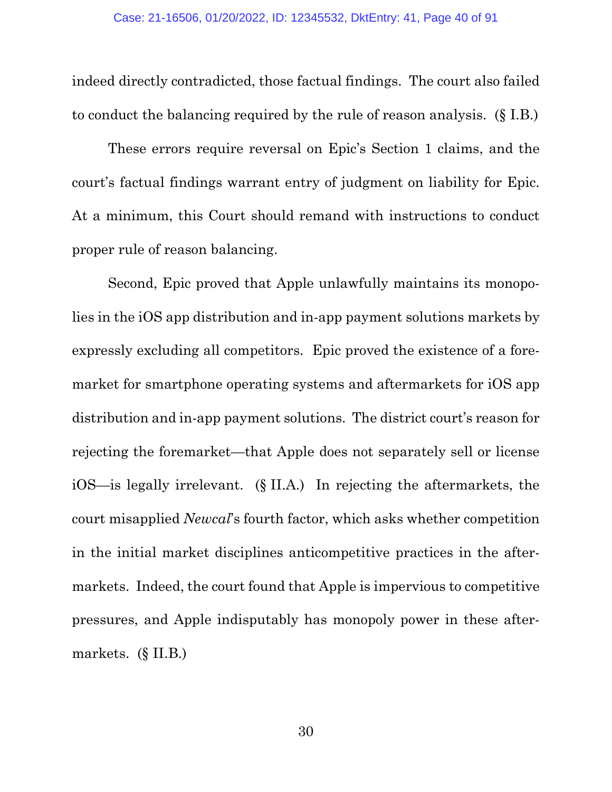indeed directly contradicted, those factual findings. The court also failed to conduct the balancing required by the rule of reason analysis. (§ I.B.)

These errors require reversal on Epic's Section 1 claims, and the court's factual findings warrant entry of judgment on liability for Epic. At a minimum, this Court should remand with instructions to conduct proper rule of reason balancing.

Second, Epic proved that Apple unlawfully maintains its monopolies in the iOS app distribution and in-app payment solutions markets by expressly excluding all competitors. Epic proved the existence of a foremarket for smartphone operating systems and aftermarkets for iOS app distribution and in-app payment solutions. The district court's reason for rejecting the foremarket—that Apple does not separately sell or license iOS—is legally irrelevant. (§ II.A.) In rejecting the aftermarkets, the court misapplied *Newcal*'s fourth factor, which asks whether competition in the initial market disciplines anticompetitive practices in the aftermarkets. Indeed, the court found that Apple is impervious to competitive pressures, and Apple indisputably has monopoly power in these aftermarkets. (§ II.B.)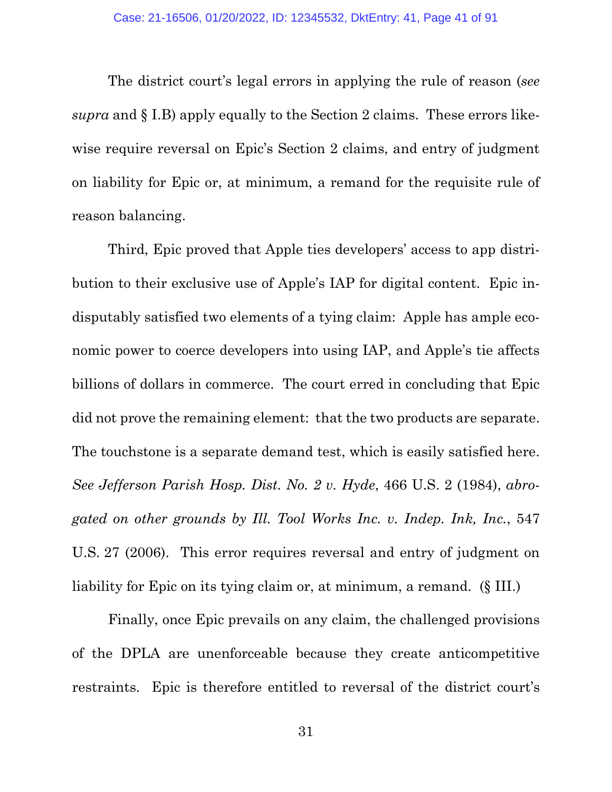The district court's legal errors in applying the rule of reason (*see supra* and § I.B) apply equally to the Section 2 claims. These errors likewise require reversal on Epic's Section 2 claims, and entry of judgment on liability for Epic or, at minimum, a remand for the requisite rule of reason balancing.

Third, Epic proved that Apple ties developers' access to app distribution to their exclusive use of Apple's IAP for digital content. Epic indisputably satisfied two elements of a tying claim: Apple has ample economic power to coerce developers into using IAP, and Apple's tie affects billions of dollars in commerce. The court erred in concluding that Epic did not prove the remaining element: that the two products are separate. The touchstone is a separate demand test, which is easily satisfied here. *See Jefferson Parish Hosp. Dist. No. 2 v. Hyde*, 466 U.S. 2 (1984), *abrogated on other grounds by Ill. Tool Works Inc. v. Indep. Ink, Inc.*, 547 U.S. 27 (2006). This error requires reversal and entry of judgment on liability for Epic on its tying claim or, at minimum, a remand. (§ III.)

Finally, once Epic prevails on any claim, the challenged provisions of the DPLA are unenforceable because they create anticompetitive restraints. Epic is therefore entitled to reversal of the district court's

31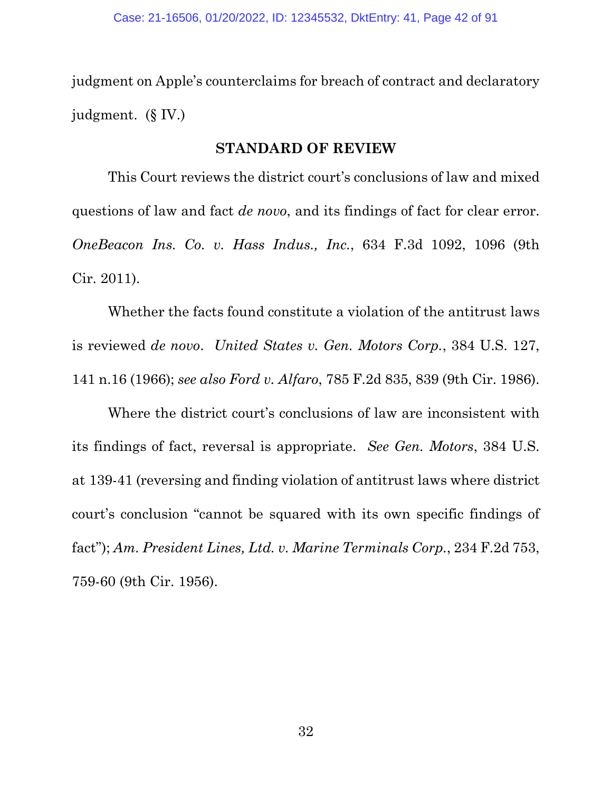judgment on Apple's counterclaims for breach of contract and declaratory judgment. (§ IV.)

### **STANDARD OF REVIEW**

This Court reviews the district court's conclusions of law and mixed questions of law and fact *de novo*, and its findings of fact for clear error. *OneBeacon Ins. Co. v. Hass Indus., Inc.*, 634 F.3d 1092, 1096 (9th Cir. 2011).

Whether the facts found constitute a violation of the antitrust laws is reviewed *de novo*. *United States v. Gen. Motors Corp.*, 384 U.S. 127, 141 n.16 (1966); *see also Ford v. Alfaro*, 785 F.2d 835, 839 (9th Cir. 1986).

Where the district court's conclusions of law are inconsistent with its findings of fact, reversal is appropriate. *See Gen. Motors*, 384 U.S. at 139-41 (reversing and finding violation of antitrust laws where district court's conclusion "cannot be squared with its own specific findings of fact"); *Am. President Lines, Ltd. v. Marine Terminals Corp.*, 234 F.2d 753, 759-60 (9th Cir. 1956).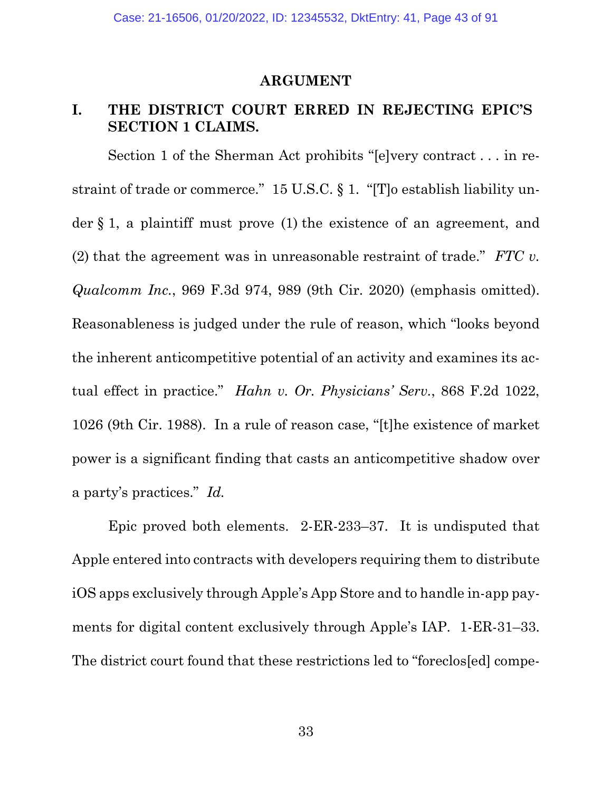### **ARGUMENT**

# **I. THE DISTRICT COURT ERRED IN REJECTING EPIC'S SECTION 1 CLAIMS.**

Section 1 of the Sherman Act prohibits "[e]very contract . . . in restraint of trade or commerce." 15 U.S.C. § 1. "[T]o establish liability under § 1, a plaintiff must prove (1) the existence of an agreement, and (2) that the agreement was in unreasonable restraint of trade." *FTC v. Qualcomm Inc.*, 969 F.3d 974, 989 (9th Cir. 2020) (emphasis omitted). Reasonableness is judged under the rule of reason, which "looks beyond the inherent anticompetitive potential of an activity and examines its actual effect in practice." *Hahn v. Or. Physicians' Serv.*, 868 F.2d 1022, 1026 (9th Cir. 1988). In a rule of reason case, "[t]he existence of market power is a significant finding that casts an anticompetitive shadow over a party's practices." *Id.*

Epic proved both elements. 2-ER-233–37. It is undisputed that Apple entered into contracts with developers requiring them to distribute iOS apps exclusively through Apple's App Store and to handle in-app payments for digital content exclusively through Apple's IAP. 1-ER-31–33. The district court found that these restrictions led to "foreclos[ed] compe-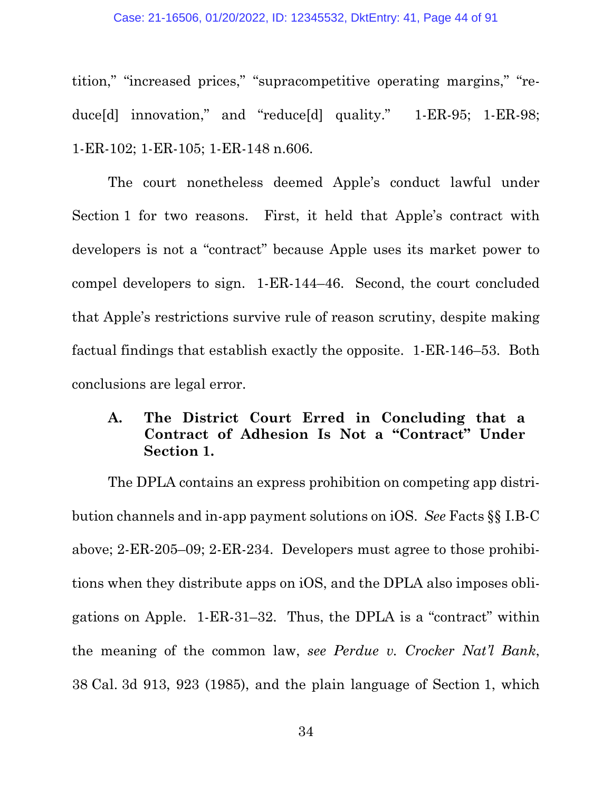#### Case: 21-16506, 01/20/2022, ID: 12345532, DktEntry: 41, Page 44 of 91

tition," "increased prices," "supracompetitive operating margins," "reduce[d] innovation," and "reduce[d] quality." 1-ER-95; 1-ER-98; 1-ER-102; 1-ER-105; 1-ER-148 n.606.

The court nonetheless deemed Apple's conduct lawful under Section 1 for two reasons. First, it held that Apple's contract with developers is not a "contract" because Apple uses its market power to compel developers to sign. 1-ER-144–46. Second, the court concluded that Apple's restrictions survive rule of reason scrutiny, despite making factual findings that establish exactly the opposite. 1-ER-146–53. Both conclusions are legal error.

# **A. The District Court Erred in Concluding that a Contract of Adhesion Is Not a "Contract" Under Section 1.**

The DPLA contains an express prohibition on competing app distribution channels and in-app payment solutions on iOS. *See* Facts §§ I.B-C above; 2-ER-205–09; 2-ER-234. Developers must agree to those prohibitions when they distribute apps on iOS, and the DPLA also imposes obligations on Apple. 1-ER-31–32. Thus, the DPLA is a "contract" within the meaning of the common law, *see Perdue v. Crocker Nat'l Bank*, 38 Cal. 3d 913, 923 (1985), and the plain language of Section 1, which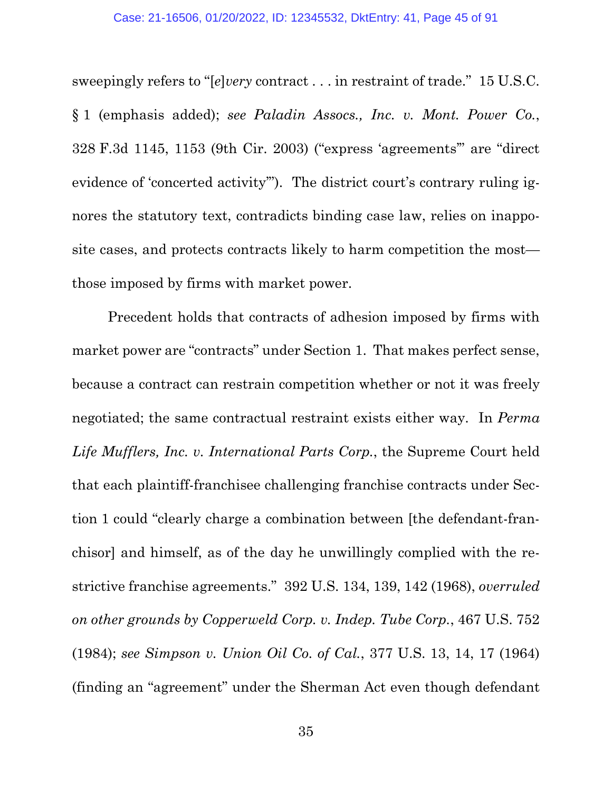sweepingly refers to "[*e*]*very* contract . . . in restraint of trade." 15 U.S.C. § 1 (emphasis added); *see Paladin Assocs., Inc. v. Mont. Power Co.*, 328 F.3d 1145, 1153 (9th Cir. 2003) ("express 'agreements'" are "direct evidence of 'concerted activity'"). The district court's contrary ruling ignores the statutory text, contradicts binding case law, relies on inapposite cases, and protects contracts likely to harm competition the most those imposed by firms with market power.

Precedent holds that contracts of adhesion imposed by firms with market power are "contracts" under Section 1. That makes perfect sense, because a contract can restrain competition whether or not it was freely negotiated; the same contractual restraint exists either way. In *Perma Life Mufflers, Inc. v. International Parts Corp.*, the Supreme Court held that each plaintiff-franchisee challenging franchise contracts under Section 1 could "clearly charge a combination between [the defendant-franchisor] and himself, as of the day he unwillingly complied with the restrictive franchise agreements." 392 U.S. 134, 139, 142 (1968), *overruled on other grounds by Copperweld Corp. v. Indep. Tube Corp.*, 467 U.S. 752 (1984); *see Simpson v. Union Oil Co. of Cal.*, 377 U.S. 13, 14, 17 (1964) (finding an "agreement" under the Sherman Act even though defendant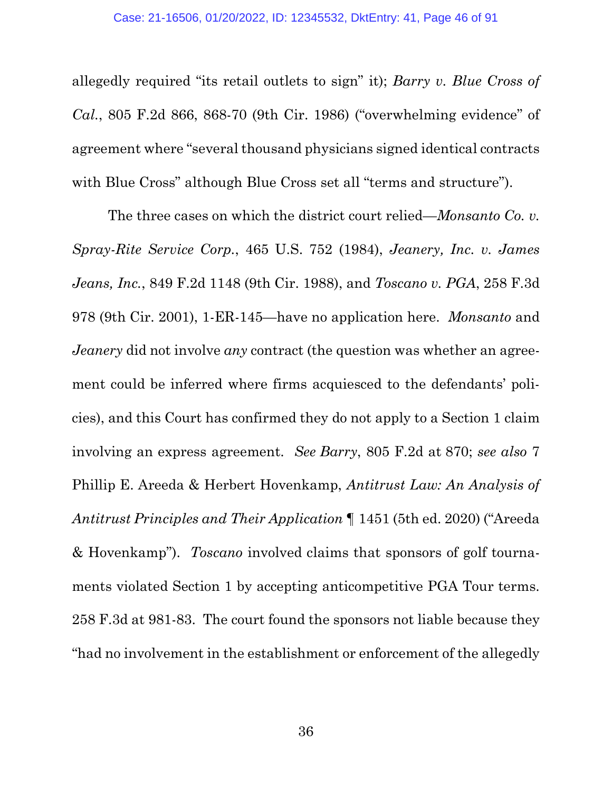allegedly required "its retail outlets to sign" it); *Barry v. Blue Cross of Cal.*, 805 F.2d 866, 868-70 (9th Cir. 1986) ("overwhelming evidence" of agreement where "several thousand physicians signed identical contracts with Blue Cross" although Blue Cross set all "terms and structure").

The three cases on which the district court relied—*Monsanto Co. v. Spray-Rite Service Corp.*, 465 U.S. 752 (1984), *Jeanery, Inc. v. James Jeans, Inc.*, 849 F.2d 1148 (9th Cir. 1988), and *Toscano v. PGA*, 258 F.3d 978 (9th Cir. 2001), 1-ER-145—have no application here. *Monsanto* and *Jeanery* did not involve *any* contract (the question was whether an agreement could be inferred where firms acquiesced to the defendants' policies), and this Court has confirmed they do not apply to a Section 1 claim involving an express agreement. *See Barry*, 805 F.2d at 870; *see also* 7 Phillip E. Areeda & Herbert Hovenkamp, *Antitrust Law: An Analysis of Antitrust Principles and Their Application* ¶ 1451 (5th ed. 2020) ("Areeda & Hovenkamp"). *Toscano* involved claims that sponsors of golf tournaments violated Section 1 by accepting anticompetitive PGA Tour terms. 258 F.3d at 981-83. The court found the sponsors not liable because they "had no involvement in the establishment or enforcement of the allegedly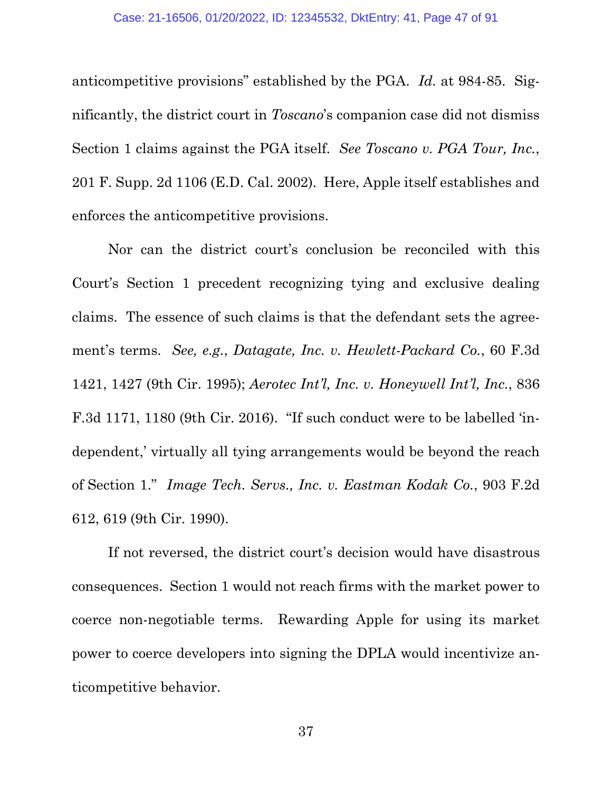anticompetitive provisions" established by the PGA. *Id.* at 984-85. Significantly, the district court in *Toscano*'s companion case did not dismiss Section 1 claims against the PGA itself. *See Toscano v. PGA Tour, Inc.*, 201 F. Supp. 2d 1106 (E.D. Cal. 2002). Here, Apple itself establishes and enforces the anticompetitive provisions.

Nor can the district court's conclusion be reconciled with this Court's Section 1 precedent recognizing tying and exclusive dealing claims. The essence of such claims is that the defendant sets the agreement's terms. *See, e.g.*, *Datagate, Inc. v. Hewlett-Packard Co.*, 60 F.3d 1421, 1427 (9th Cir. 1995); *Aerotec Int'l, Inc. v. Honeywell Int'l, Inc.*, 836 F.3d 1171, 1180 (9th Cir. 2016). "If such conduct were to be labelled 'independent,' virtually all tying arrangements would be beyond the reach of Section 1." *Image Tech. Servs., Inc. v. Eastman Kodak Co.*, 903 F.2d 612, 619 (9th Cir. 1990).

If not reversed, the district court's decision would have disastrous consequences. Section 1 would not reach firms with the market power to coerce non-negotiable terms. Rewarding Apple for using its market power to coerce developers into signing the DPLA would incentivize anticompetitive behavior.

37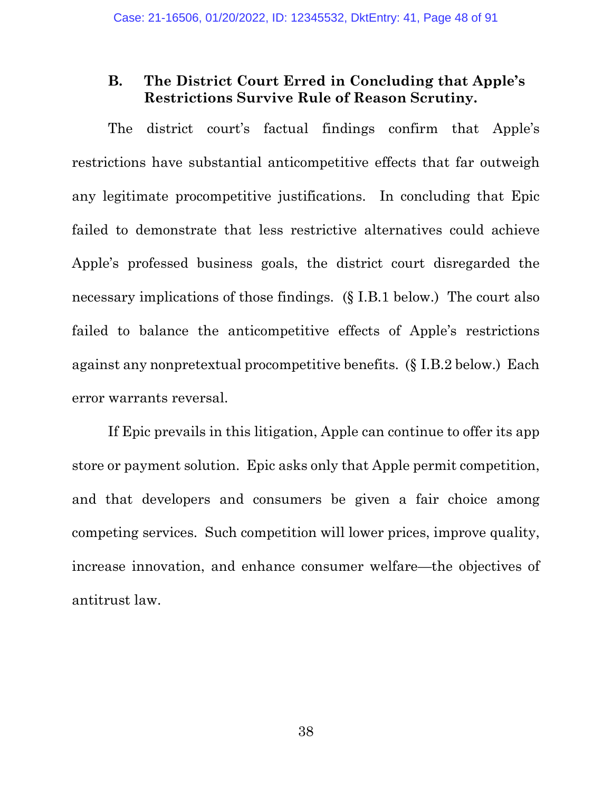# **B. The District Court Erred in Concluding that Apple's Restrictions Survive Rule of Reason Scrutiny.**

The district court's factual findings confirm that Apple's restrictions have substantial anticompetitive effects that far outweigh any legitimate procompetitive justifications. In concluding that Epic failed to demonstrate that less restrictive alternatives could achieve Apple's professed business goals, the district court disregarded the necessary implications of those findings. (§ I.B.1 below.) The court also failed to balance the anticompetitive effects of Apple's restrictions against any nonpretextual procompetitive benefits. (§ I.B.2 below.) Each error warrants reversal.

If Epic prevails in this litigation, Apple can continue to offer its app store or payment solution. Epic asks only that Apple permit competition, and that developers and consumers be given a fair choice among competing services. Such competition will lower prices, improve quality, increase innovation, and enhance consumer welfare—the objectives of antitrust law.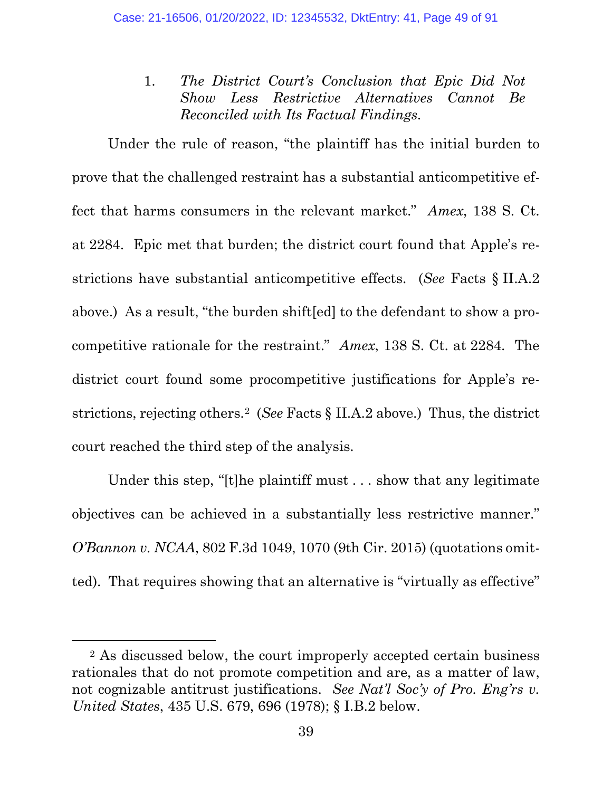1. *The District Court's Conclusion that Epic Did Not Show Less Restrictive Alternatives Cannot Be Reconciled with Its Factual Findings.* 

Under the rule of reason, "the plaintiff has the initial burden to prove that the challenged restraint has a substantial anticompetitive effect that harms consumers in the relevant market." *Amex*, 138 S. Ct. at 2284. Epic met that burden; the district court found that Apple's restrictions have substantial anticompetitive effects. (*See* Facts § II.A.2 above.) As a result, "the burden shift[ed] to the defendant to show a procompetitive rationale for the restraint." *Amex*, 138 S. Ct. at 2284. The district court found some procompetitive justifications for Apple's restrictions, rejecting others.[2](#page-48-0) (*See* Facts § II.A.2 above.) Thus, the district court reached the third step of the analysis.

Under this step, "[t]he plaintiff must . . . show that any legitimate objectives can be achieved in a substantially less restrictive manner." *O'Bannon v. NCAA*, 802 F.3d 1049, 1070 (9th Cir. 2015) (quotations omitted). That requires showing that an alternative is "virtually as effective"

<span id="page-48-0"></span><sup>2</sup> As discussed below, the court improperly accepted certain business rationales that do not promote competition and are, as a matter of law, not cognizable antitrust justifications. *See Nat'l Soc'y of Pro. Eng'rs v. United States*, 435 U.S. 679, 696 (1978); § I.B.2 below.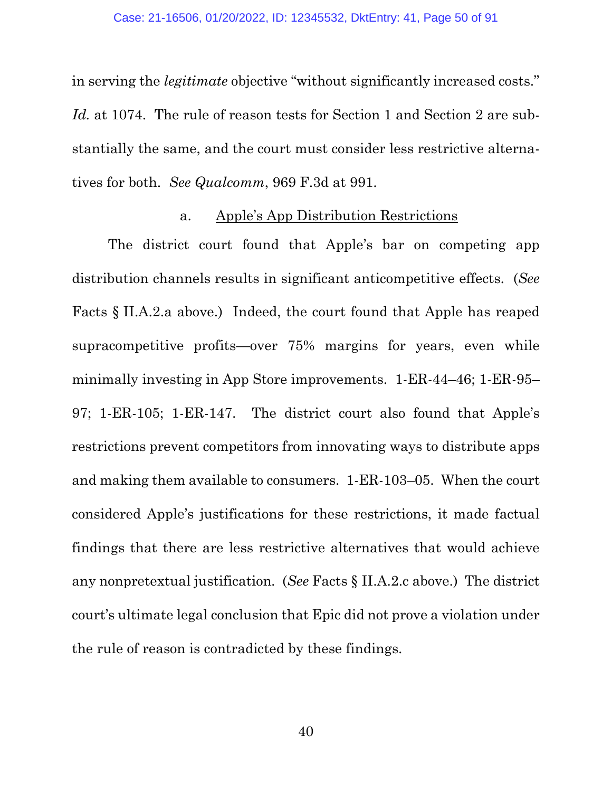in serving the *legitimate* objective "without significantly increased costs." Id. at 1074. The rule of reason tests for Section 1 and Section 2 are substantially the same, and the court must consider less restrictive alternatives for both. *See Qualcomm*, 969 F.3d at 991.

## a. Apple's App Distribution Restrictions

The district court found that Apple's bar on competing app distribution channels results in significant anticompetitive effects. (*See* Facts § II.A.2.a above.) Indeed, the court found that Apple has reaped supracompetitive profits—over 75% margins for years, even while minimally investing in App Store improvements. 1-ER-44–46; 1-ER-95– 97; 1-ER-105; 1-ER-147. The district court also found that Apple's restrictions prevent competitors from innovating ways to distribute apps and making them available to consumers. 1-ER-103–05. When the court considered Apple's justifications for these restrictions, it made factual findings that there are less restrictive alternatives that would achieve any nonpretextual justification*.* (*See* Facts § II.A.2.c above.) The district court's ultimate legal conclusion that Epic did not prove a violation under the rule of reason is contradicted by these findings.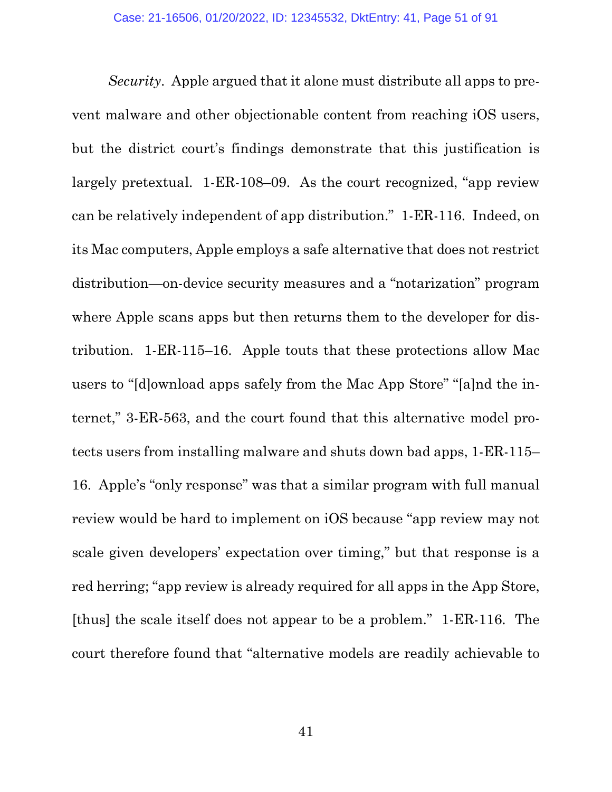*Security*. Apple argued that it alone must distribute all apps to prevent malware and other objectionable content from reaching iOS users, but the district court's findings demonstrate that this justification is largely pretextual. 1-ER-108–09. As the court recognized, "app review can be relatively independent of app distribution." 1-ER-116. Indeed, on its Mac computers, Apple employs a safe alternative that does not restrict distribution—on-device security measures and a "notarization" program where Apple scans apps but then returns them to the developer for distribution. 1-ER-115–16. Apple touts that these protections allow Mac users to "[d]ownload apps safely from the Mac App Store" "[a]nd the internet," 3-ER-563, and the court found that this alternative model protects users from installing malware and shuts down bad apps, 1-ER-115– 16. Apple's "only response" was that a similar program with full manual review would be hard to implement on iOS because "app review may not scale given developers' expectation over timing," but that response is a red herring; "app review is already required for all apps in the App Store, [thus] the scale itself does not appear to be a problem." 1-ER-116. The court therefore found that "alternative models are readily achievable to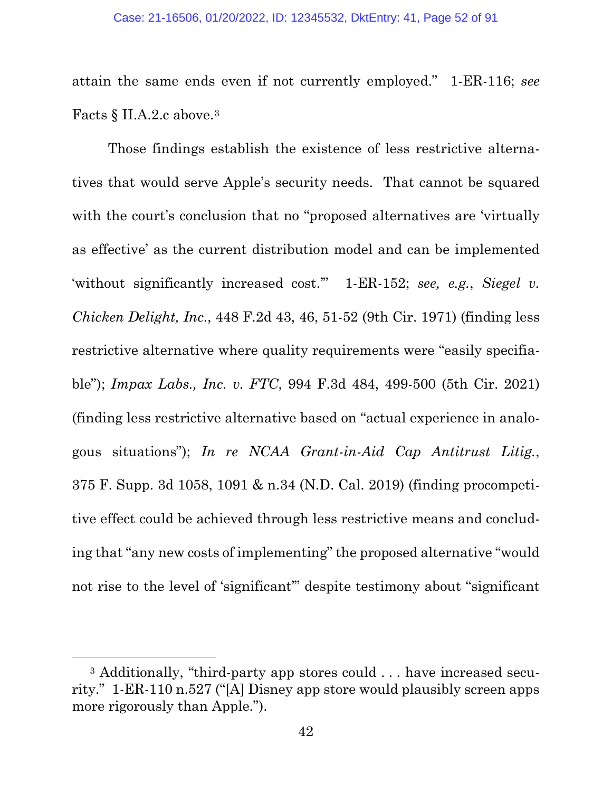attain the same ends even if not currently employed." 1-ER-116; *see*  Facts § II.A.2.c above.[3](#page-51-0)

Those findings establish the existence of less restrictive alternatives that would serve Apple's security needs. That cannot be squared with the court's conclusion that no "proposed alternatives are 'virtually as effective' as the current distribution model and can be implemented 'without significantly increased cost.'" 1-ER-152; *see, e.g.*, *Siegel v. Chicken Delight, Inc*., 448 F.2d 43, 46, 51-52 (9th Cir. 1971) (finding less restrictive alternative where quality requirements were "easily specifiable"); *Impax Labs., Inc. v. FTC*, 994 F.3d 484, 499-500 (5th Cir. 2021) (finding less restrictive alternative based on "actual experience in analogous situations"); *In re NCAA Grant-in-Aid Cap Antitrust Litig.*, 375 F. Supp. 3d 1058, 1091 & n.34 (N.D. Cal. 2019) (finding procompetitive effect could be achieved through less restrictive means and concluding that "any new costs of implementing" the proposed alternative "would not rise to the level of 'significant'" despite testimony about "significant

<span id="page-51-0"></span><sup>&</sup>lt;sup>3</sup> Additionally, "third-party app stores could . . . have increased security." 1-ER-110 n.527 ("[A] Disney app store would plausibly screen apps more rigorously than Apple.").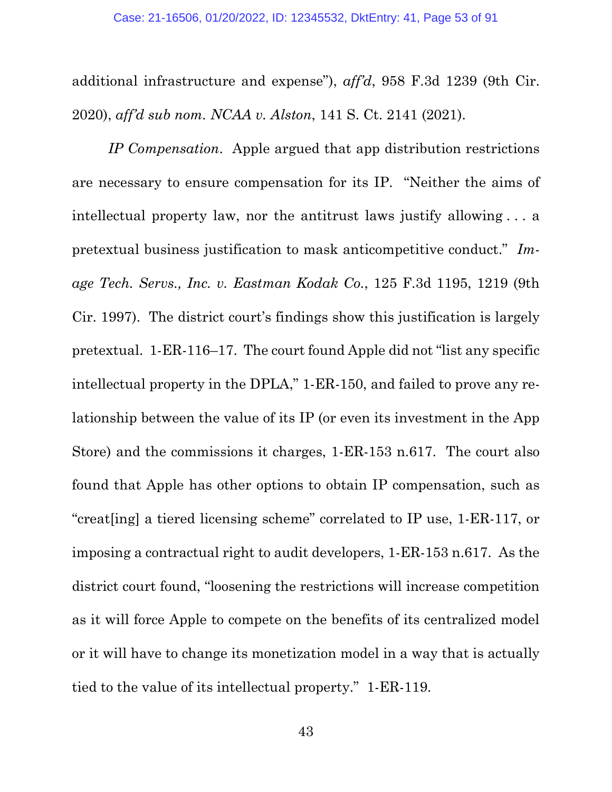additional infrastructure and expense"), *aff'd*, 958 F.3d 1239 (9th Cir. 2020), *aff'd sub nom. NCAA v. Alston*, 141 S. Ct. 2141 (2021).

*IP Compensation*. Apple argued that app distribution restrictions are necessary to ensure compensation for its IP. "Neither the aims of intellectual property law, nor the antitrust laws justify allowing . . . a pretextual business justification to mask anticompetitive conduct." *Image Tech. Servs., Inc. v. Eastman Kodak Co.*, 125 F.3d 1195, 1219 (9th Cir. 1997). The district court's findings show this justification is largely pretextual. 1-ER-116–17. The court found Apple did not "list any specific intellectual property in the DPLA," 1-ER-150, and failed to prove any relationship between the value of its IP (or even its investment in the App Store) and the commissions it charges, 1-ER-153 n.617. The court also found that Apple has other options to obtain IP compensation, such as "creat[ing] a tiered licensing scheme" correlated to IP use, 1-ER-117, or imposing a contractual right to audit developers, 1-ER-153 n.617. As the district court found, "loosening the restrictions will increase competition as it will force Apple to compete on the benefits of its centralized model or it will have to change its monetization model in a way that is actually tied to the value of its intellectual property." 1-ER-119.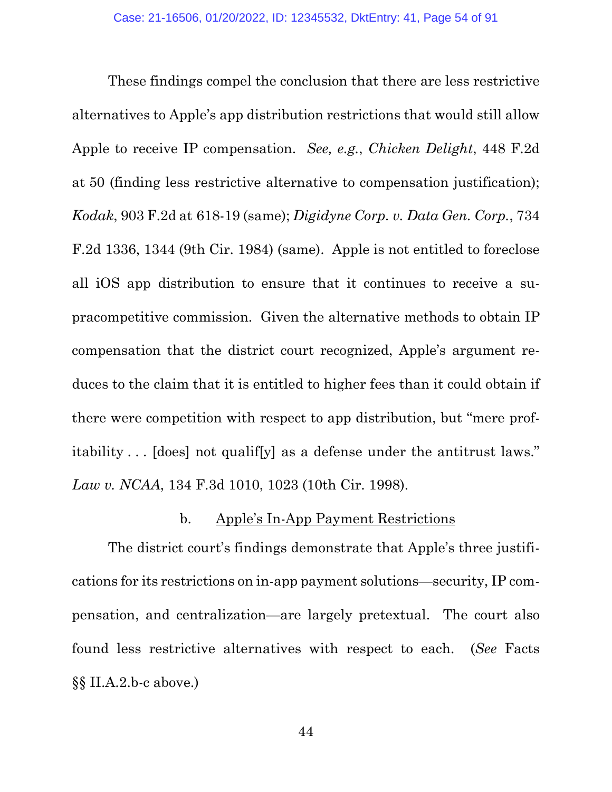These findings compel the conclusion that there are less restrictive alternatives to Apple's app distribution restrictions that would still allow Apple to receive IP compensation. *See, e.g.*, *Chicken Delight*, 448 F.2d at 50 (finding less restrictive alternative to compensation justification); *Kodak*, 903 F.2d at 618-19 (same); *Digidyne Corp. v. Data Gen. Corp.*, 734 F.2d 1336, 1344 (9th Cir. 1984) (same). Apple is not entitled to foreclose all iOS app distribution to ensure that it continues to receive a supracompetitive commission. Given the alternative methods to obtain IP compensation that the district court recognized, Apple's argument reduces to the claim that it is entitled to higher fees than it could obtain if there were competition with respect to app distribution, but "mere profitability . . . [does] not qualif[y] as a defense under the antitrust laws." *Law v. NCAA*, 134 F.3d 1010, 1023 (10th Cir. 1998).

## b. Apple's In-App Payment Restrictions

The district court's findings demonstrate that Apple's three justifications for its restrictions on in-app payment solutions—security, IP compensation, and centralization—are largely pretextual. The court also found less restrictive alternatives with respect to each. (*See* Facts §§ II.A.2.b-c above.)

44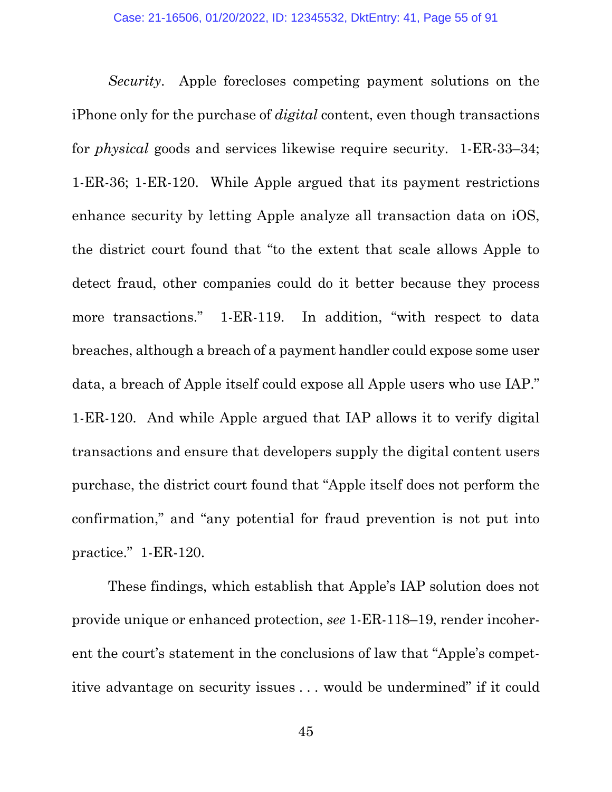*Security*. Apple forecloses competing payment solutions on the iPhone only for the purchase of *digital* content, even though transactions for *physical* goods and services likewise require security. 1-ER-33–34; 1-ER-36; 1-ER-120. While Apple argued that its payment restrictions enhance security by letting Apple analyze all transaction data on iOS, the district court found that "to the extent that scale allows Apple to detect fraud, other companies could do it better because they process more transactions." 1-ER-119. In addition, "with respect to data breaches, although a breach of a payment handler could expose some user data, a breach of Apple itself could expose all Apple users who use IAP." 1-ER-120. And while Apple argued that IAP allows it to verify digital transactions and ensure that developers supply the digital content users purchase, the district court found that "Apple itself does not perform the confirmation," and "any potential for fraud prevention is not put into practice." 1-ER-120.

These findings, which establish that Apple's IAP solution does not provide unique or enhanced protection, *see* 1-ER-118–19, render incoherent the court's statement in the conclusions of law that "Apple's competitive advantage on security issues . . . would be undermined" if it could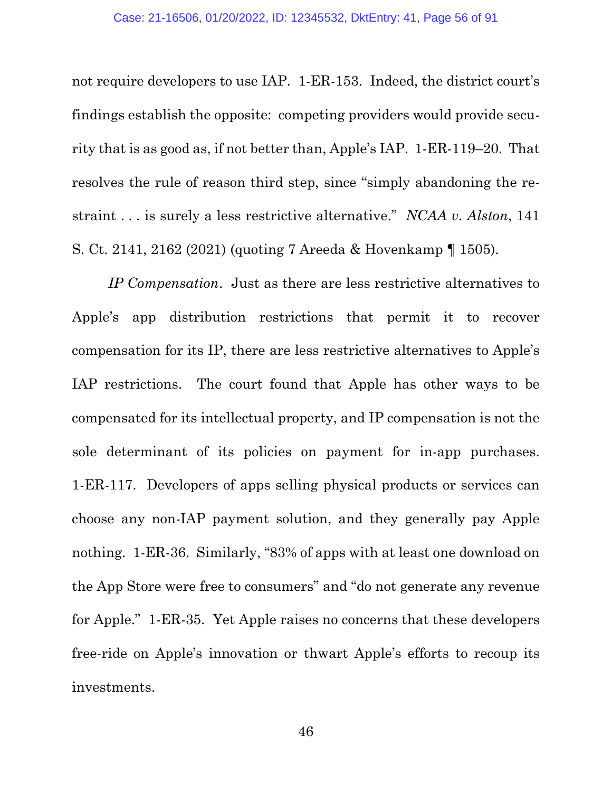not require developers to use IAP. 1-ER-153. Indeed, the district court's findings establish the opposite: competing providers would provide security that is as good as, if not better than, Apple's IAP. 1-ER-119–20. That resolves the rule of reason third step, since "simply abandoning the restraint . . . is surely a less restrictive alternative." *NCAA v. Alston*, 141 S. Ct. 2141, 2162 (2021) (quoting 7 Areeda & Hovenkamp ¶ 1505).

*IP Compensation*. Just as there are less restrictive alternatives to Apple's app distribution restrictions that permit it to recover compensation for its IP, there are less restrictive alternatives to Apple's IAP restrictions. The court found that Apple has other ways to be compensated for its intellectual property, and IP compensation is not the sole determinant of its policies on payment for in-app purchases. 1-ER-117. Developers of apps selling physical products or services can choose any non-IAP payment solution, and they generally pay Apple nothing. 1-ER-36. Similarly, "83% of apps with at least one download on the App Store were free to consumers" and "do not generate any revenue for Apple." 1-ER-35. Yet Apple raises no concerns that these developers free-ride on Apple's innovation or thwart Apple's efforts to recoup its investments.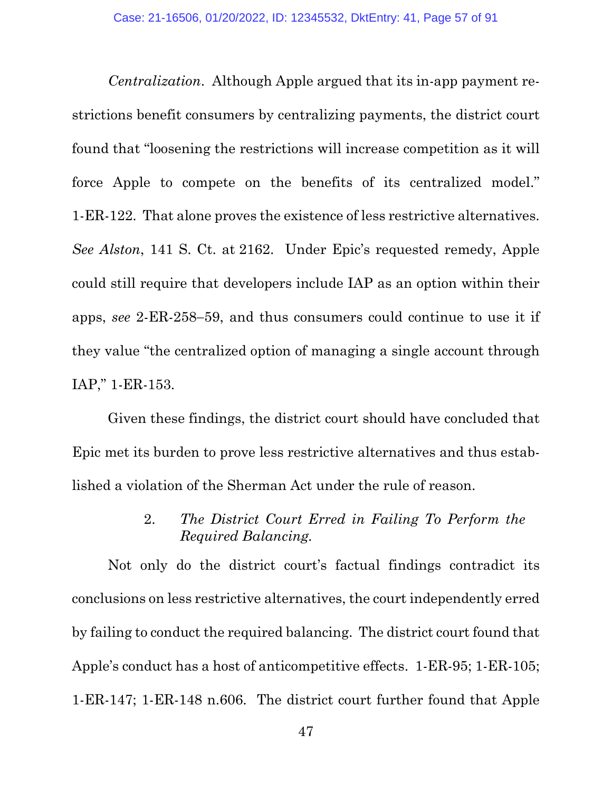*Centralization*. Although Apple argued that its in-app payment restrictions benefit consumers by centralizing payments, the district court found that "loosening the restrictions will increase competition as it will force Apple to compete on the benefits of its centralized model." 1-ER-122. That alone proves the existence of less restrictive alternatives. *See Alston*, 141 S. Ct. at 2162. Under Epic's requested remedy, Apple could still require that developers include IAP as an option within their apps, *see* 2-ER-258−59, and thus consumers could continue to use it if they value "the centralized option of managing a single account through IAP," 1-ER-153.

Given these findings, the district court should have concluded that Epic met its burden to prove less restrictive alternatives and thus established a violation of the Sherman Act under the rule of reason.

# 2. *The District Court Erred in Failing To Perform the Required Balancing.*

Not only do the district court's factual findings contradict its conclusions on less restrictive alternatives, the court independently erred by failing to conduct the required balancing. The district court found that Apple's conduct has a host of anticompetitive effects. 1-ER-95; 1-ER-105; 1-ER-147; 1-ER-148 n.606. The district court further found that Apple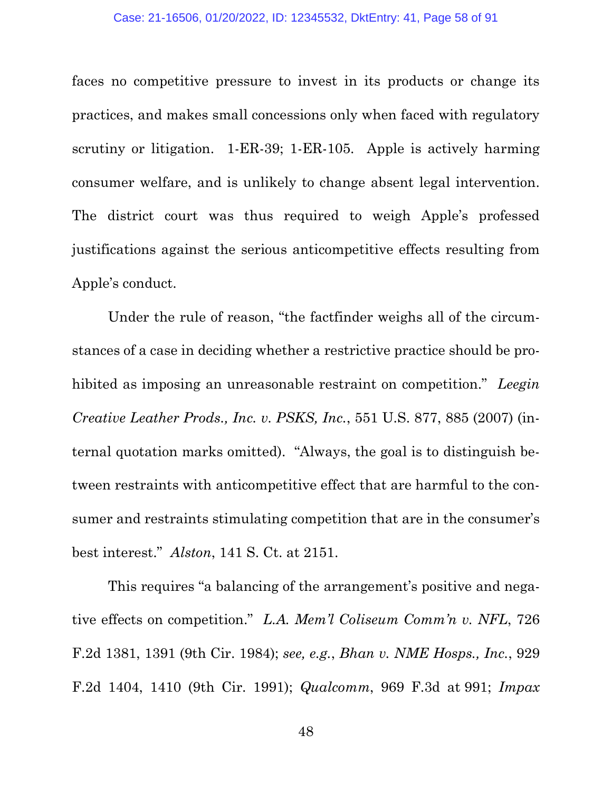faces no competitive pressure to invest in its products or change its practices, and makes small concessions only when faced with regulatory scrutiny or litigation. 1-ER-39; 1-ER-105. Apple is actively harming consumer welfare, and is unlikely to change absent legal intervention. The district court was thus required to weigh Apple's professed justifications against the serious anticompetitive effects resulting from Apple's conduct.

Under the rule of reason, "the factfinder weighs all of the circumstances of a case in deciding whether a restrictive practice should be prohibited as imposing an unreasonable restraint on competition." *Leegin Creative Leather Prods., Inc. v. PSKS, Inc.*, 551 U.S. 877, 885 (2007) (internal quotation marks omitted). "Always, the goal is to distinguish between restraints with anticompetitive effect that are harmful to the consumer and restraints stimulating competition that are in the consumer's best interest." *Alston*, 141 S. Ct. at 2151.

This requires "a balancing of the arrangement's positive and negative effects on competition." *L.A. Mem'l Coliseum Comm'n v. NFL*, 726 F.2d 1381, 1391 (9th Cir. 1984); *see, e.g.*, *Bhan v. NME Hosps., Inc.*, 929 F.2d 1404, 1410 (9th Cir. 1991); *Qualcomm*, 969 F.3d at 991; *Impax*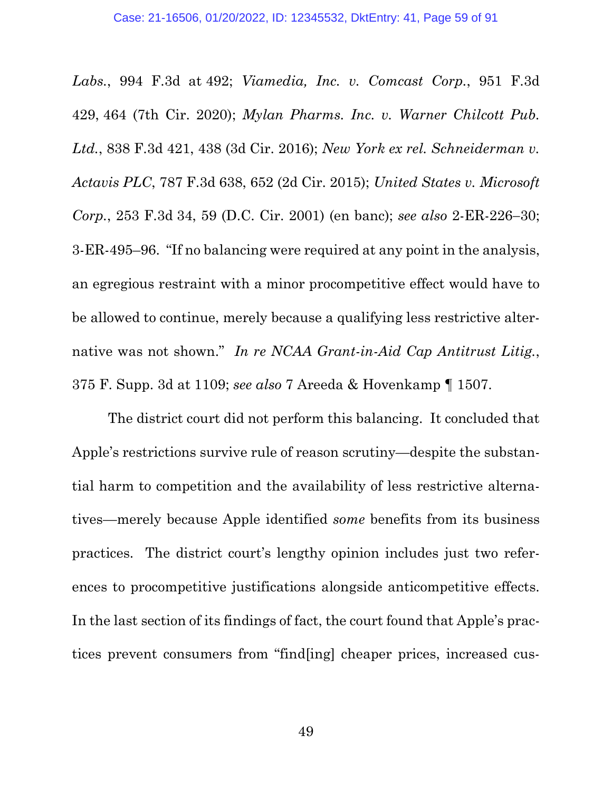*Labs.*, 994 F.3d at 492; *Viamedia, Inc. v. Comcast Corp.*, 951 F.3d 429, 464 (7th Cir. 2020); *Mylan Pharms. Inc. v. Warner Chilcott Pub. Ltd.*, 838 F.3d 421, 438 (3d Cir. 2016); *New York ex rel. Schneiderman v. Actavis PLC*, 787 F.3d 638, 652 (2d Cir. 2015); *United States v. Microsoft Corp.*, 253 F.3d 34, 59 (D.C. Cir. 2001) (en banc); *see also* 2-ER-226−30; 3-ER-495–96. "If no balancing were required at any point in the analysis, an egregious restraint with a minor procompetitive effect would have to be allowed to continue, merely because a qualifying less restrictive alternative was not shown." *In re NCAA Grant-in-Aid Cap Antitrust Litig.*, 375 F. Supp. 3d at 1109; *see also* 7 Areeda & Hovenkamp ¶ 1507.

The district court did not perform this balancing. It concluded that Apple's restrictions survive rule of reason scrutiny—despite the substantial harm to competition and the availability of less restrictive alternatives—merely because Apple identified *some* benefits from its business practices. The district court's lengthy opinion includes just two references to procompetitive justifications alongside anticompetitive effects. In the last section of its findings of fact, the court found that Apple's practices prevent consumers from "find[ing] cheaper prices, increased cus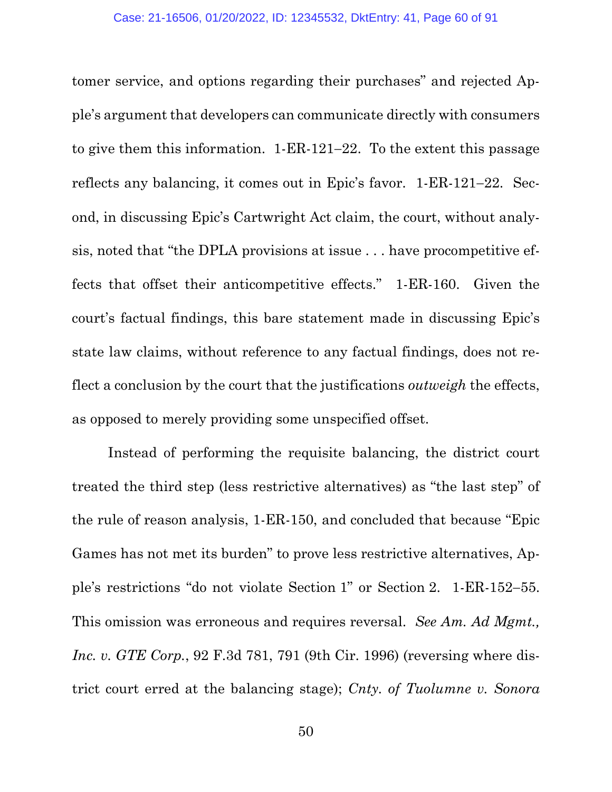tomer service, and options regarding their purchases" and rejected Apple's argument that developers can communicate directly with consumers to give them this information. 1-ER-121−22. To the extent this passage reflects any balancing, it comes out in Epic's favor. 1-ER-121−22. Second, in discussing Epic's Cartwright Act claim, the court, without analysis, noted that "the DPLA provisions at issue . . . have procompetitive effects that offset their anticompetitive effects." 1-ER-160. Given the court's factual findings, this bare statement made in discussing Epic's state law claims, without reference to any factual findings, does not reflect a conclusion by the court that the justifications *outweigh* the effects, as opposed to merely providing some unspecified offset.

Instead of performing the requisite balancing, the district court treated the third step (less restrictive alternatives) as "the last step" of the rule of reason analysis, 1-ER-150, and concluded that because "Epic Games has not met its burden" to prove less restrictive alternatives, Apple's restrictions "do not violate Section 1" or Section 2. 1-ER-152−55. This omission was erroneous and requires reversal. *See Am. Ad Mgmt., Inc. v. GTE Corp.*, 92 F.3d 781, 791 (9th Cir. 1996) (reversing where district court erred at the balancing stage); *Cnty. of Tuolumne v. Sonora*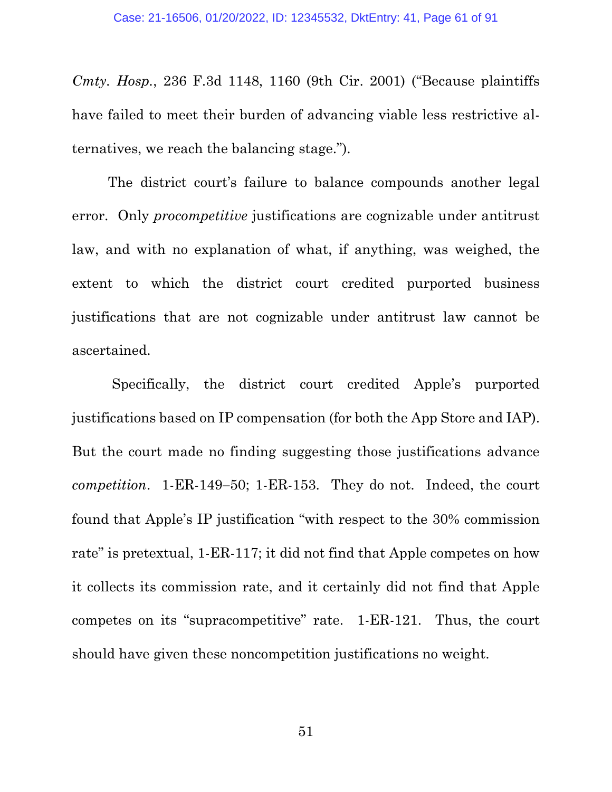*Cmty. Hosp.*, 236 F.3d 1148, 1160 (9th Cir. 2001) ("Because plaintiffs have failed to meet their burden of advancing viable less restrictive alternatives, we reach the balancing stage.").

The district court's failure to balance compounds another legal error. Only *procompetitive* justifications are cognizable under antitrust law, and with no explanation of what, if anything, was weighed, the extent to which the district court credited purported business justifications that are not cognizable under antitrust law cannot be ascertained.

Specifically, the district court credited Apple's purported justifications based on IP compensation (for both the App Store and IAP). But the court made no finding suggesting those justifications advance *competition*. 1-ER-149−50; 1-ER-153. They do not. Indeed, the court found that Apple's IP justification "with respect to the 30% commission rate" is pretextual, 1-ER-117; it did not find that Apple competes on how it collects its commission rate, and it certainly did not find that Apple competes on its "supracompetitive" rate. 1-ER-121. Thus, the court should have given these noncompetition justifications no weight.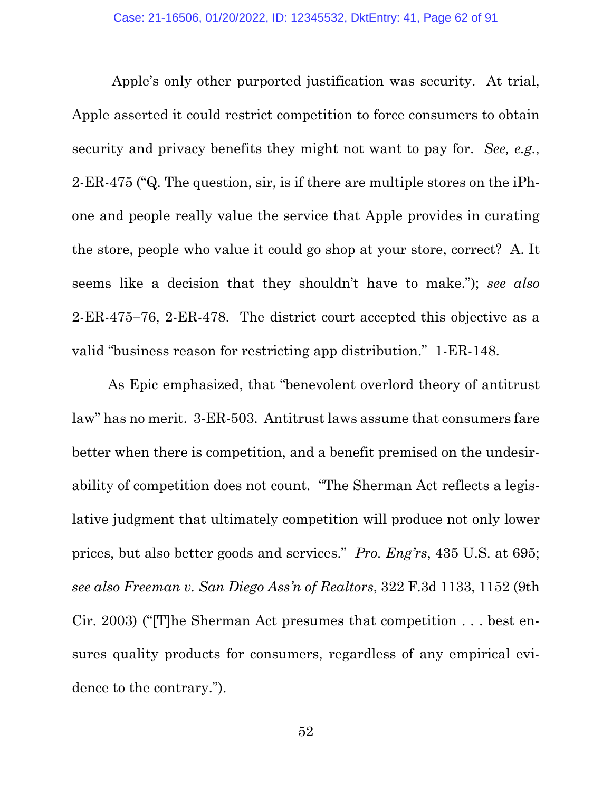Apple's only other purported justification was security. At trial, Apple asserted it could restrict competition to force consumers to obtain security and privacy benefits they might not want to pay for. *See, e.g.*, 2-ER-475 ("Q. The question, sir, is if there are multiple stores on the iPhone and people really value the service that Apple provides in curating the store, people who value it could go shop at your store, correct? A. It seems like a decision that they shouldn't have to make."); *see also* 2-ER-475−76, 2-ER-478. The district court accepted this objective as a valid "business reason for restricting app distribution." 1-ER-148.

As Epic emphasized, that "benevolent overlord theory of antitrust law" has no merit. 3-ER-503. Antitrust laws assume that consumers fare better when there is competition, and a benefit premised on the undesirability of competition does not count. "The Sherman Act reflects a legislative judgment that ultimately competition will produce not only lower prices, but also better goods and services." *Pro. Eng'rs*, 435 U.S. at 695; *see also Freeman v. San Diego Ass'n of Realtors*, 322 F.3d 1133, 1152 (9th Cir. 2003) ("[T]he Sherman Act presumes that competition . . . best ensures quality products for consumers, regardless of any empirical evidence to the contrary.").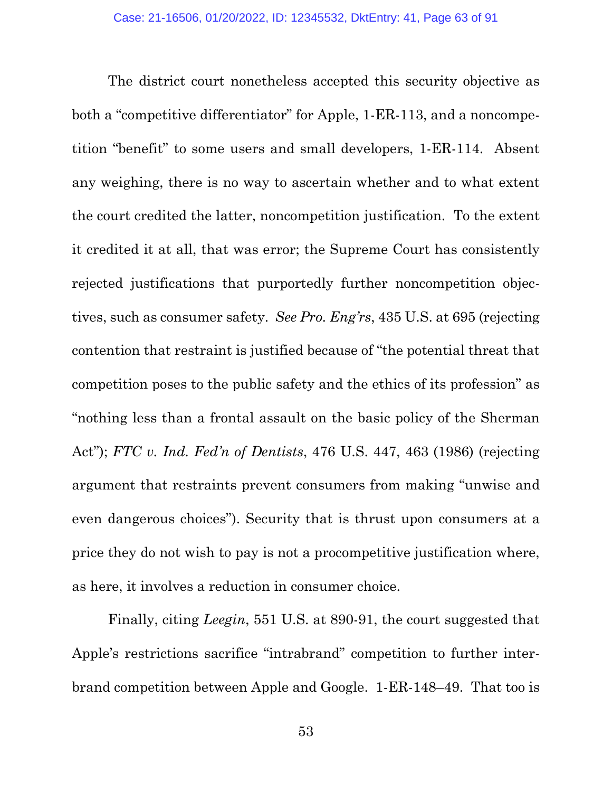The district court nonetheless accepted this security objective as both a "competitive differentiator" for Apple, 1-ER-113, and a noncompetition "benefit" to some users and small developers, 1-ER-114. Absent any weighing, there is no way to ascertain whether and to what extent the court credited the latter, noncompetition justification. To the extent it credited it at all, that was error; the Supreme Court has consistently rejected justifications that purportedly further noncompetition objectives, such as consumer safety. *See Pro. Eng'rs*, 435 U.S. at 695 (rejecting contention that restraint is justified because of "the potential threat that competition poses to the public safety and the ethics of its profession" as "nothing less than a frontal assault on the basic policy of the Sherman Act"); *FTC v. Ind. Fed'n of Dentists*, 476 U.S. 447, 463 (1986) (rejecting argument that restraints prevent consumers from making "unwise and even dangerous choices"). Security that is thrust upon consumers at a price they do not wish to pay is not a procompetitive justification where, as here, it involves a reduction in consumer choice.

Finally, citing *Leegin*, 551 U.S. at 890-91, the court suggested that Apple's restrictions sacrifice "intrabrand" competition to further interbrand competition between Apple and Google. 1-ER-148–49. That too is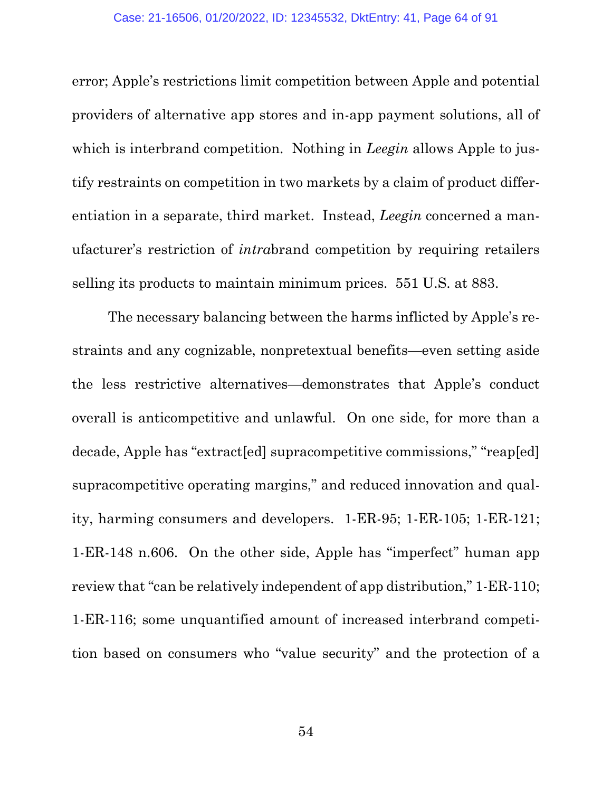error; Apple's restrictions limit competition between Apple and potential providers of alternative app stores and in-app payment solutions, all of which is interbrand competition. Nothing in *Leegin* allows Apple to justify restraints on competition in two markets by a claim of product differentiation in a separate, third market. Instead, *Leegin* concerned a manufacturer's restriction of *intra*brand competition by requiring retailers selling its products to maintain minimum prices. 551 U.S. at 883.

The necessary balancing between the harms inflicted by Apple's restraints and any cognizable, nonpretextual benefits—even setting aside the less restrictive alternatives—demonstrates that Apple's conduct overall is anticompetitive and unlawful. On one side, for more than a decade, Apple has "extract[ed] supracompetitive commissions," "reap[ed] supracompetitive operating margins," and reduced innovation and quality, harming consumers and developers. 1-ER-95; 1-ER-105; 1-ER-121; 1-ER-148 n.606. On the other side, Apple has "imperfect" human app review that "can be relatively independent of app distribution," 1-ER-110; 1-ER-116; some unquantified amount of increased interbrand competition based on consumers who "value security" and the protection of a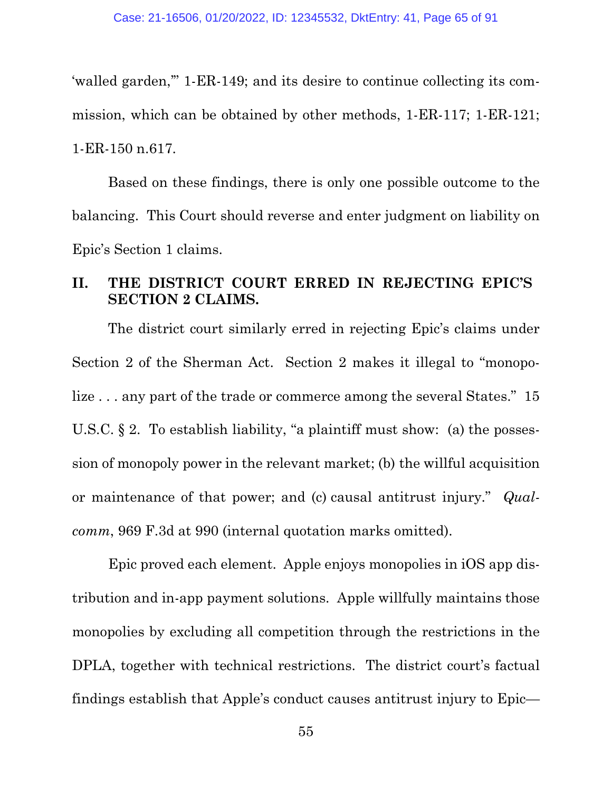'walled garden,'" 1-ER-149; and its desire to continue collecting its commission, which can be obtained by other methods, 1-ER-117; 1-ER-121; 1-ER-150 n.617.

Based on these findings, there is only one possible outcome to the balancing. This Court should reverse and enter judgment on liability on Epic's Section 1 claims.

# **II. THE DISTRICT COURT ERRED IN REJECTING EPIC'S SECTION 2 CLAIMS.**

The district court similarly erred in rejecting Epic's claims under Section 2 of the Sherman Act. Section 2 makes it illegal to "monopolize . . . any part of the trade or commerce among the several States." 15 U.S.C.  $\S 2$ . To establish liability, "a plaintiff must show: (a) the possession of monopoly power in the relevant market; (b) the willful acquisition or maintenance of that power; and (c) causal antitrust injury." *Qualcomm*, 969 F.3d at 990 (internal quotation marks omitted).

Epic proved each element. Apple enjoys monopolies in iOS app distribution and in-app payment solutions. Apple willfully maintains those monopolies by excluding all competition through the restrictions in the DPLA, together with technical restrictions. The district court's factual findings establish that Apple's conduct causes antitrust injury to Epic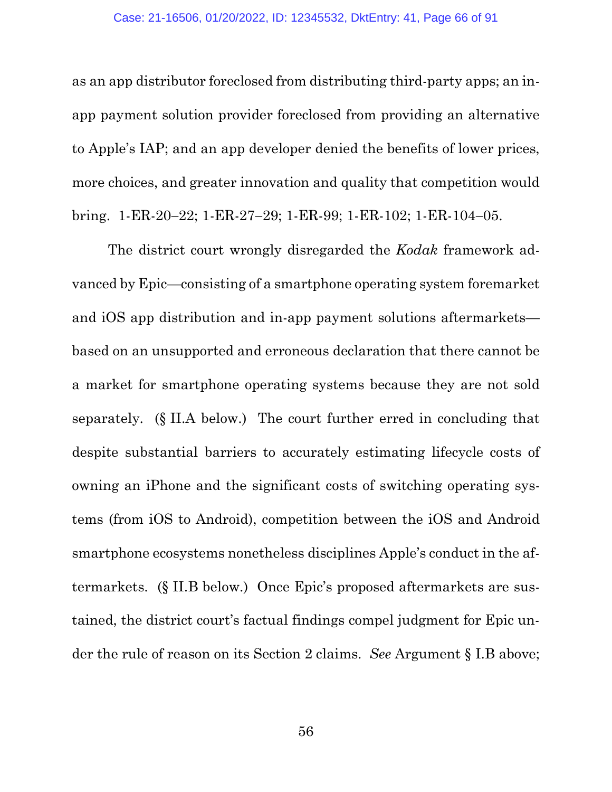as an app distributor foreclosed from distributing third-party apps; an inapp payment solution provider foreclosed from providing an alternative to Apple's IAP; and an app developer denied the benefits of lower prices, more choices, and greater innovation and quality that competition would bring. 1-ER-20−22; 1-ER-27−29; 1-ER-99; 1-ER-102; 1-ER-104−05.

The district court wrongly disregarded the *Kodak* framework advanced by Epic—consisting of a smartphone operating system foremarket and iOS app distribution and in-app payment solutions aftermarkets based on an unsupported and erroneous declaration that there cannot be a market for smartphone operating systems because they are not sold separately. (§ II.A below.) The court further erred in concluding that despite substantial barriers to accurately estimating lifecycle costs of owning an iPhone and the significant costs of switching operating systems (from iOS to Android), competition between the iOS and Android smartphone ecosystems nonetheless disciplines Apple's conduct in the aftermarkets. (§ II.B below.) Once Epic's proposed aftermarkets are sustained, the district court's factual findings compel judgment for Epic under the rule of reason on its Section 2 claims. *See* Argument § I.B above;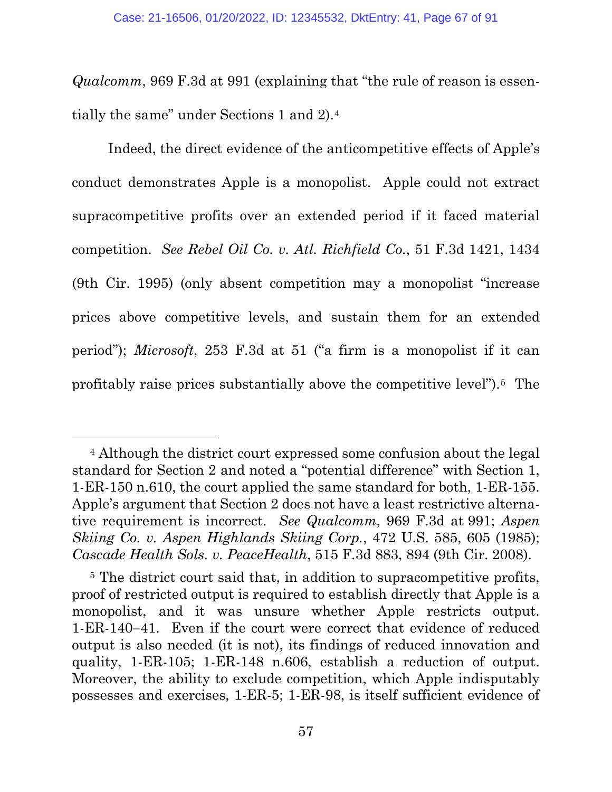*Qualcomm*, 969 F.3d at 991 (explaining that "the rule of reason is essentially the same" under Sections 1 and 2).[4](#page-66-0)

Indeed, the direct evidence of the anticompetitive effects of Apple's conduct demonstrates Apple is a monopolist. Apple could not extract supracompetitive profits over an extended period if it faced material competition. *See Rebel Oil Co. v. Atl. Richfield Co.*, 51 F.3d 1421, 1434 (9th Cir. 1995) (only absent competition may a monopolist "increase prices above competitive levels, and sustain them for an extended period"); *Microsoft*, 253 F.3d at 51 ("a firm is a monopolist if it can profitably raise prices substantially above the competitive level").[5](#page-66-1) The

<span id="page-66-0"></span><sup>4</sup> Although the district court expressed some confusion about the legal standard for Section 2 and noted a "potential difference" with Section 1, 1-ER-150 n.610, the court applied the same standard for both, 1-ER-155. Apple's argument that Section 2 does not have a least restrictive alternative requirement is incorrect. *See Qualcomm*, 969 F.3d at 991; *Aspen Skiing Co. v. Aspen Highlands Skiing Corp.*, 472 U.S. 585, 605 (1985); *Cascade Health Sols. v. PeaceHealth*, 515 F.3d 883, 894 (9th Cir. 2008).

<span id="page-66-1"></span><sup>5</sup> The district court said that, in addition to supracompetitive profits, proof of restricted output is required to establish directly that Apple is a monopolist, and it was unsure whether Apple restricts output. 1-ER-140−41. Even if the court were correct that evidence of reduced output is also needed (it is not), its findings of reduced innovation and quality, 1-ER-105; 1-ER-148 n.606, establish a reduction of output. Moreover, the ability to exclude competition, which Apple indisputably possesses and exercises, 1-ER-5; 1-ER-98, is itself sufficient evidence of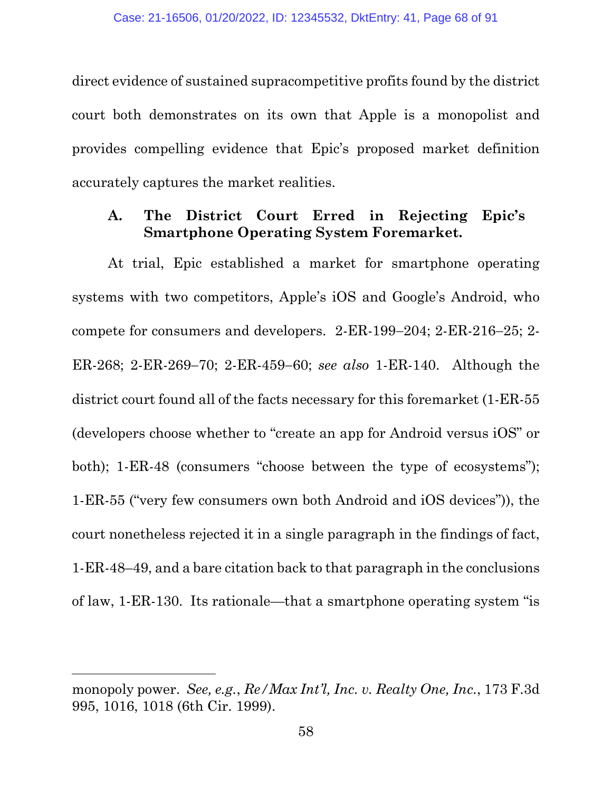direct evidence of sustained supracompetitive profits found by the district court both demonstrates on its own that Apple is a monopolist and provides compelling evidence that Epic's proposed market definition accurately captures the market realities.

# **A. The District Court Erred in Rejecting Epic's Smartphone Operating System Foremarket.**

At trial, Epic established a market for smartphone operating systems with two competitors, Apple's iOS and Google's Android, who compete for consumers and developers. 2-ER-199−204; 2-ER-216−25; 2- ER-268; 2-ER-269−70; 2-ER-459−60; *see also* 1-ER-140. Although the district court found all of the facts necessary for this foremarket (1-ER-55 (developers choose whether to "create an app for Android versus iOS" or both); 1-ER-48 (consumers "choose between the type of ecosystems"); 1-ER-55 ("very few consumers own both Android and iOS devices")), the court nonetheless rejected it in a single paragraph in the findings of fact, 1-ER-48–49, and a bare citation back to that paragraph in the conclusions of law, 1-ER-130. Its rationale—that a smartphone operating system "is

monopoly power. *See, e.g.*, *Re/Max Int'l, Inc. v. Realty One, Inc.*, 173 F.3d 995, 1016, 1018 (6th Cir. 1999).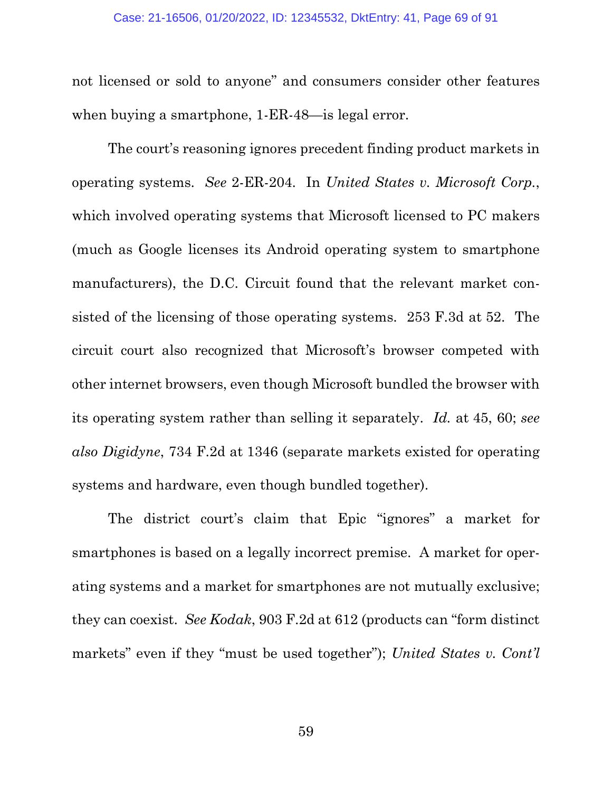not licensed or sold to anyone" and consumers consider other features when buying a smartphone, 1-ER-48—is legal error.

The court's reasoning ignores precedent finding product markets in operating systems. *See* 2-ER-204. In *United States v. Microsoft Corp.*, which involved operating systems that Microsoft licensed to PC makers (much as Google licenses its Android operating system to smartphone manufacturers), the D.C. Circuit found that the relevant market consisted of the licensing of those operating systems. 253 F.3d at 52. The circuit court also recognized that Microsoft's browser competed with other internet browsers, even though Microsoft bundled the browser with its operating system rather than selling it separately. *Id.* at 45, 60; *see also Digidyne*, 734 F.2d at 1346 (separate markets existed for operating systems and hardware, even though bundled together).

The district court's claim that Epic "ignores" a market for smartphones is based on a legally incorrect premise. A market for operating systems and a market for smartphones are not mutually exclusive; they can coexist. *See Kodak*, 903 F.2d at 612 (products can "form distinct markets" even if they "must be used together"); *United States v. Cont'l*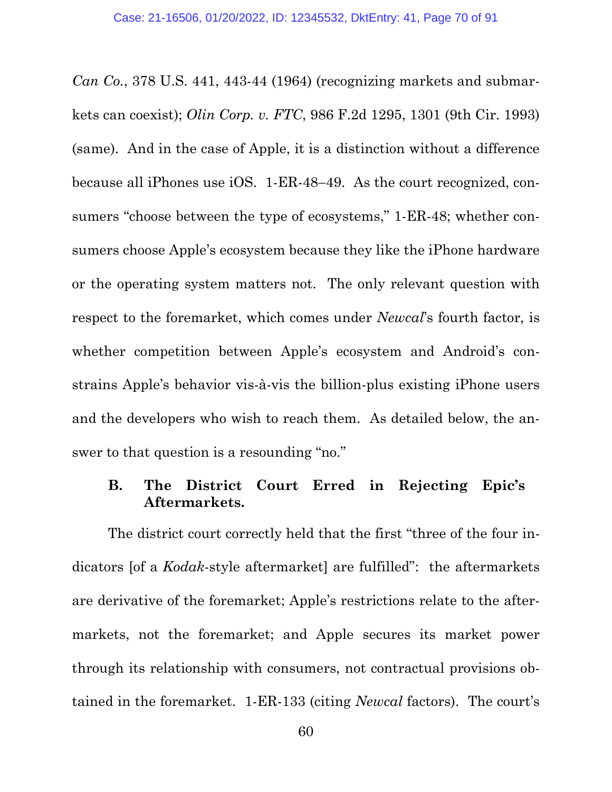*Can Co.*, 378 U.S. 441, 443-44 (1964) (recognizing markets and submarkets can coexist); *Olin Corp. v. FTC*, 986 F.2d 1295, 1301 (9th Cir. 1993) (same). And in the case of Apple, it is a distinction without a difference because all iPhones use iOS. 1-ER-48−49. As the court recognized, consumers "choose between the type of ecosystems," 1-ER-48; whether consumers choose Apple's ecosystem because they like the iPhone hardware or the operating system matters not. The only relevant question with respect to the foremarket, which comes under *Newcal*'s fourth factor, is whether competition between Apple's ecosystem and Android's constrains Apple's behavior vis-à-vis the billion-plus existing iPhone users and the developers who wish to reach them. As detailed below, the answer to that question is a resounding "no."

## **B. The District Court Erred in Rejecting Epic's Aftermarkets.**

The district court correctly held that the first "three of the four indicators [of a *Kodak*-style aftermarket] are fulfilled": the aftermarkets are derivative of the foremarket; Apple's restrictions relate to the aftermarkets, not the foremarket; and Apple secures its market power through its relationship with consumers, not contractual provisions obtained in the foremarket. 1-ER-133 (citing *Newcal* factors). The court's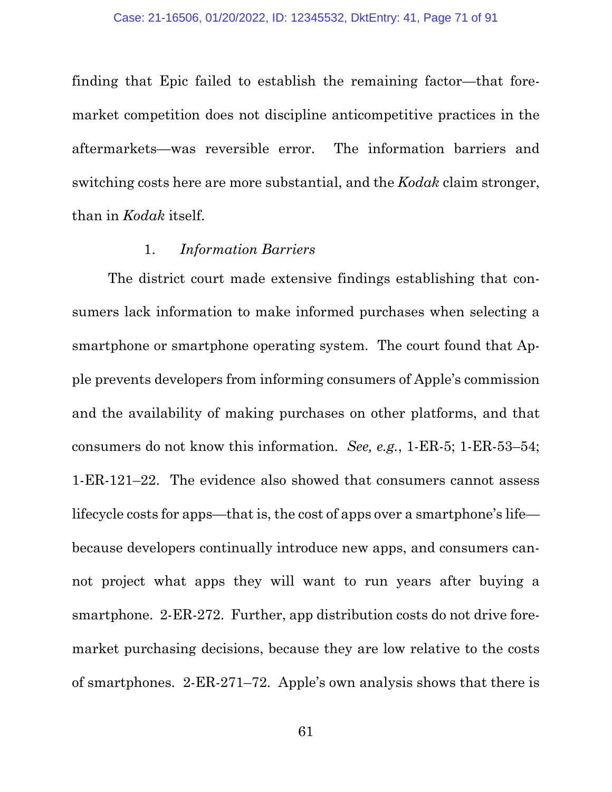finding that Epic failed to establish the remaining factor—that foremarket competition does not discipline anticompetitive practices in the aftermarkets—was reversible error. The information barriers and switching costs here are more substantial, and the *Kodak* claim stronger, than in *Kodak* itself.

## 1. *Information Barriers*

The district court made extensive findings establishing that consumers lack information to make informed purchases when selecting a smartphone or smartphone operating system. The court found that Apple prevents developers from informing consumers of Apple's commission and the availability of making purchases on other platforms, and that consumers do not know this information. *See, e.g.*, 1-ER-5; 1-ER-53–54; 1-ER-121–22. The evidence also showed that consumers cannot assess lifecycle costs for apps—that is, the cost of apps over a smartphone's life because developers continually introduce new apps, and consumers cannot project what apps they will want to run years after buying a smartphone. 2-ER-272. Further, app distribution costs do not drive foremarket purchasing decisions, because they are low relative to the costs of smartphones. 2-ER-271–72. Apple's own analysis shows that there is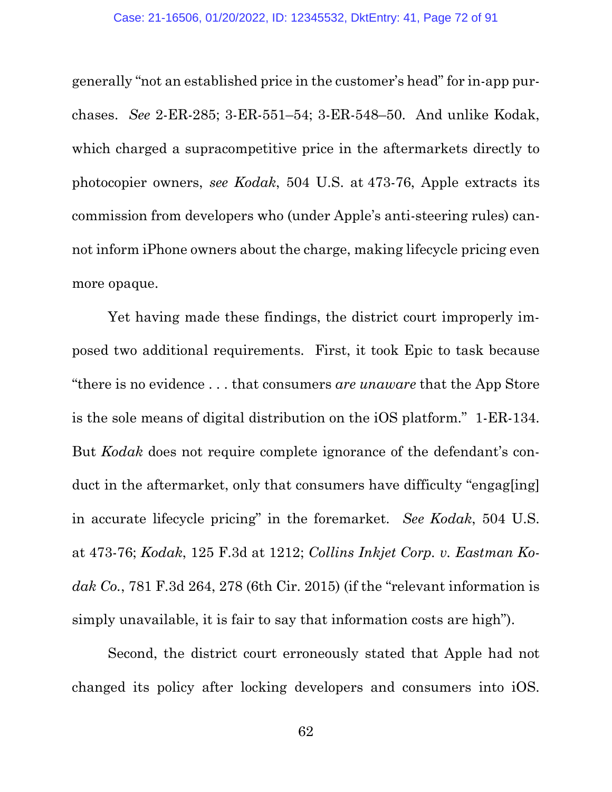generally "not an established price in the customer's head" for in-app purchases. *See* 2-ER-285; 3-ER-551–54; 3-ER-548–50. And unlike Kodak, which charged a supracompetitive price in the aftermarkets directly to photocopier owners, *see Kodak*, 504 U.S. at 473-76, Apple extracts its commission from developers who (under Apple's anti-steering rules) cannot inform iPhone owners about the charge, making lifecycle pricing even more opaque.

Yet having made these findings, the district court improperly imposed two additional requirements. First, it took Epic to task because "there is no evidence . . . that consumers *are unaware* that the App Store is the sole means of digital distribution on the iOS platform." 1-ER-134. But *Kodak* does not require complete ignorance of the defendant's conduct in the aftermarket, only that consumers have difficulty "engag[ing] in accurate lifecycle pricing" in the foremarket. *See Kodak*, 504 U.S. at 473-76; *Kodak*, 125 F.3d at 1212; *Collins Inkjet Corp. v. Eastman Kodak Co.*, 781 F.3d 264, 278 (6th Cir. 2015) (if the "relevant information is simply unavailable, it is fair to say that information costs are high").

Second, the district court erroneously stated that Apple had not changed its policy after locking developers and consumers into iOS.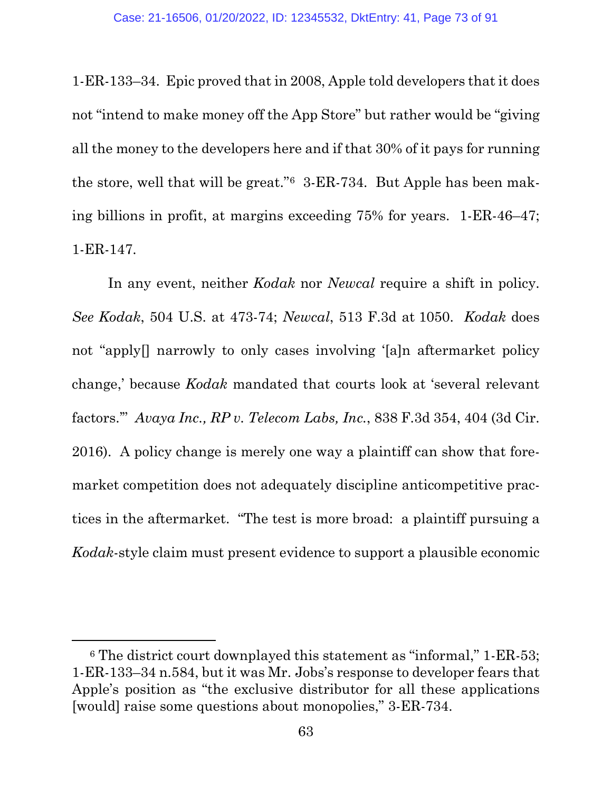1-ER-133–34. Epic proved that in 2008, Apple told developers that it does not "intend to make money off the App Store" but rather would be "giving all the money to the developers here and if that 30% of it pays for running the store, well that will be great."[6](#page-72-0) 3-ER-734. But Apple has been making billions in profit, at margins exceeding 75% for years. 1-ER-46–47; 1-ER-147.

In any event, neither *Kodak* nor *Newcal* require a shift in policy. *See Kodak*, 504 U.S. at 473-74; *Newcal*, 513 F.3d at 1050. *Kodak* does not "apply[] narrowly to only cases involving '[a]n aftermarket policy change,' because *Kodak* mandated that courts look at 'several relevant factors.'" *Avaya Inc., RP v. Telecom Labs, Inc.*, 838 F.3d 354, 404 (3d Cir. 2016).A policy change is merely one way a plaintiff can show that foremarket competition does not adequately discipline anticompetitive practices in the aftermarket. "The test is more broad: a plaintiff pursuing a *Kodak*-style claim must present evidence to support a plausible economic

<span id="page-72-0"></span><sup>6</sup> The district court downplayed this statement as "informal," 1-ER-53; 1-ER-133–34 n.584, but it was Mr. Jobs's response to developer fears that Apple's position as "the exclusive distributor for all these applications [would] raise some questions about monopolies," 3-ER-734.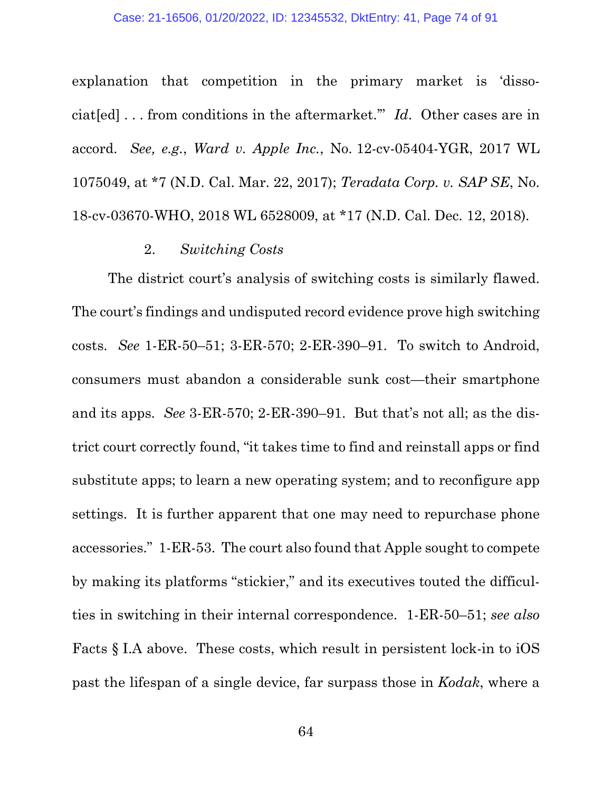#### Case: 21-16506, 01/20/2022, ID: 12345532, DktEntry: 41, Page 74 of 91

explanation that competition in the primary market is 'dissociat[ed] . . . from conditions in the aftermarket.'" *Id*. Other cases are in accord. *See, e.g.*, *Ward v. Apple Inc.*, No. 12-cv-05404-YGR, 2017 WL 1075049, at \*7 (N.D. Cal. Mar. 22, 2017); *Teradata Corp. v. SAP SE*, No. 18-cv-03670-WHO, 2018 WL 6528009, at \*17 (N.D. Cal. Dec. 12, 2018).

#### 2. *Switching Costs*

The district court's analysis of switching costs is similarly flawed. The court's findings and undisputed record evidence prove high switching costs. *See* 1-ER-50–51; 3-ER-570; 2-ER-390–91. To switch to Android, consumers must abandon a considerable sunk cost—their smartphone and its apps. *See* 3-ER-570; 2-ER-390–91. But that's not all; as the district court correctly found, "it takes time to find and reinstall apps or find substitute apps; to learn a new operating system; and to reconfigure app settings. It is further apparent that one may need to repurchase phone accessories." 1-ER-53. The court also found that Apple sought to compete by making its platforms "stickier," and its executives touted the difficulties in switching in their internal correspondence. 1-ER-50–51; *see also*  Facts § I.A above. These costs, which result in persistent lock-in to iOS past the lifespan of a single device, far surpass those in *Kodak*, where a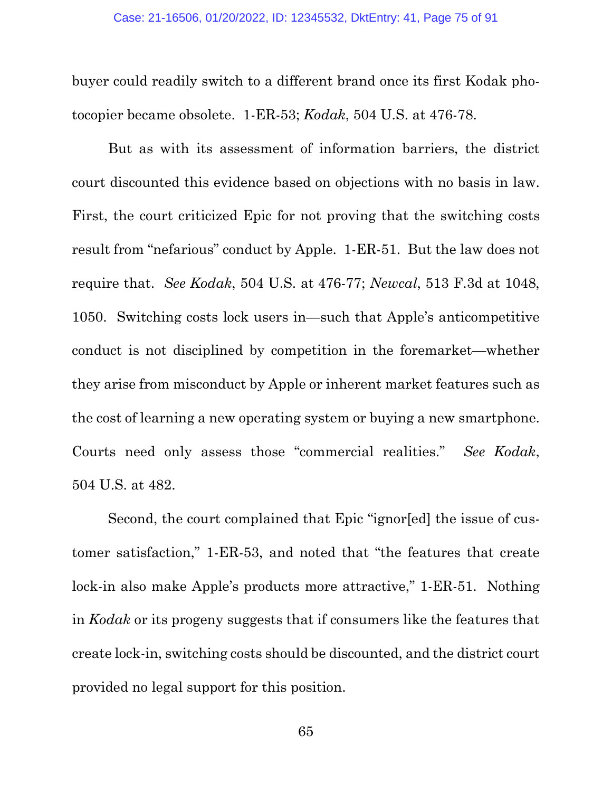buyer could readily switch to a different brand once its first Kodak photocopier became obsolete. 1-ER-53; *Kodak*, 504 U.S. at 476-78.

But as with its assessment of information barriers, the district court discounted this evidence based on objections with no basis in law. First, the court criticized Epic for not proving that the switching costs result from "nefarious" conduct by Apple. 1-ER-51. But the law does not require that. *See Kodak*, 504 U.S. at 476-77; *Newcal*, 513 F.3d at 1048, 1050. Switching costs lock users in—such that Apple's anticompetitive conduct is not disciplined by competition in the foremarket—whether they arise from misconduct by Apple or inherent market features such as the cost of learning a new operating system or buying a new smartphone. Courts need only assess those "commercial realities." *See Kodak*, 504 U.S. at 482.

Second, the court complained that Epic "ignor[ed] the issue of customer satisfaction," 1-ER-53, and noted that "the features that create lock-in also make Apple's products more attractive," 1-ER-51. Nothing in *Kodak* or its progeny suggests that if consumers like the features that create lock-in, switching costs should be discounted, and the district court provided no legal support for this position.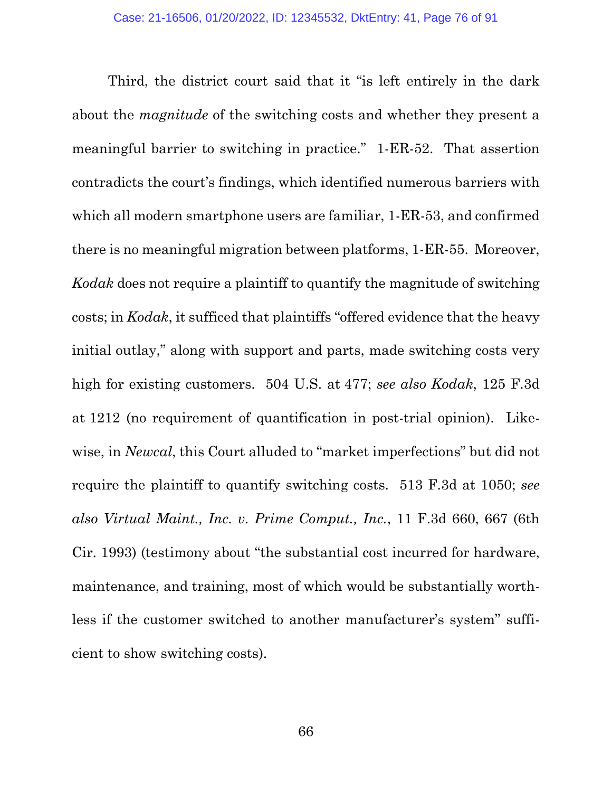Third, the district court said that it "is left entirely in the dark about the *magnitude* of the switching costs and whether they present a meaningful barrier to switching in practice." 1-ER-52. That assertion contradicts the court's findings, which identified numerous barriers with which all modern smartphone users are familiar, 1-ER-53, and confirmed there is no meaningful migration between platforms, 1-ER-55. Moreover, *Kodak* does not require a plaintiff to quantify the magnitude of switching costs; in *Kodak*, it sufficed that plaintiffs "offered evidence that the heavy initial outlay," along with support and parts, made switching costs very high for existing customers. 504 U.S. at 477; *see also Kodak*, 125 F.3d at 1212 (no requirement of quantification in post-trial opinion). Likewise, in *Newcal*, this Court alluded to "market imperfections" but did not require the plaintiff to quantify switching costs. 513 F.3d at 1050; *see also Virtual Maint., Inc. v. Prime Comput., Inc.*, 11 F.3d 660, 667 (6th Cir. 1993) (testimony about "the substantial cost incurred for hardware, maintenance, and training, most of which would be substantially worthless if the customer switched to another manufacturer's system" sufficient to show switching costs).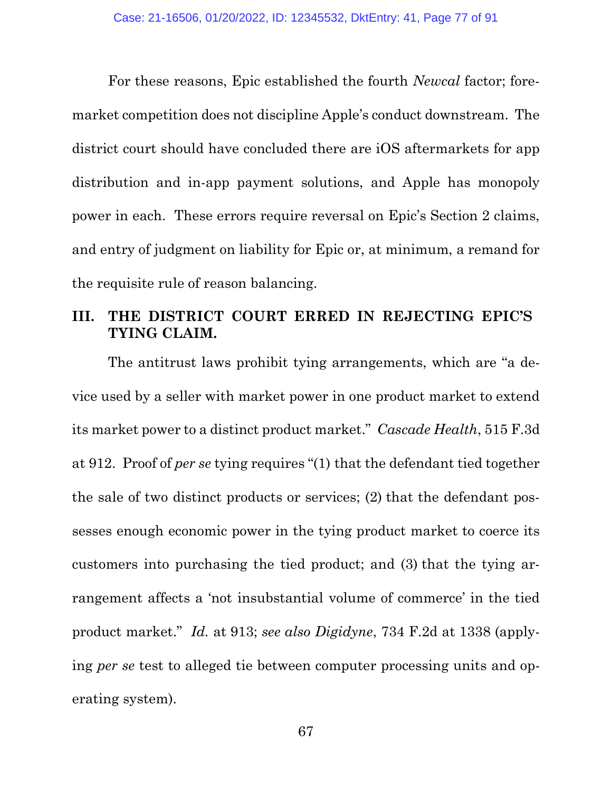For these reasons, Epic established the fourth *Newcal* factor; foremarket competition does not discipline Apple's conduct downstream. The district court should have concluded there are iOS aftermarkets for app distribution and in-app payment solutions, and Apple has monopoly power in each. These errors require reversal on Epic's Section 2 claims, and entry of judgment on liability for Epic or, at minimum, a remand for the requisite rule of reason balancing.

## **III. THE DISTRICT COURT ERRED IN REJECTING EPIC'S TYING CLAIM.**

The antitrust laws prohibit tying arrangements, which are "a device used by a seller with market power in one product market to extend its market power to a distinct product market." *Cascade Health*, 515 F.3d at 912. Proof of *per se* tying requires "(1) that the defendant tied together the sale of two distinct products or services; (2) that the defendant possesses enough economic power in the tying product market to coerce its customers into purchasing the tied product; and (3) that the tying arrangement affects a 'not insubstantial volume of commerce' in the tied product market." *Id.* at 913; *see also Digidyne*, 734 F.2d at 1338 (applying *per se* test to alleged tie between computer processing units and operating system).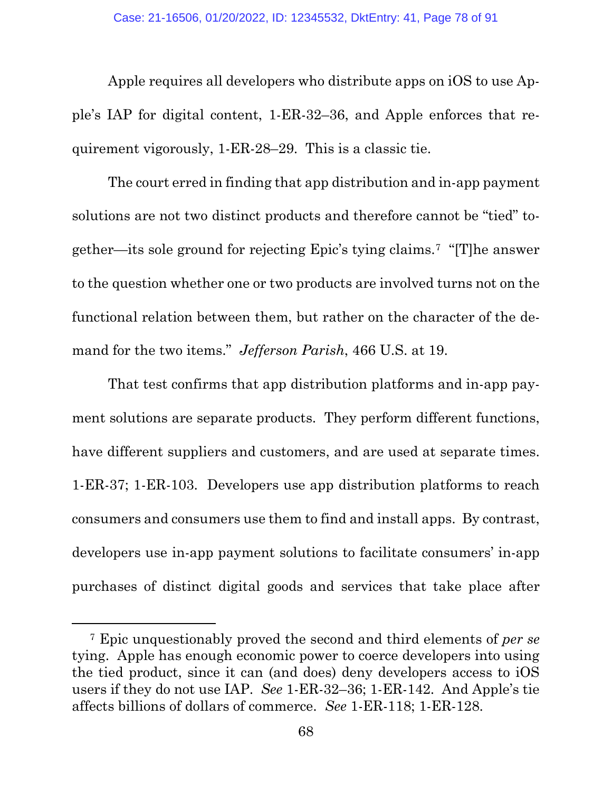Apple requires all developers who distribute apps on iOS to use Apple's IAP for digital content, 1-ER-32–36, and Apple enforces that requirement vigorously, 1-ER-28–29. This is a classic tie.

The court erred in finding that app distribution and in-app payment solutions are not two distinct products and therefore cannot be "tied" together—its sole ground for rejecting Epic's tying claims.[7](#page-77-0) "[T]he answer to the question whether one or two products are involved turns not on the functional relation between them, but rather on the character of the demand for the two items." *Jefferson Parish*, 466 U.S. at 19.

That test confirms that app distribution platforms and in-app payment solutions are separate products. They perform different functions, have different suppliers and customers, and are used at separate times. 1-ER-37; 1-ER-103. Developers use app distribution platforms to reach consumers and consumers use them to find and install apps. By contrast, developers use in-app payment solutions to facilitate consumers' in-app purchases of distinct digital goods and services that take place after

<span id="page-77-0"></span><sup>7</sup> Epic unquestionably proved the second and third elements of *per se*  tying. Apple has enough economic power to coerce developers into using the tied product, since it can (and does) deny developers access to iOS users if they do not use IAP. *See* 1-ER-32–36; 1-ER-142. And Apple's tie affects billions of dollars of commerce. *See* 1-ER-118; 1-ER-128.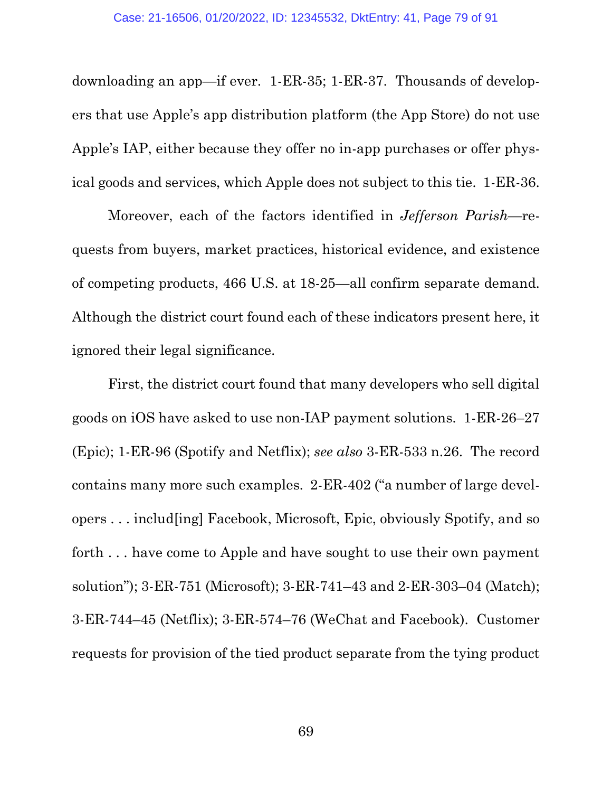downloading an app—if ever. 1-ER-35; 1-ER-37. Thousands of developers that use Apple's app distribution platform (the App Store) do not use Apple's IAP, either because they offer no in-app purchases or offer physical goods and services, which Apple does not subject to this tie. 1-ER-36.

Moreover, each of the factors identified in *Jefferson Parish*—requests from buyers, market practices, historical evidence, and existence of competing products, 466 U.S. at 18-25—all confirm separate demand. Although the district court found each of these indicators present here, it ignored their legal significance.

First, the district court found that many developers who sell digital goods on iOS have asked to use non-IAP payment solutions. 1-ER-26–27 (Epic); 1-ER-96 (Spotify and Netflix); *see also* 3-ER-533 n.26. The record contains many more such examples. 2-ER-402 ("a number of large developers . . . includ[ing] Facebook, Microsoft, Epic, obviously Spotify, and so forth . . . have come to Apple and have sought to use their own payment solution"); 3-ER-751 (Microsoft); 3-ER-741–43 and 2-ER-303–04 (Match); 3-ER-744–45 (Netflix); 3-ER-574–76 (WeChat and Facebook). Customer requests for provision of the tied product separate from the tying product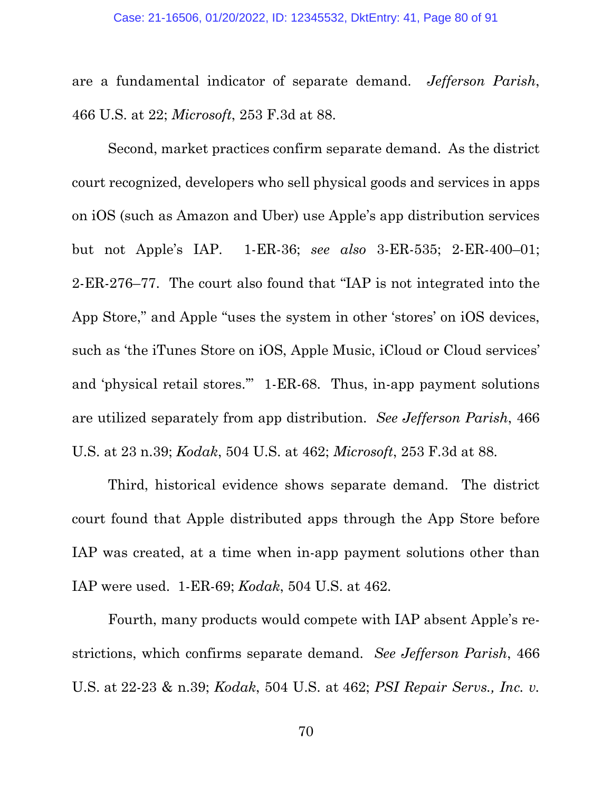are a fundamental indicator of separate demand. *Jefferson Parish*, 466 U.S. at 22; *Microsoft*, 253 F.3d at 88.

Second, market practices confirm separate demand. As the district court recognized, developers who sell physical goods and services in apps on iOS (such as Amazon and Uber) use Apple's app distribution services but not Apple's IAP. 1-ER-36; *see also* 3-ER-535; 2-ER-400–01; 2-ER-276–77. The court also found that "IAP is not integrated into the App Store," and Apple "uses the system in other 'stores' on iOS devices, such as 'the iTunes Store on iOS, Apple Music, iCloud or Cloud services' and 'physical retail stores.'" 1-ER-68. Thus, in-app payment solutions are utilized separately from app distribution. *See Jefferson Parish*, 466 U.S. at 23 n.39; *Kodak*, 504 U.S. at 462; *Microsoft*, 253 F.3d at 88.

Third, historical evidence shows separate demand. The district court found that Apple distributed apps through the App Store before IAP was created, at a time when in-app payment solutions other than IAP were used. 1-ER-69; *Kodak*, 504 U.S. at 462.

Fourth, many products would compete with IAP absent Apple's restrictions, which confirms separate demand. *See Jefferson Parish*, 466 U.S. at 22-23 & n.39; *Kodak*, 504 U.S. at 462; *PSI Repair Servs., Inc. v.*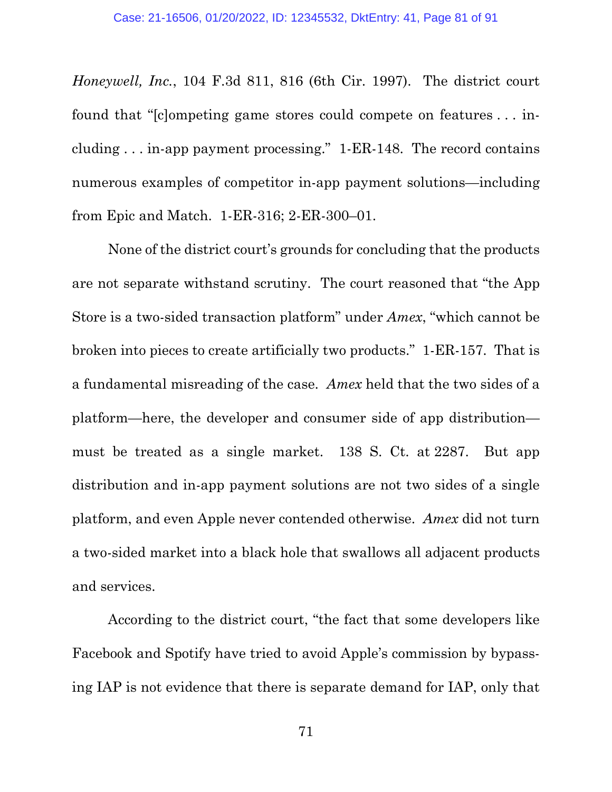*Honeywell, Inc.*, 104 F.3d 811, 816 (6th Cir. 1997). The district court found that "[c]ompeting game stores could compete on features . . . including . . . in-app payment processing." 1-ER-148. The record contains numerous examples of competitor in-app payment solutions—including from Epic and Match. 1-ER-316; 2-ER-300–01.

None of the district court's grounds for concluding that the products are not separate withstand scrutiny. The court reasoned that "the App Store is a two-sided transaction platform" under *Amex*, "which cannot be broken into pieces to create artificially two products." 1-ER-157. That is a fundamental misreading of the case. *Amex* held that the two sides of a platform—here, the developer and consumer side of app distribution must be treated as a single market. 138 S. Ct. at 2287. But app distribution and in-app payment solutions are not two sides of a single platform, and even Apple never contended otherwise. *Amex* did not turn a two-sided market into a black hole that swallows all adjacent products and services.

According to the district court, "the fact that some developers like Facebook and Spotify have tried to avoid Apple's commission by bypassing IAP is not evidence that there is separate demand for IAP, only that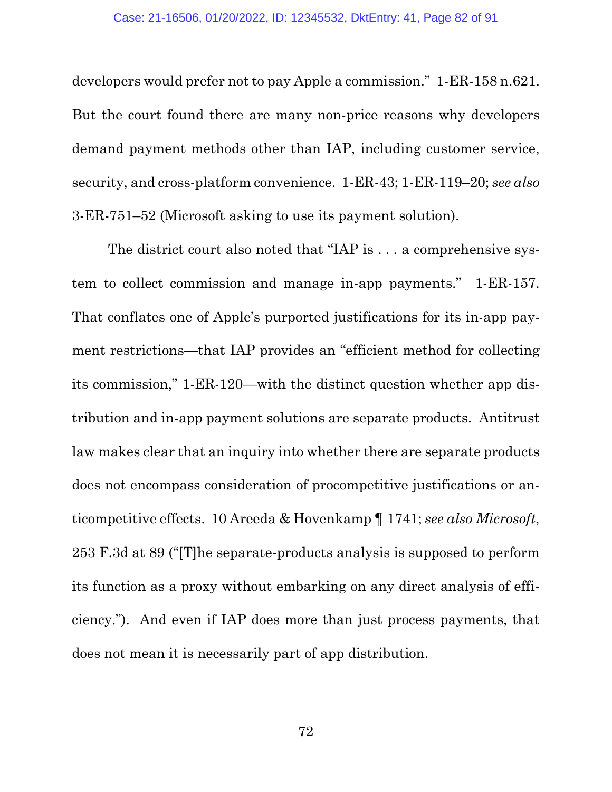developers would prefer not to pay Apple a commission." 1-ER-158 n.621. But the court found there are many non-price reasons why developers demand payment methods other than IAP, including customer service, security, and cross-platform convenience. 1-ER-43; 1-ER-119–20; *see also* 3-ER-751–52 (Microsoft asking to use its payment solution).

The district court also noted that "IAP is . . . a comprehensive system to collect commission and manage in-app payments." 1-ER-157. That conflates one of Apple's purported justifications for its in-app payment restrictions—that IAP provides an "efficient method for collecting its commission," 1-ER-120—with the distinct question whether app distribution and in-app payment solutions are separate products. Antitrust law makes clear that an inquiry into whether there are separate products does not encompass consideration of procompetitive justifications or anticompetitive effects. 10 Areeda & Hovenkamp ¶ 1741; *see also Microsoft*, 253 F.3d at 89 ("[T]he separate-products analysis is supposed to perform its function as a proxy without embarking on any direct analysis of efficiency."). And even if IAP does more than just process payments, that does not mean it is necessarily part of app distribution.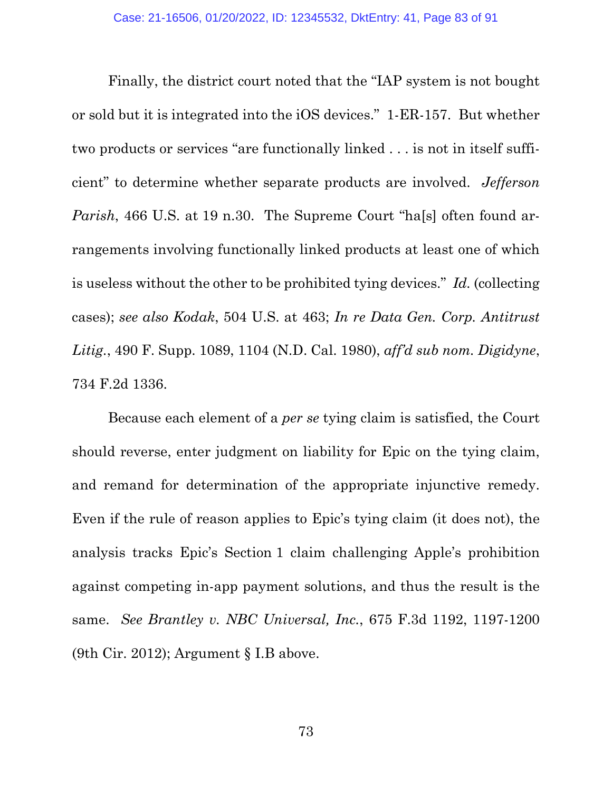Finally, the district court noted that the "IAP system is not bought or sold but it is integrated into the iOS devices." 1-ER-157. But whether two products or services "are functionally linked . . . is not in itself sufficient" to determine whether separate products are involved. *Jefferson Parish*, 466 U.S. at 19 n.30. The Supreme Court "ha[s] often found arrangements involving functionally linked products at least one of which is useless without the other to be prohibited tying devices." *Id.* (collecting cases); *see also Kodak*, 504 U.S. at 463; *In re Data Gen. Corp. Antitrust Litig.*, 490 F. Supp. 1089, 1104 (N.D. Cal. 1980), *aff'd sub nom. Digidyne*, 734 F.2d 1336.

Because each element of a *per se* tying claim is satisfied, the Court should reverse, enter judgment on liability for Epic on the tying claim, and remand for determination of the appropriate injunctive remedy. Even if the rule of reason applies to Epic's tying claim (it does not), the analysis tracks Epic's Section 1 claim challenging Apple's prohibition against competing in-app payment solutions, and thus the result is the same. *See Brantley v. NBC Universal, Inc.*, 675 F.3d 1192, 1197-1200 (9th Cir. 2012); Argument § I.B above.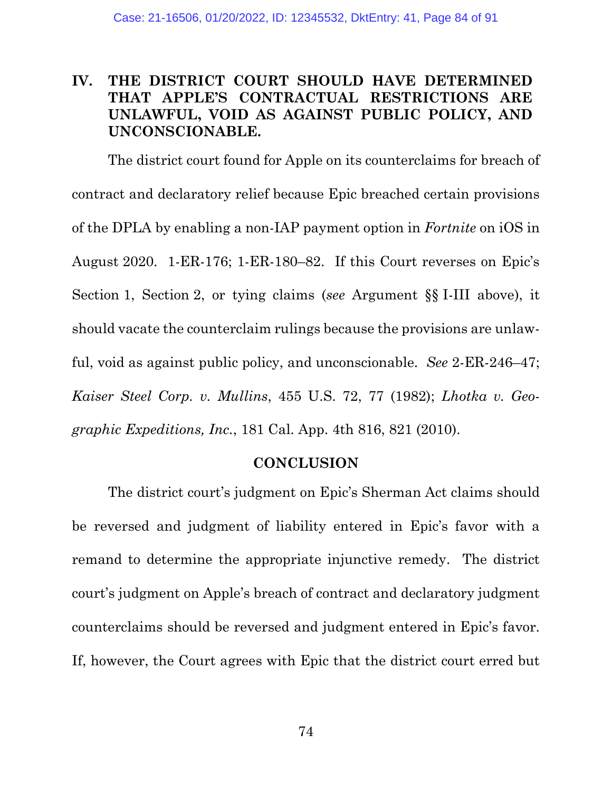## **IV. THE DISTRICT COURT SHOULD HAVE DETERMINED THAT APPLE'S CONTRACTUAL RESTRICTIONS ARE UNLAWFUL, VOID AS AGAINST PUBLIC POLICY, AND UNCONSCIONABLE.**

The district court found for Apple on its counterclaims for breach of contract and declaratory relief because Epic breached certain provisions of the DPLA by enabling a non-IAP payment option in *Fortnite* on iOS in August 2020. 1-ER-176; 1-ER-180–82. If this Court reverses on Epic's Section 1, Section 2, or tying claims (*see* Argument §§ I-III above), it should vacate the counterclaim rulings because the provisions are unlawful, void as against public policy, and unconscionable. *See* 2-ER-246–47; *Kaiser Steel Corp. v. Mullins*, 455 U.S. 72, 77 (1982); *Lhotka v. Geographic Expeditions, Inc.*, 181 Cal. App. 4th 816, 821 (2010).

#### **CONCLUSION**

The district court's judgment on Epic's Sherman Act claims should be reversed and judgment of liability entered in Epic's favor with a remand to determine the appropriate injunctive remedy. The district court's judgment on Apple's breach of contract and declaratory judgment counterclaims should be reversed and judgment entered in Epic's favor. If, however, the Court agrees with Epic that the district court erred but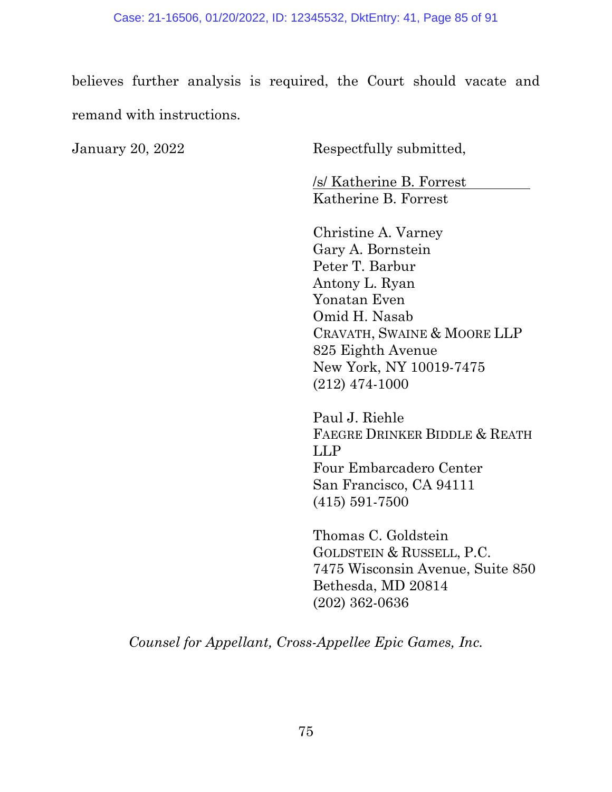believes further analysis is required, the Court should vacate and remand with instructions.

January 20, 2022 Respectfully submitted,

/s/ Katherine B. Forrest Katherine B. Forrest

Christine A. Varney Gary A. Bornstein Peter T. Barbur Antony L. Ryan Yonatan Even Omid H. Nasab CRAVATH, SWAINE & MOORE LLP 825 Eighth Avenue New York, NY 10019-7475 (212) 474-1000

Paul J. Riehle FAEGRE DRINKER BIDDLE & REATH LLP Four Embarcadero Center San Francisco, CA 94111 (415) 591-7500

Thomas C. Goldstein GOLDSTEIN & RUSSELL, P.C. 7475 Wisconsin Avenue, Suite 850 Bethesda, MD 20814 (202) 362-0636

*Counsel for Appellant, Cross-Appellee Epic Games, Inc.*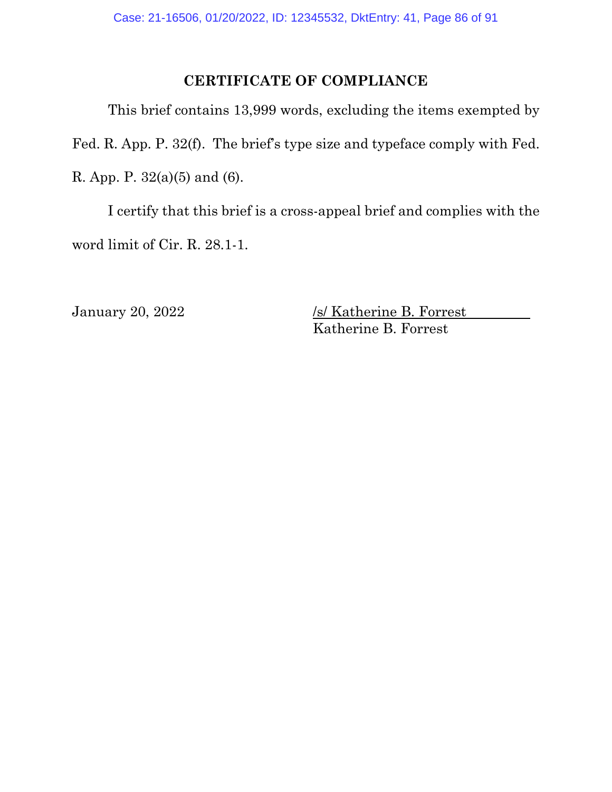## **CERTIFICATE OF COMPLIANCE**

This brief contains 13,999 words, excluding the items exempted by Fed. R. App. P. 32(f). The brief's type size and typeface comply with Fed. R. App. P. 32(a)(5) and (6).

I certify that this brief is a cross-appeal brief and complies with the word limit of Cir. R. 28.1-1.

January 20, 2022 /s/ Katherine B. Forrest Katherine B. Forrest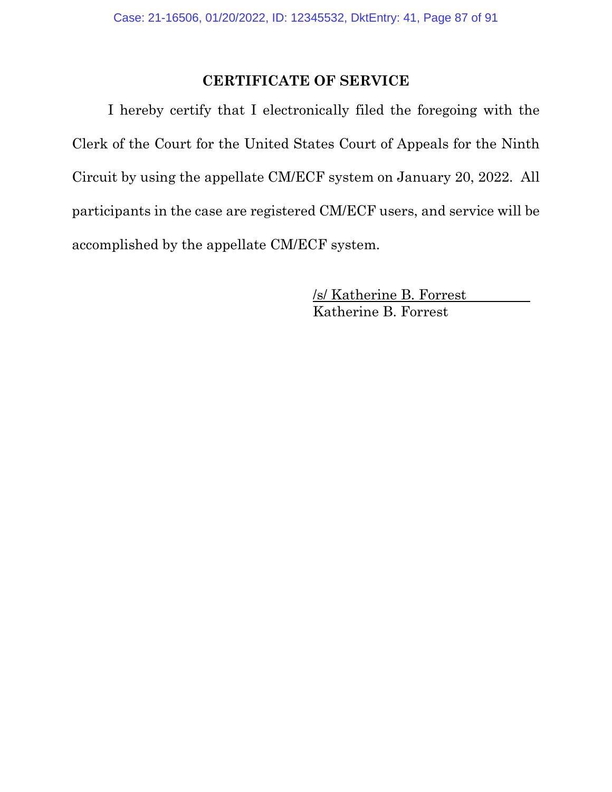#### **CERTIFICATE OF SERVICE**

I hereby certify that I electronically filed the foregoing with the Clerk of the Court for the United States Court of Appeals for the Ninth Circuit by using the appellate CM/ECF system on January 20, 2022. All participants in the case are registered CM/ECF users, and service will be accomplished by the appellate CM/ECF system.

> /s/ Katherine B. Forrest Katherine B. Forrest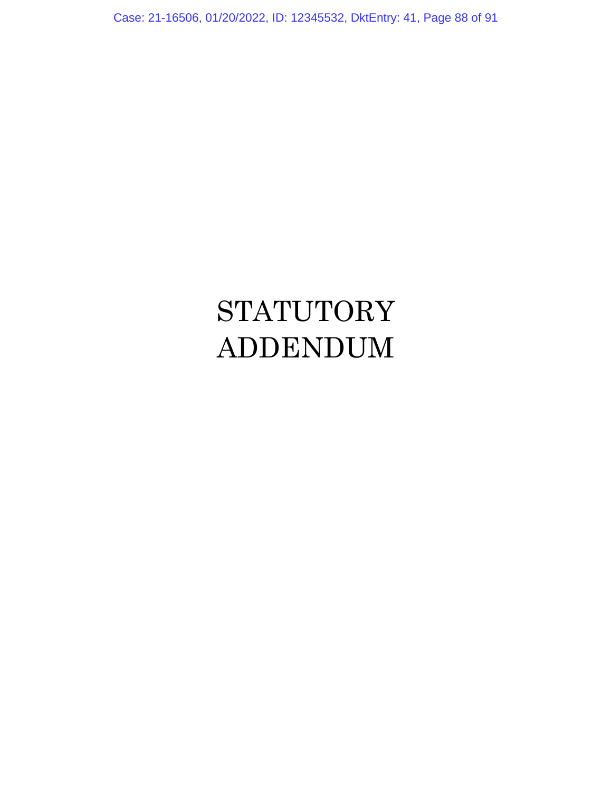Case: 21-16506, 01/20/2022, ID: 12345532, DktEntry: 41, Page 88 of 91

# **STATUTORY** ADDENDUM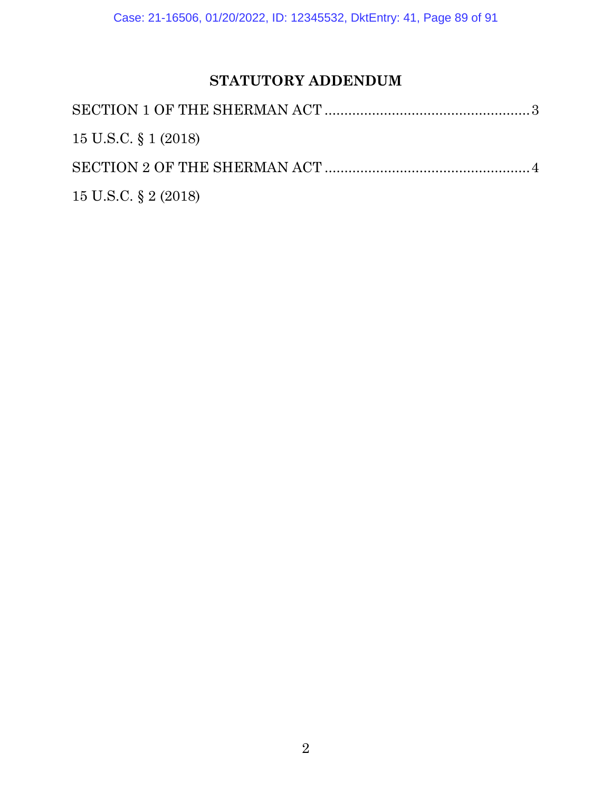# **STATUTORY ADDENDUM**

| 15 U.S.C. § 1 (2018) |  |
|----------------------|--|
|                      |  |
| 15 U.S.C. § 2 (2018) |  |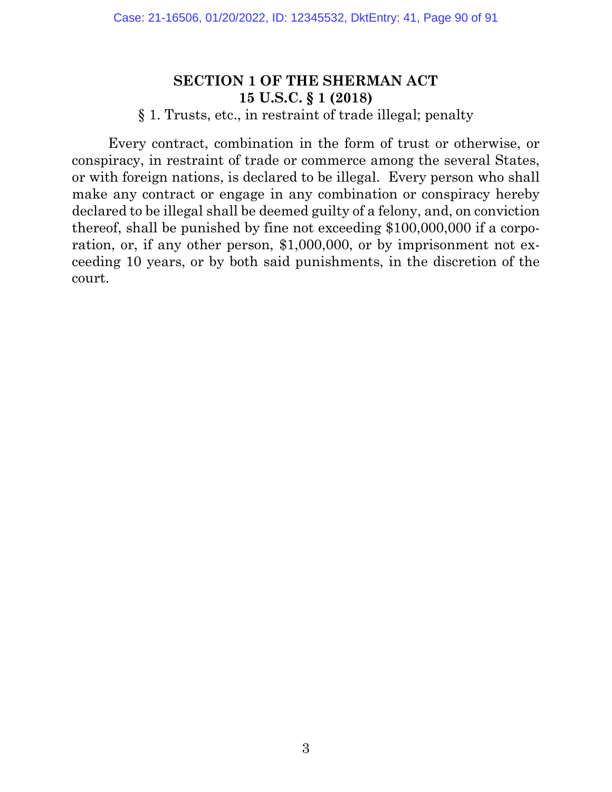## **SECTION 1 OF THE SHERMAN ACT 15 U.S.C. § 1 (2018)**

#### § 1. Trusts, etc., in restraint of trade illegal; penalty

Every contract, combination in the form of trust or otherwise, or conspiracy, in restraint of trade or commerce among the several States, or with foreign nations, is declared to be illegal. Every person who shall make any contract or engage in any combination or conspiracy hereby declared to be illegal shall be deemed guilty of a felony, and, on conviction thereof, shall be punished by fine not exceeding \$100,000,000 if a corporation, or, if any other person, \$1,000,000, or by imprisonment not exceeding 10 years, or by both said punishments, in the discretion of the court.